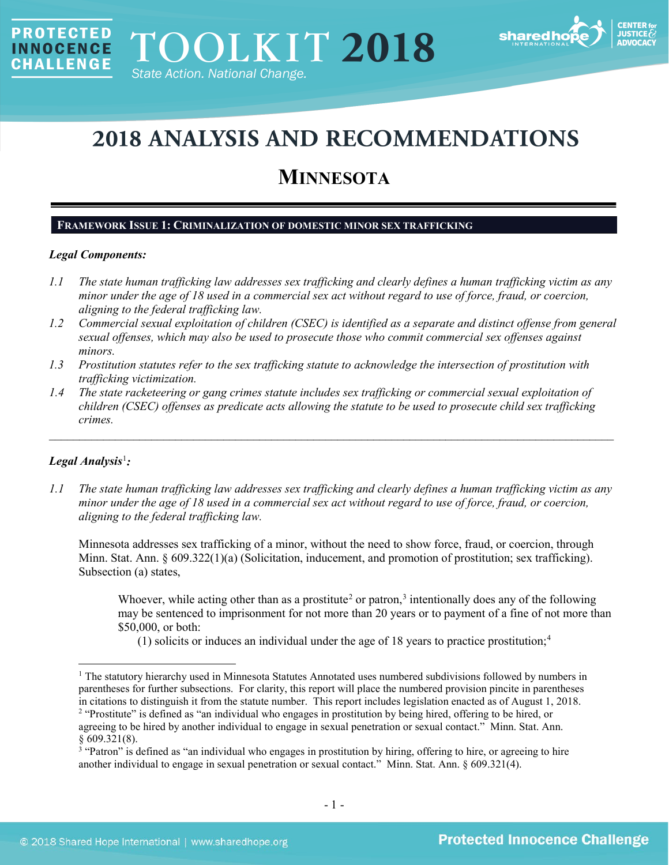

# **2018 ANALYSIS AND RECOMMENDATIONS**

# **MINNESOTA**

# **FRAMEWORK ISSUE 1: CRIMINALIZATION OF DOMESTIC MINOR SEX TRAFFICKING**

# *Legal Components:*

**PROTECTED** 

**INNOCENCE CHALLENGE** 

- *1.1 The state human trafficking law addresses sex trafficking and clearly defines a human trafficking victim as any minor under the age of 18 used in a commercial sex act without regard to use of force, fraud, or coercion, aligning to the federal trafficking law.*
- *1.2 Commercial sexual exploitation of children (CSEC) is identified as a separate and distinct offense from general sexual offenses, which may also be used to prosecute those who commit commercial sex offenses against minors.*
- *1.3 Prostitution statutes refer to the sex trafficking statute to acknowledge the intersection of prostitution with trafficking victimization.*
- *1.4 The state racketeering or gang crimes statute includes sex trafficking or commercial sexual exploitation of children (CSEC) offenses as predicate acts allowing the statute to be used to prosecute child sex trafficking crimes.*

\_\_\_\_\_\_\_\_\_\_\_\_\_\_\_\_\_\_\_\_\_\_\_\_\_\_\_\_\_\_\_\_\_\_\_\_\_\_\_\_\_\_\_\_\_\_\_\_\_\_\_\_\_\_\_\_\_\_\_\_\_\_\_\_\_\_\_\_\_\_\_\_\_\_\_\_\_\_\_\_\_\_\_\_\_\_\_\_\_\_\_\_\_\_

# *Legal Analysis*[1](#page-0-0) *:*

*1.1 The state human trafficking law addresses sex trafficking and clearly defines a human trafficking victim as any minor under the age of 18 used in a commercial sex act without regard to use of force, fraud, or coercion, aligning to the federal trafficking law.*

Minnesota addresses sex trafficking of a minor, without the need to show force, fraud, or coercion, through Minn. Stat. Ann. § 609.322(1)(a) (Solicitation, inducement, and promotion of prostitution; sex trafficking). Subsection (a) states,

Whoever, while acting other than as a prostitute<sup>[2](#page-0-1)</sup> or patron,<sup>[3](#page-0-2)</sup> intentionally does any of the following may be sentenced to imprisonment for not more than 20 years or to payment of a fine of not more than \$50,000, or both:

(1) solicits or induces an individual under the age of 18 years to practice prostitution;<sup>[4](#page-0-3)</sup>

<span id="page-0-3"></span><span id="page-0-0"></span><sup>&</sup>lt;sup>1</sup> The statutory hierarchy used in Minnesota Statutes Annotated uses numbered subdivisions followed by numbers in parentheses for further subsections. For clarity, this report will place the numbered provision pincite in parentheses in citations to distinguish it from the statute number. This report includes legislation enacted as of August 1, 2018.

<span id="page-0-1"></span><sup>&</sup>lt;sup>2</sup> "Prostitute" is defined as "an individual who engages in prostitution by being hired, offering to be hired, or agreeing to be hired by another individual to engage in sexual penetration or sexual contact." Minn. Stat. Ann. § 609.321(8).

<span id="page-0-2"></span><sup>&</sup>lt;sup>3</sup> "Patron" is defined as "an individual who engages in prostitution by hiring, offering to hire, or agreeing to hire another individual to engage in sexual penetration or sexual contact." Minn. Stat. Ann. § 609.321(4).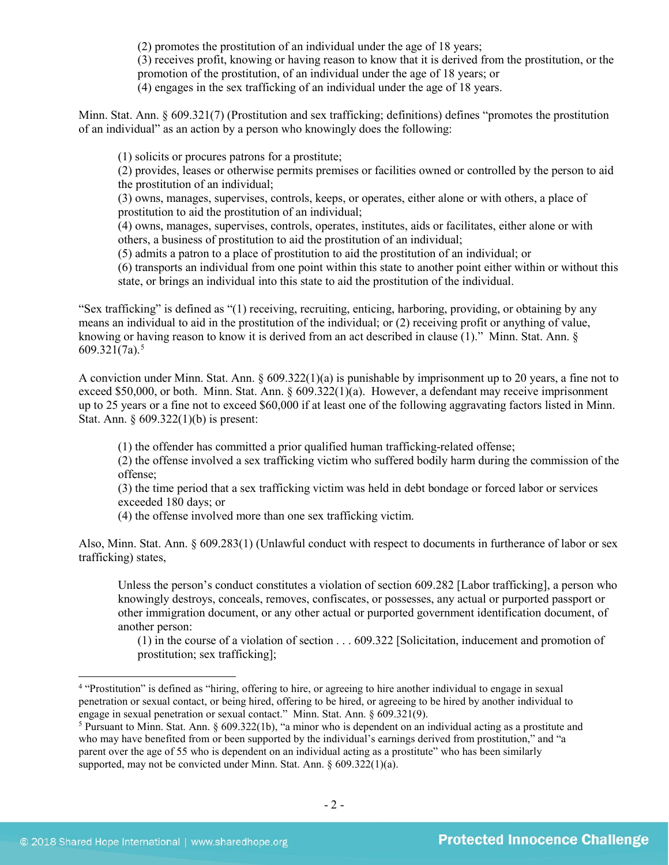(2) promotes the prostitution of an individual under the age of 18 years;

(3) receives profit, knowing or having reason to know that it is derived from the prostitution, or the

promotion of the prostitution, of an individual under the age of 18 years; or

(4) engages in the sex trafficking of an individual under the age of 18 years.

Minn. Stat. Ann. § 609.321(7) (Prostitution and sex trafficking; definitions) defines "promotes the prostitution of an individual" as an action by a person who knowingly does the following:

(1) solicits or procures patrons for a prostitute;

(2) provides, leases or otherwise permits premises or facilities owned or controlled by the person to aid the prostitution of an individual;

(3) owns, manages, supervises, controls, keeps, or operates, either alone or with others, a place of prostitution to aid the prostitution of an individual;

(4) owns, manages, supervises, controls, operates, institutes, aids or facilitates, either alone or with others, a business of prostitution to aid the prostitution of an individual;

(5) admits a patron to a place of prostitution to aid the prostitution of an individual; or

(6) transports an individual from one point within this state to another point either within or without this state, or brings an individual into this state to aid the prostitution of the individual.

"Sex trafficking" is defined as "(1) receiving, recruiting, enticing, harboring, providing, or obtaining by any means an individual to aid in the prostitution of the individual; or (2) receiving profit or anything of value, knowing or having reason to know it is derived from an act described in clause (1)." Minn. Stat. Ann. § 609.321 $(7a)$ .<sup>[5](#page-1-0)</sup>

A conviction under Minn. Stat. Ann. § 609.322(1)(a) is punishable by imprisonment up to 20 years, a fine not to exceed \$50,000, or both. Minn. Stat. Ann. § 609.322(1)(a). However, a defendant may receive imprisonment up to 25 years or a fine not to exceed \$60,000 if at least one of the following aggravating factors listed in Minn. Stat. Ann. § 609.322(1)(b) is present:

(1) the offender has committed a prior qualified human trafficking-related offense;

(2) the offense involved a sex trafficking victim who suffered bodily harm during the commission of the offense;

(3) the time period that a sex trafficking victim was held in debt bondage or forced labor or services exceeded 180 days; or

(4) the offense involved more than one sex trafficking victim.

Also, Minn. Stat. Ann. § 609.283(1) (Unlawful conduct with respect to documents in furtherance of labor or sex trafficking) states,

Unless the person's conduct constitutes a violation of section 609.282 [Labor trafficking], a person who knowingly destroys, conceals, removes, confiscates, or possesses, any actual or purported passport or other immigration document, or any other actual or purported government identification document, of another person:

(1) in the course of a violation of section . . . 609.322 [Solicitation, inducement and promotion of prostitution; sex trafficking];

<sup>&</sup>lt;sup>4</sup> "Prostitution" is defined as "hiring, offering to hire, or agreeing to hire another individual to engage in sexual penetration or sexual contact, or being hired, offering to be hired, or agreeing to be hired by another individual to engage in sexual penetration or sexual contact." Minn. Stat. Ann. § 609.321(9).

<span id="page-1-0"></span> $5$  Pursuant to Minn. Stat. Ann. § 609.322(1b), "a minor who is dependent on an individual acting as a prostitute and who may have benefited from or been supported by the individual's earnings derived from prostitution," and "a parent over the age of 55 who is dependent on an individual acting as a prostitute" who has been similarly supported, may not be convicted under Minn. Stat. Ann. § 609.322(1)(a).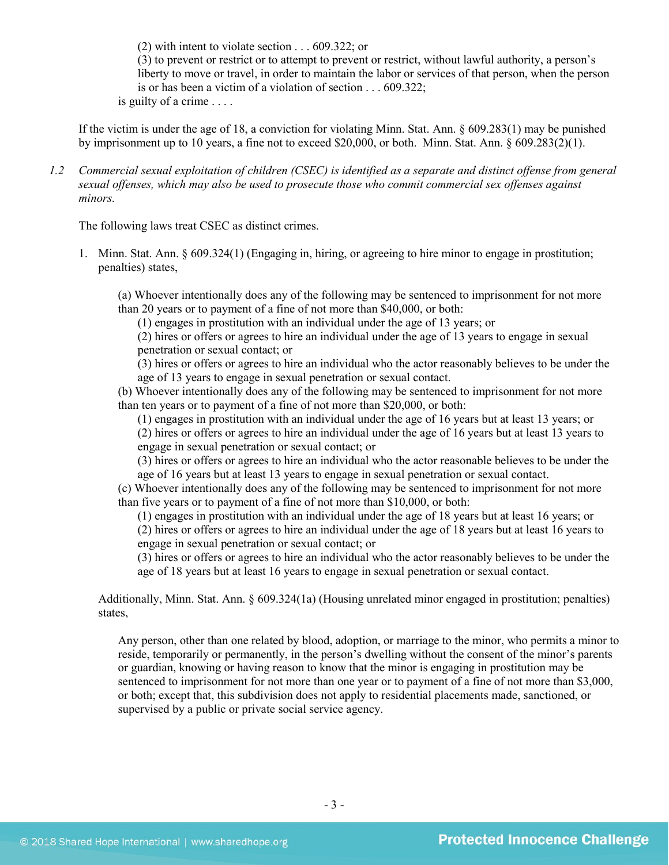(2) with intent to violate section . . . 609.322; or

(3) to prevent or restrict or to attempt to prevent or restrict, without lawful authority, a person's liberty to move or travel, in order to maintain the labor or services of that person, when the person is or has been a victim of a violation of section . . . 609.322;

is guilty of a crime . . . .

If the victim is under the age of 18, a conviction for violating Minn. Stat. Ann. § 609.283(1) may be punished by imprisonment up to 10 years, a fine not to exceed \$20,000, or both. Minn. Stat. Ann. § 609.283(2)(1).

*1.2 Commercial sexual exploitation of children (CSEC) is identified as a separate and distinct offense from general sexual offenses, which may also be used to prosecute those who commit commercial sex offenses against minors.*

The following laws treat CSEC as distinct crimes.

1. Minn. Stat. Ann. § 609.324(1) (Engaging in, hiring, or agreeing to hire minor to engage in prostitution; penalties) states,

(a) Whoever intentionally does any of the following may be sentenced to imprisonment for not more than 20 years or to payment of a fine of not more than \$40,000, or both:

(1) engages in prostitution with an individual under the age of 13 years; or

(2) hires or offers or agrees to hire an individual under the age of 13 years to engage in sexual penetration or sexual contact; or

(3) hires or offers or agrees to hire an individual who the actor reasonably believes to be under the age of 13 years to engage in sexual penetration or sexual contact.

(b) Whoever intentionally does any of the following may be sentenced to imprisonment for not more than ten years or to payment of a fine of not more than \$20,000, or both:

(1) engages in prostitution with an individual under the age of 16 years but at least 13 years; or (2) hires or offers or agrees to hire an individual under the age of 16 years but at least 13 years to engage in sexual penetration or sexual contact; or

(3) hires or offers or agrees to hire an individual who the actor reasonable believes to be under the age of 16 years but at least 13 years to engage in sexual penetration or sexual contact.

(c) Whoever intentionally does any of the following may be sentenced to imprisonment for not more than five years or to payment of a fine of not more than \$10,000, or both:

(1) engages in prostitution with an individual under the age of 18 years but at least 16 years; or (2) hires or offers or agrees to hire an individual under the age of 18 years but at least 16 years to engage in sexual penetration or sexual contact; or

(3) hires or offers or agrees to hire an individual who the actor reasonably believes to be under the age of 18 years but at least 16 years to engage in sexual penetration or sexual contact.

Additionally, Minn. Stat. Ann. § 609.324(1a) (Housing unrelated minor engaged in prostitution; penalties) states,

Any person, other than one related by blood, adoption, or marriage to the minor, who permits a minor to reside, temporarily or permanently, in the person's dwelling without the consent of the minor's parents or guardian, knowing or having reason to know that the minor is engaging in prostitution may be sentenced to imprisonment for not more than one year or to payment of a fine of not more than \$3,000, or both; except that, this subdivision does not apply to residential placements made, sanctioned, or supervised by a public or private social service agency.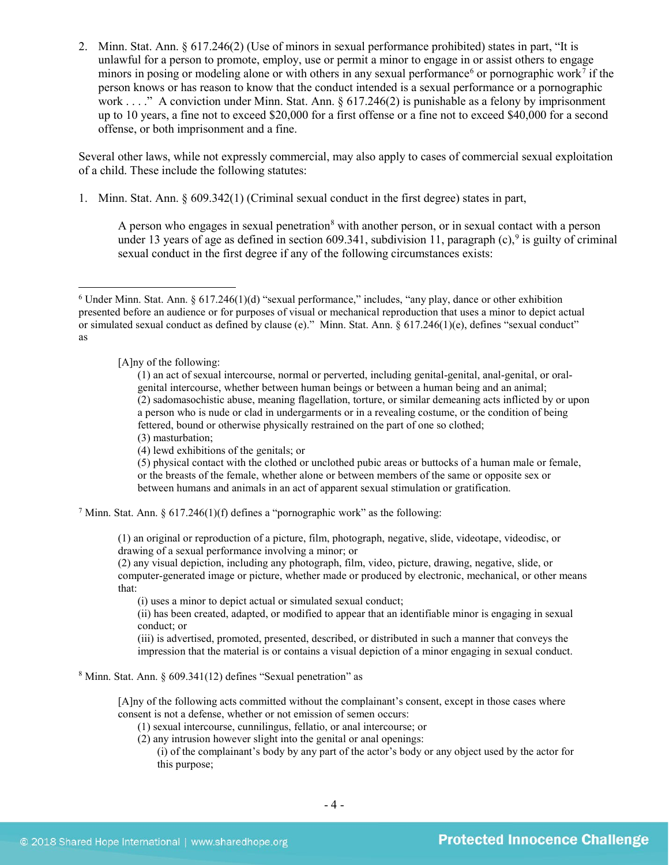2. Minn. Stat. Ann. § 617.246(2) (Use of minors in sexual performance prohibited) states in part, "It is unlawful for a person to promote, employ, use or permit a minor to engage in or assist others to engage minors in posing or modeling alone or with others in any sexual performance<sup>[6](#page-3-0)</sup> or pornographic work<sup>[7](#page-3-1)</sup> if the person knows or has reason to know that the conduct intended is a sexual performance or a pornographic work . . . ." A conviction under Minn. Stat. Ann. § 617.246(2) is punishable as a felony by imprisonment up to 10 years, a fine not to exceed \$20,000 for a first offense or a fine not to exceed \$40,000 for a second offense, or both imprisonment and a fine.

Several other laws, while not expressly commercial, may also apply to cases of commercial sexual exploitation of a child. These include the following statutes:

1. Minn. Stat. Ann. § 609.342(1) (Criminal sexual conduct in the first degree) states in part,

<span id="page-3-5"></span><span id="page-3-4"></span><span id="page-3-3"></span>A person who engages in sexual penetration<sup>[8](#page-3-2)</sup> with another person, or in sexual contact with a person under 13 years of age as defined in section 60[9](#page-3-1).341, subdivision 11, paragraph (c),<sup>9</sup> is guilty of criminal sexual conduct in the first degree if any of the following circumstances exists:

[A]ny of the following:

(1) an act of sexual intercourse, normal or perverted, including genital-genital, anal-genital, or oralgenital intercourse, whether between human beings or between a human being and an animal; (2) sadomasochistic abuse, meaning flagellation, torture, or similar demeaning acts inflicted by or upon a person who is nude or clad in undergarments or in a revealing costume, or the condition of being fettered, bound or otherwise physically restrained on the part of one so clothed;

(3) masturbation;

(4) lewd exhibitions of the genitals; or

(5) physical contact with the clothed or unclothed pubic areas or buttocks of a human male or female, or the breasts of the female, whether alone or between members of the same or opposite sex or between humans and animals in an act of apparent sexual stimulation or gratification.

<span id="page-3-1"></span><sup>7</sup> Minn. Stat. Ann. § 617.246(1)(f) defines a "pornographic work" as the following:

(1) an original or reproduction of a picture, film, photograph, negative, slide, videotape, videodisc, or drawing of a sexual performance involving a minor; or

(2) any visual depiction, including any photograph, film, video, picture, drawing, negative, slide, or computer-generated image or picture, whether made or produced by electronic, mechanical, or other means that:

(i) uses a minor to depict actual or simulated sexual conduct;

(ii) has been created, adapted, or modified to appear that an identifiable minor is engaging in sexual conduct; or

(iii) is advertised, promoted, presented, described, or distributed in such a manner that conveys the impression that the material is or contains a visual depiction of a minor engaging in sexual conduct.

<span id="page-3-2"></span><sup>8</sup> Minn. Stat. Ann. § 609.341(12) defines "Sexual penetration" as

[A]ny of the following acts committed without the complainant's consent, except in those cases where consent is not a defense, whether or not emission of semen occurs:

(1) sexual intercourse, cunnilingus, fellatio, or anal intercourse; or

(2) any intrusion however slight into the genital or anal openings:

(i) of the complainant's body by any part of the actor's body or any object used by the actor for this purpose;

<span id="page-3-0"></span> $6$  Under Minn. Stat. Ann.  $6$  617.246(1)(d) "sexual performance," includes, "any play, dance or other exhibition presented before an audience or for purposes of visual or mechanical reproduction that uses a minor to depict actual or simulated sexual conduct as defined by clause (e)." Minn. Stat. Ann. § 617.246(1)(e), defines "sexual conduct" as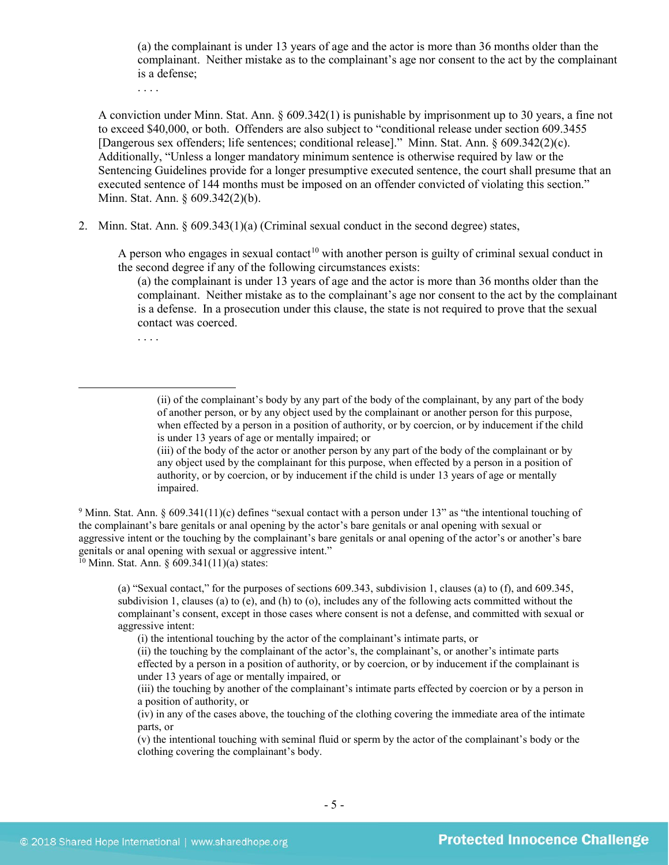(a) the complainant is under 13 years of age and the actor is more than 36 months older than the complainant. Neither mistake as to the complainant's age nor consent to the act by the complainant is a defense;

. . . .

A conviction under Minn. Stat. Ann. § 609.342(1) is punishable by imprisonment up to 30 years, a fine not to exceed \$40,000, or both. Offenders are also subject to "conditional release under section 609.3455 [Dangerous sex offenders; life sentences; conditional release]." Minn. Stat. Ann. § 609.342(2)(c). Additionally, "Unless a longer mandatory minimum sentence is otherwise required by law or the Sentencing Guidelines provide for a longer presumptive executed sentence, the court shall presume that an executed sentence of 144 months must be imposed on an offender convicted of violating this section." Minn. Stat. Ann. § 609.342(2)(b).

2. Minn. Stat. Ann. § 609.343(1)(a) (Criminal sexual conduct in the second degree) states,

A person who engages in sexual contact<sup>[10](#page-4-0)</sup> with another person is guilty of criminal sexual conduct in the second degree if any of the following circumstances exists:

(a) the complainant is under 13 years of age and the actor is more than 36 months older than the complainant. Neither mistake as to the complainant's age nor consent to the act by the complainant is a defense. In a prosecution under this clause, the state is not required to prove that the sexual contact was coerced.

. . . .

 $\overline{a}$ 

<sup>9</sup> Minn. Stat. Ann. § 609.341(11)(c) defines "sexual contact with a person under 13" as "the intentional touching of the complainant's bare genitals or anal opening by the actor's bare genitals or anal opening with sexual or aggressive intent or the touching by the complainant's bare genitals or anal opening of the actor's or another's bare genitals or anal opening with sexual or aggressive intent."

<span id="page-4-0"></span> $10$  Minn. Stat. Ann. § 609.341(11)(a) states:

(a) "Sexual contact," for the purposes of sections 609.343, subdivision 1, clauses (a) to (f), and 609.345, subdivision 1, clauses (a) to (e), and (h) to (o), includes any of the following acts committed without the complainant's consent, except in those cases where consent is not a defense, and committed with sexual or aggressive intent:

(i) the intentional touching by the actor of the complainant's intimate parts, or

(ii) the touching by the complainant of the actor's, the complainant's, or another's intimate parts effected by a person in a position of authority, or by coercion, or by inducement if the complainant is under 13 years of age or mentally impaired, or

(v) the intentional touching with seminal fluid or sperm by the actor of the complainant's body or the clothing covering the complainant's body.

<sup>(</sup>ii) of the complainant's body by any part of the body of the complainant, by any part of the body of another person, or by any object used by the complainant or another person for this purpose, when effected by a person in a position of authority, or by coercion, or by inducement if the child is under 13 years of age or mentally impaired; or

<sup>(</sup>iii) of the body of the actor or another person by any part of the body of the complainant or by any object used by the complainant for this purpose, when effected by a person in a position of authority, or by coercion, or by inducement if the child is under 13 years of age or mentally impaired.

<sup>(</sup>iii) the touching by another of the complainant's intimate parts effected by coercion or by a person in a position of authority, or

<sup>(</sup>iv) in any of the cases above, the touching of the clothing covering the immediate area of the intimate parts, or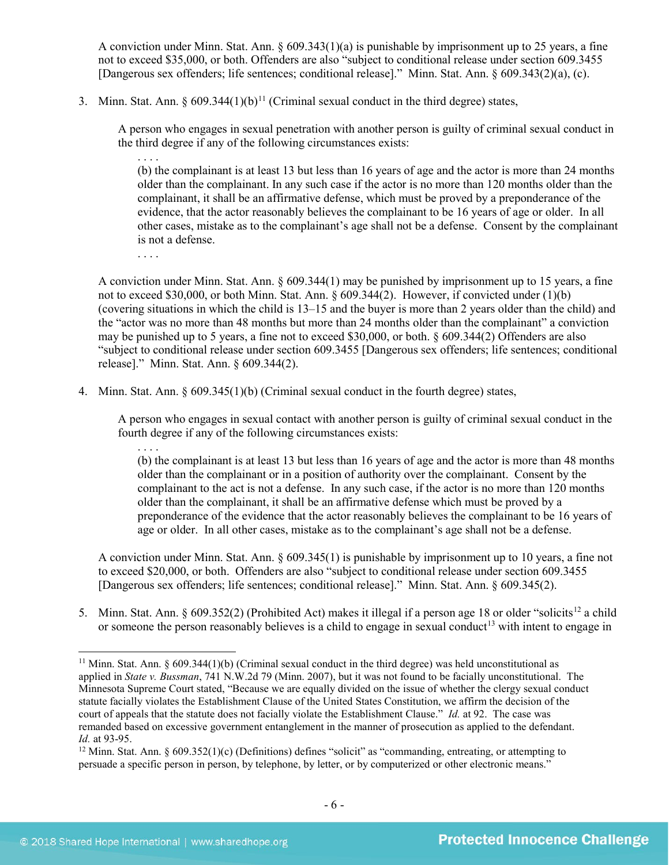A conviction under Minn. Stat. Ann.  $\S 609.343(1)(a)$  is punishable by imprisonment up to 25 years, a fine not to exceed \$35,000, or both. Offenders are also "subject to conditional release under section 609.3455 [Dangerous sex offenders; life sentences; conditional release]." Minn. Stat. Ann. § 609.343(2)(a), (c).

3. Minn. Stat. Ann. §  $609.344(1)(b)^{11}$  $609.344(1)(b)^{11}$  $609.344(1)(b)^{11}$  (Criminal sexual conduct in the third degree) states,

A person who engages in sexual penetration with another person is guilty of criminal sexual conduct in the third degree if any of the following circumstances exists:

. . . . (b) the complainant is at least 13 but less than 16 years of age and the actor is more than 24 months older than the complainant. In any such case if the actor is no more than 120 months older than the complainant, it shall be an affirmative defense, which must be proved by a preponderance of the evidence, that the actor reasonably believes the complainant to be 16 years of age or older. In all other cases, mistake as to the complainant's age shall not be a defense. Consent by the complainant is not a defense.

. . . .

A conviction under Minn. Stat. Ann. § 609.344(1) may be punished by imprisonment up to 15 years, a fine not to exceed \$30,000, or both Minn. Stat. Ann. § 609.344(2). However, if convicted under (1)(b) (covering situations in which the child is 13–15 and the buyer is more than 2 years older than the child) and the "actor was no more than 48 months but more than 24 months older than the complainant" a conviction may be punished up to 5 years, a fine not to exceed \$30,000, or both. § 609.344(2) Offenders are also "subject to conditional release under section 609.3455 [Dangerous sex offenders; life sentences; conditional release]." Minn. Stat. Ann. § 609.344(2).

4. Minn. Stat. Ann. § 609.345(1)(b) (Criminal sexual conduct in the fourth degree) states,

A person who engages in sexual contact with another person is guilty of criminal sexual conduct in the fourth degree if any of the following circumstances exists:

<span id="page-5-4"></span><span id="page-5-3"></span>. . . . (b) the complainant is at least 13 but less than 16 years of age and the actor is more than 48 months older than the complainant or in a position of authority over the complainant. Consent by the complainant to the act is not a defense. In any such case, if the actor is no more than 120 months older than the complainant, it shall be an affirmative defense which must be proved by a preponderance of the evidence that the actor reasonably believes the complainant to be 16 years of age or older. In all other cases, mistake as to the complainant's age shall not be a defense.

A conviction under Minn. Stat. Ann. § 609.345(1) is punishable by imprisonment up to 10 years, a fine not to exceed \$20,000, or both. Offenders are also "subject to conditional release under section 609.3455 [Dangerous sex offenders; life sentences; conditional release]." Minn. Stat. Ann. § 609.345(2).

5. Minn. Stat. Ann. § 609.352(2) (Prohibited Act) makes it illegal if a person age 18 or older "solicits<sup>[12](#page-5-1)</sup> a child or someone the person reasonably believes is a child to engage in sexual conduct<sup>13</sup> with intent to engage in

<span id="page-5-2"></span><span id="page-5-0"></span><sup>&</sup>lt;sup>11</sup> Minn. Stat. Ann. § 609.344(1)(b) (Criminal sexual conduct in the third degree) was held unconstitutional as applied in *State v. Bussman*, 741 N.W.2d 79 (Minn. 2007), but it was not found to be facially unconstitutional. The Minnesota Supreme Court stated, "Because we are equally divided on the issue of whether the clergy sexual conduct statute facially violates the Establishment Clause of the United States Constitution, we affirm the decision of the court of appeals that the statute does not facially violate the Establishment Clause." *Id.* at 92. The case was remanded based on excessive government entanglement in the manner of prosecution as applied to the defendant. *Id.* at 93-95.

<span id="page-5-1"></span><sup>12</sup> Minn. Stat. Ann. § 609.352(1)(c) (Definitions) defines "solicit" as "commanding, entreating, or attempting to persuade a specific person in person, by telephone, by letter, or by computerized or other electronic means."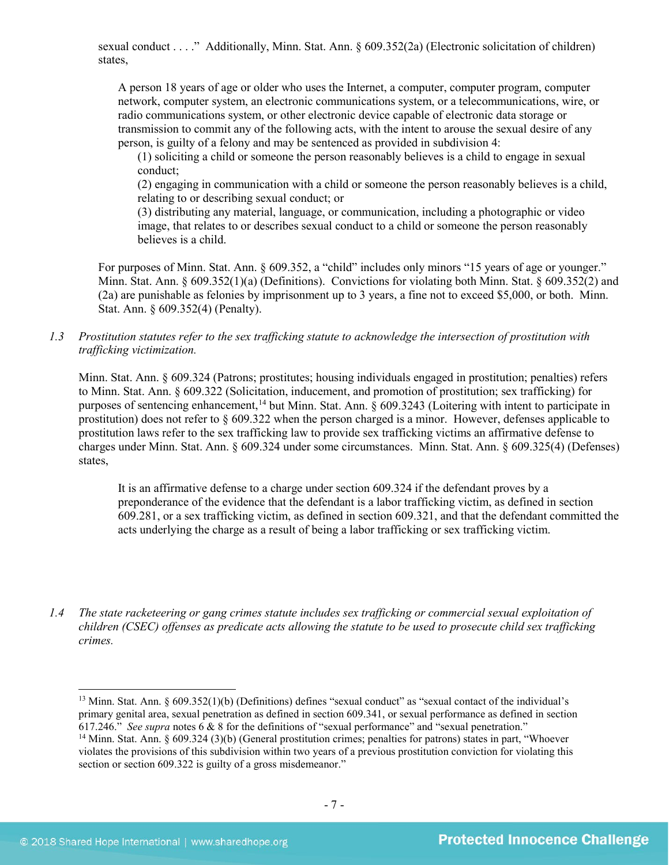sexual conduct . . . ." Additionally, Minn. Stat. Ann. § 609.352(2a) (Electronic solicitation of children) states,

A person 18 years of age or older who uses the Internet, a computer, computer program, computer network, computer system, an electronic communications system, or a telecommunications, wire, or radio communications system, or other electronic device capable of electronic data storage or transmission to commit any of the following acts, with the intent to arouse the sexual desire of any person, is guilty of a felony and may be sentenced as provided in subdivision 4:

(1) soliciting a child or someone the person reasonably believes is a child to engage in sexual conduct;

(2) engaging in communication with a child or someone the person reasonably believes is a child, relating to or describing sexual conduct; or

(3) distributing any material, language, or communication, including a photographic or video image, that relates to or describes sexual conduct to a child or someone the person reasonably believes is a child.

For purposes of Minn. Stat. Ann. § 609.352, a "child" includes only minors "15 years of age or younger." Minn. Stat. Ann. § 609.352(1)(a) (Definitions). Convictions for violating both Minn. Stat. § 609.352(2) and (2a) are punishable as felonies by imprisonment up to 3 years, a fine not to exceed \$5,000, or both. Minn. Stat. Ann. § 609.352(4) (Penalty).

*1.3 Prostitution statutes refer to the sex trafficking statute to acknowledge the intersection of prostitution with trafficking victimization.* 

Minn. Stat. Ann. § 609.324 (Patrons; prostitutes; housing individuals engaged in prostitution; penalties) refers to Minn. Stat. Ann. § 609.322 (Solicitation, inducement, and promotion of prostitution; sex trafficking) for purposes of sentencing enhancement,<sup>[14](#page-6-0)</sup> but Minn. Stat. Ann. § 609.3243 (Loitering with intent to participate in prostitution) does not refer to § 609.322 when the person charged is a minor. However, defenses applicable to prostitution laws refer to the sex trafficking law to provide sex trafficking victims an affirmative defense to charges under Minn. Stat. Ann. § 609.324 under some circumstances. Minn. Stat. Ann. § 609.325(4) (Defenses) states,

It is an affirmative defense to a charge under section 609.324 if the defendant proves by a preponderance of the evidence that the defendant is a labor trafficking victim, as defined in section 609.281, or a sex trafficking victim, as defined in section 609.321, and that the defendant committed the acts underlying the charge as a result of being a labor trafficking or sex trafficking victim.

*1.4 The state racketeering or gang crimes statute includes sex trafficking or commercial sexual exploitation of children (CSEC) offenses as predicate acts allowing the statute to be used to prosecute child sex trafficking crimes.* 

<sup>&</sup>lt;sup>13</sup> Minn. Stat. Ann. § 609.352(1)(b) (Definitions) defines "sexual conduct" as "sexual contact of the individual's primary genital area, sexual penetration as defined in section 609.341, or sexual performance as defined in section 617.246." *See supra* note[s 6](#page-3-3) & [8](#page-3-4) for the definitions of "sexual performance" and "sexual penetration."

<span id="page-6-0"></span><sup>&</sup>lt;sup>14</sup> Minn. Stat. Ann. § 609.324 (3)(b) (General prostitution crimes; penalties for patrons) states in part, "Whoever violates the provisions of this subdivision within two years of a previous prostitution conviction for violating this section or section 609.322 is guilty of a gross misdemeanor."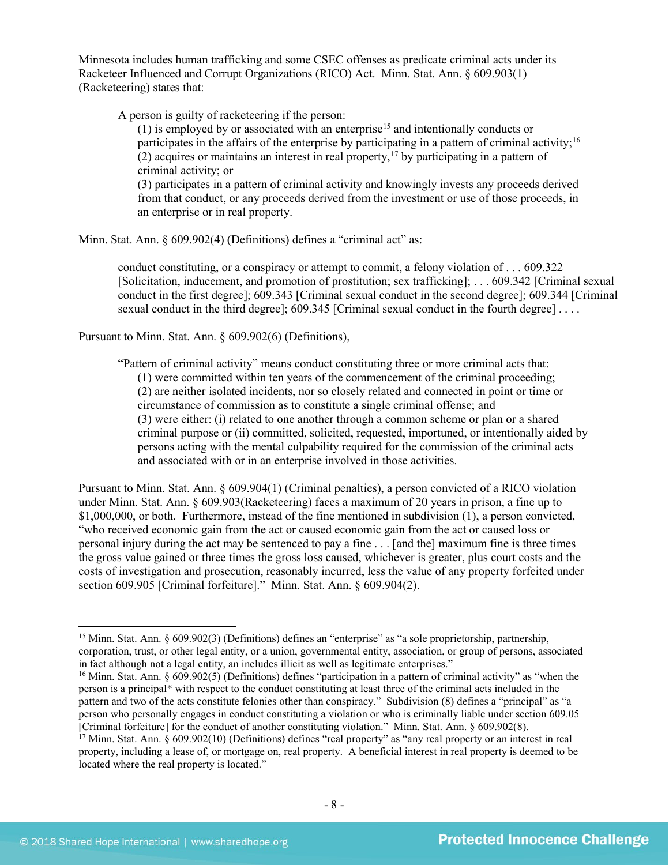Minnesota includes human trafficking and some CSEC offenses as predicate criminal acts under its Racketeer Influenced and Corrupt Organizations (RICO) Act. Minn. Stat. Ann. § 609.903(1) (Racketeering) states that:

A person is guilty of racketeering if the person:

 $(1)$  is employed by or associated with an enterprise<sup>[15](#page-7-0)</sup> and intentionally conducts or participates in the affairs of the enterprise by participating in a pattern of criminal activity;<sup>[16](#page-7-1)</sup>  $(2)$  acquires or maintains an interest in real property,<sup>[17](#page-7-2)</sup> by participating in a pattern of criminal activity; or (3) participates in a pattern of criminal activity and knowingly invests any proceeds derived from that conduct, or any proceeds derived from the investment or use of those proceeds, in

an enterprise or in real property.

Minn. Stat. Ann. § 609.902(4) (Definitions) defines a "criminal act" as:

conduct constituting, or a conspiracy or attempt to commit, a felony violation of . . . 609.322 [Solicitation, inducement, and promotion of prostitution; sex trafficking]; . . . 609.342 [Criminal sexual conduct in the first degree]; 609.343 [Criminal sexual conduct in the second degree]; 609.344 [Criminal sexual conduct in the third degree]; 609.345 [Criminal sexual conduct in the fourth degree] . . . .

Pursuant to Minn. Stat. Ann. § 609.902(6) (Definitions),

"Pattern of criminal activity" means conduct constituting three or more criminal acts that: (1) were committed within ten years of the commencement of the criminal proceeding; (2) are neither isolated incidents, nor so closely related and connected in point or time or circumstance of commission as to constitute a single criminal offense; and (3) were either: (i) related to one another through a common scheme or plan or a shared criminal purpose or (ii) committed, solicited, requested, importuned, or intentionally aided by persons acting with the mental culpability required for the commission of the criminal acts and associated with or in an enterprise involved in those activities.

Pursuant to Minn. Stat. Ann. § 609.904(1) (Criminal penalties), a person convicted of a RICO violation under Minn. Stat. Ann. § 609.903(Racketeering) faces a maximum of 20 years in prison, a fine up to \$1,000,000, or both. Furthermore, instead of the fine mentioned in subdivision (1), a person convicted, "who received economic gain from the act or caused economic gain from the act or caused loss or personal injury during the act may be sentenced to pay a fine . . . [and the] maximum fine is three times the gross value gained or three times the gross loss caused, whichever is greater, plus court costs and the costs of investigation and prosecution, reasonably incurred, less the value of any property forfeited under section 609.905 [Criminal forfeiture]." Minn. Stat. Ann. § 609.904(2).

<span id="page-7-0"></span> <sup>15</sup> Minn. Stat. Ann. § 609.902(3) (Definitions) defines an "enterprise" as "a sole proprietorship, partnership, corporation, trust, or other legal entity, or a union, governmental entity, association, or group of persons, associated in fact although not a legal entity, an includes illicit as well as legitimate enterprises."

<span id="page-7-1"></span><sup>&</sup>lt;sup>16</sup> Minn. Stat. Ann. § 609.902(5) (Definitions) defines "participation in a pattern of criminal activity" as "when the person is a principal\* with respect to the conduct constituting at least three of the criminal acts included in the pattern and two of the acts constitute felonies other than conspiracy." Subdivision (8) defines a "principal" as "a person who personally engages in conduct constituting a violation or who is criminally liable under section 609.05 [Criminal forfeiture] for the conduct of another constituting violation." Minn. Stat. Ann. § 609.902(8).

<span id="page-7-2"></span> $17$  Minn. Stat. Ann. § 609.902(10) (Definitions) defines "real property" as "any real property or an interest in real property, including a lease of, or mortgage on, real property. A beneficial interest in real property is deemed to be located where the real property is located."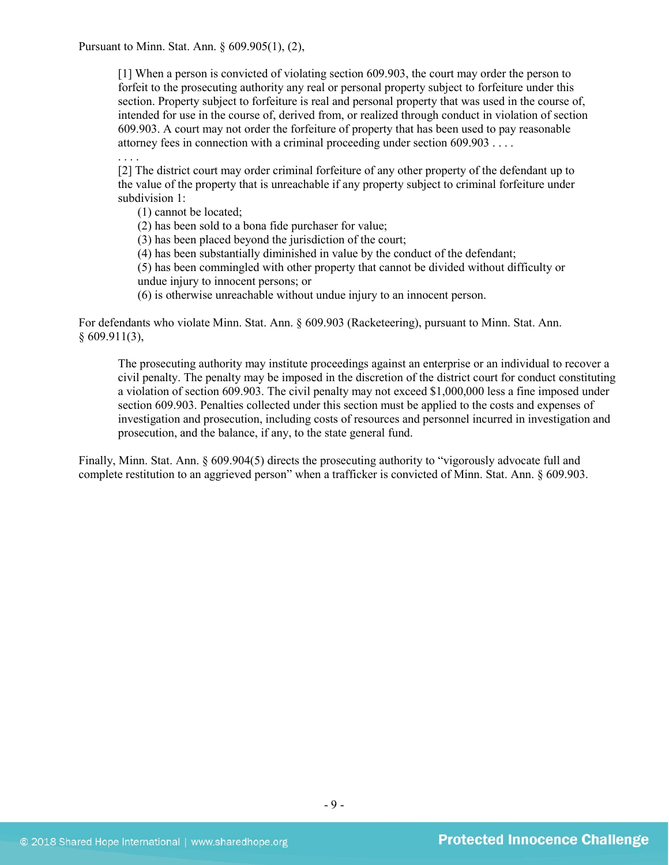Pursuant to Minn. Stat. Ann. § 609.905(1), (2),

[1] When a person is convicted of violating section 609.903, the court may order the person to forfeit to the prosecuting authority any real or personal property subject to forfeiture under this section. Property subject to forfeiture is real and personal property that was used in the course of, intended for use in the course of, derived from, or realized through conduct in violation of section 609.903. A court may not order the forfeiture of property that has been used to pay reasonable attorney fees in connection with a criminal proceeding under section 609.903 . . . .

[2] The district court may order criminal forfeiture of any other property of the defendant up to the value of the property that is unreachable if any property subject to criminal forfeiture under subdivision 1:

(1) cannot be located;

. . . .

(2) has been sold to a bona fide purchaser for value;

(3) has been placed beyond the jurisdiction of the court;

(4) has been substantially diminished in value by the conduct of the defendant;

(5) has been commingled with other property that cannot be divided without difficulty or undue injury to innocent persons; or

(6) is otherwise unreachable without undue injury to an innocent person.

For defendants who violate Minn. Stat. Ann. § 609.903 (Racketeering), pursuant to Minn. Stat. Ann.  $§ 609.911(3),$ 

The prosecuting authority may institute proceedings against an enterprise or an individual to recover a civil penalty. The penalty may be imposed in the discretion of the district court for conduct constituting a violation of section 609.903. The civil penalty may not exceed \$1,000,000 less a fine imposed under section 609.903. Penalties collected under this section must be applied to the costs and expenses of investigation and prosecution, including costs of resources and personnel incurred in investigation and prosecution, and the balance, if any, to the state general fund.

Finally, Minn. Stat. Ann. § 609.904(5) directs the prosecuting authority to "vigorously advocate full and complete restitution to an aggrieved person" when a trafficker is convicted of Minn. Stat. Ann. § 609.903.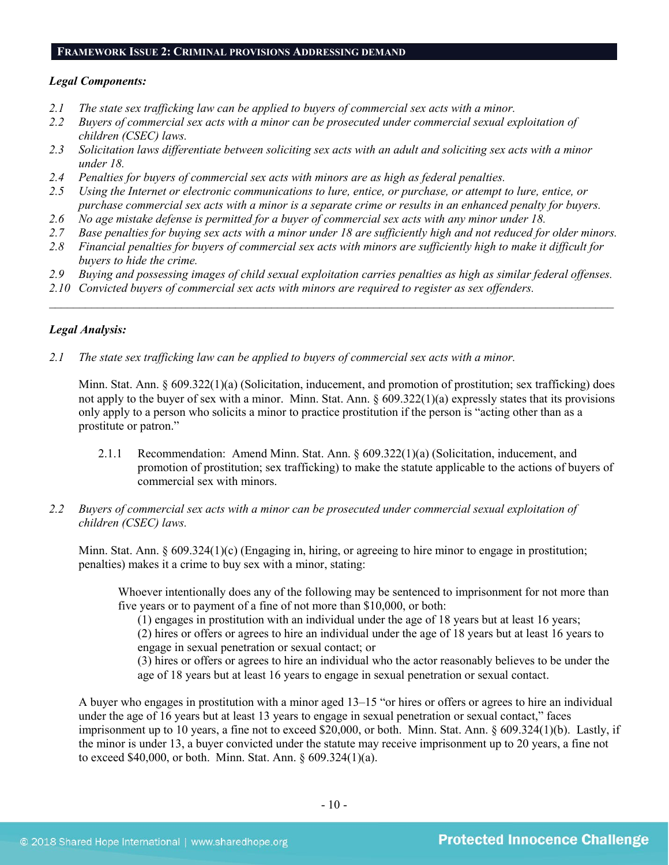#### **FRAMEWORK ISSUE 2: CRIMINAL PROVISIONS ADDRESSING DEMAND**

#### *Legal Components:*

- *2.1 The state sex trafficking law can be applied to buyers of commercial sex acts with a minor.*
- *2.2 Buyers of commercial sex acts with a minor can be prosecuted under commercial sexual exploitation of children (CSEC) laws.*
- *2.3 Solicitation laws differentiate between soliciting sex acts with an adult and soliciting sex acts with a minor under 18.*
- *2.4 Penalties for buyers of commercial sex acts with minors are as high as federal penalties.*
- *2.5 Using the Internet or electronic communications to lure, entice, or purchase, or attempt to lure, entice, or purchase commercial sex acts with a minor is a separate crime or results in an enhanced penalty for buyers.*
- *2.6 No age mistake defense is permitted for a buyer of commercial sex acts with any minor under 18.*
- *2.7 Base penalties for buying sex acts with a minor under 18 are sufficiently high and not reduced for older minors.*
- *2.8 Financial penalties for buyers of commercial sex acts with minors are sufficiently high to make it difficult for buyers to hide the crime.*
- *2.9 Buying and possessing images of child sexual exploitation carries penalties as high as similar federal offenses.*

 $\mathcal{L}_\mathcal{L} = \mathcal{L}_\mathcal{L} = \mathcal{L}_\mathcal{L} = \mathcal{L}_\mathcal{L} = \mathcal{L}_\mathcal{L} = \mathcal{L}_\mathcal{L} = \mathcal{L}_\mathcal{L} = \mathcal{L}_\mathcal{L} = \mathcal{L}_\mathcal{L} = \mathcal{L}_\mathcal{L} = \mathcal{L}_\mathcal{L} = \mathcal{L}_\mathcal{L} = \mathcal{L}_\mathcal{L} = \mathcal{L}_\mathcal{L} = \mathcal{L}_\mathcal{L} = \mathcal{L}_\mathcal{L} = \mathcal{L}_\mathcal{L}$ 

*2.10 Convicted buyers of commercial sex acts with minors are required to register as sex offenders.*

#### *Legal Analysis:*

*2.1 The state sex trafficking law can be applied to buyers of commercial sex acts with a minor.*

Minn. Stat. Ann. § 609.322(1)(a) (Solicitation, inducement, and promotion of prostitution; sex trafficking) does not apply to the buyer of sex with a minor. Minn. Stat. Ann. § 609.322(1)(a) expressly states that its provisions only apply to a person who solicits a minor to practice prostitution if the person is "acting other than as a prostitute or patron."

- 2.1.1 Recommendation: Amend Minn. Stat. Ann. § 609.322(1)(a) (Solicitation, inducement, and promotion of prostitution; sex trafficking) to make the statute applicable to the actions of buyers of commercial sex with minors.
- *2.2 Buyers of commercial sex acts with a minor can be prosecuted under commercial sexual exploitation of children (CSEC) laws.*

Minn. Stat. Ann. § 609.324(1)(c) (Engaging in, hiring, or agreeing to hire minor to engage in prostitution; penalties) makes it a crime to buy sex with a minor, stating:

Whoever intentionally does any of the following may be sentenced to imprisonment for not more than five years or to payment of a fine of not more than \$10,000, or both:

 $(1)$  engages in prostitution with an individual under the age of 18 years but at least 16 years; (2) hires or offers or agrees to hire an individual under the age of 18 years but at least 16 years to engage in sexual penetration or sexual contact; or

(3) hires or offers or agrees to hire an individual who the actor reasonably believes to be under the age of 18 years but at least 16 years to engage in sexual penetration or sexual contact.

A buyer who engages in prostitution with a minor aged 13–15 "or hires or offers or agrees to hire an individual under the age of 16 years but at least 13 years to engage in sexual penetration or sexual contact," faces imprisonment up to 10 years, a fine not to exceed \$20,000, or both. Minn. Stat. Ann. § 609.324(1)(b). Lastly, if the minor is under 13, a buyer convicted under the statute may receive imprisonment up to 20 years, a fine not to exceed \$40,000, or both. Minn. Stat. Ann. § 609.324(1)(a).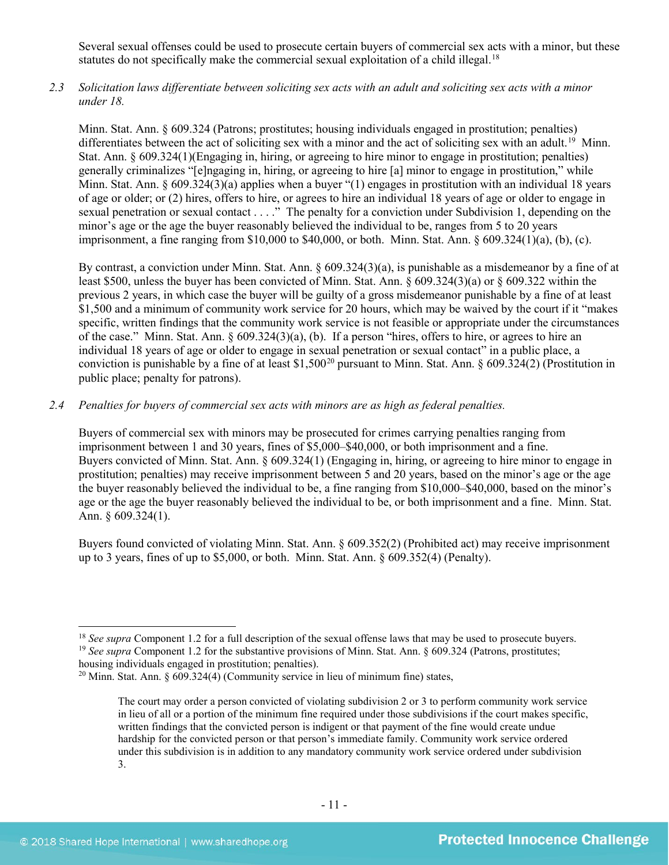Several sexual offenses could be used to prosecute certain buyers of commercial sex acts with a minor, but these statutes do not specifically make the commercial sexual exploitation of a child illegal.<sup>[18](#page-10-0)</sup>

*2.3 Solicitation laws differentiate between soliciting sex acts with an adult and soliciting sex acts with a minor under 18.*

Minn. Stat. Ann. § 609.324 (Patrons; prostitutes; housing individuals engaged in prostitution; penalties) differentiates between the act of soliciting sex with a minor and the act of soliciting sex with an adult.<sup>19</sup> Minn. Stat. Ann. § 609.324(1)(Engaging in, hiring, or agreeing to hire minor to engage in prostitution; penalties) generally criminalizes "[e]ngaging in, hiring, or agreeing to hire [a] minor to engage in prostitution," while Minn. Stat. Ann. § 609.324(3)(a) applies when a buyer "(1) engages in prostitution with an individual 18 years of age or older; or (2) hires, offers to hire, or agrees to hire an individual 18 years of age or older to engage in sexual penetration or sexual contact . . . ." The penalty for a conviction under Subdivision 1, depending on the minor's age or the age the buyer reasonably believed the individual to be, ranges from 5 to 20 years imprisonment, a fine ranging from \$10,000 to \$40,000, or both. Minn. Stat. Ann. § 609.324(1)(a), (b), (c).

By contrast, a conviction under Minn. Stat. Ann. § 609.324(3)(a), is punishable as a misdemeanor by a fine of at least \$500, unless the buyer has been convicted of Minn. Stat. Ann. § 609.324(3)(a) or § 609.322 within the previous 2 years, in which case the buyer will be guilty of a gross misdemeanor punishable by a fine of at least \$1,500 and a minimum of community work service for 20 hours, which may be waived by the court if it "makes specific, written findings that the community work service is not feasible or appropriate under the circumstances of the case." Minn. Stat. Ann. § 609.324(3)(a), (b). If a person "hires, offers to hire, or agrees to hire an individual 18 years of age or older to engage in sexual penetration or sexual contact" in a public place, a conviction is punishable by a fine of at least \$1,500<sup>[20](#page-10-2)</sup> pursuant to Minn. Stat. Ann. § 609.324(2) (Prostitution in public place; penalty for patrons).

# *2.4 Penalties for buyers of commercial sex acts with minors are as high as federal penalties.*

Buyers of commercial sex with minors may be prosecuted for crimes carrying penalties ranging from imprisonment between 1 and 30 years, fines of \$5,000–\$40,000, or both imprisonment and a fine. Buyers convicted of Minn. Stat. Ann. § 609.324(1) (Engaging in, hiring, or agreeing to hire minor to engage in prostitution; penalties) may receive imprisonment between 5 and 20 years, based on the minor's age or the age the buyer reasonably believed the individual to be, a fine ranging from \$10,000–\$40,000, based on the minor's age or the age the buyer reasonably believed the individual to be, or both imprisonment and a fine. Minn. Stat. Ann. § 609.324(1).

Buyers found convicted of violating Minn. Stat. Ann. § 609.352(2) (Prohibited act) may receive imprisonment up to 3 years, fines of up to  $$5,000$ , or both. Minn. Stat. Ann.  $§$  609.352(4) (Penalty).

<span id="page-10-1"></span><span id="page-10-0"></span><sup>&</sup>lt;sup>18</sup> *See supra* Component 1.2 for a full description of the sexual offense laws that may be used to prosecute buyers. <sup>19</sup> *See supra* Component 1.2 for the substantive provisions of Minn. Stat. Ann. § 609.324 (Patrons, prostitutes; housing individuals engaged in prostitution; penalties).

<span id="page-10-2"></span> $20$  Minn. Stat. Ann. § 609.324(4) (Community service in lieu of minimum fine) states,

The court may order a person convicted of violating subdivision 2 or 3 to perform community work service in lieu of all or a portion of the minimum fine required under those subdivisions if the court makes specific, written findings that the convicted person is indigent or that payment of the fine would create undue hardship for the convicted person or that person's immediate family. Community work service ordered under this subdivision is in addition to any mandatory community work service ordered under subdivision 3.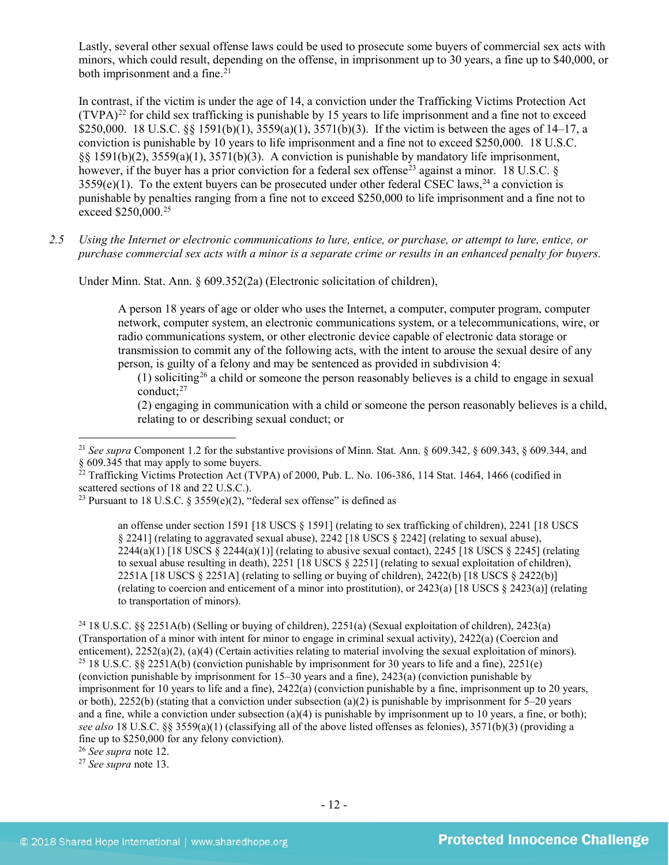Lastly, several other sexual offense laws could be used to prosecute some buyers of commercial sex acts with minors, which could result, depending on the offense, in imprisonment up to 30 years, a fine up to \$40,000, or both imprisonment and a fine. $21$ 

<span id="page-11-7"></span>In contrast, if the victim is under the age of 14, a conviction under the Trafficking Victims Protection Act  $(TVPA)^{22}$  $(TVPA)^{22}$  $(TVPA)^{22}$  for child sex trafficking is punishable by 15 years to life imprisonment and a fine not to exceed \$250,000. 18 U.S.C. §§ 1591(b)(1), 3559(a)(1), 3571(b)(3). If the victim is between the ages of 14–17, a conviction is punishable by 10 years to life imprisonment and a fine not to exceed \$250,000. 18 U.S.C. §§ 1591(b)(2), 3559(a)(1), 3571(b)(3). A conviction is punishable by mandatory life imprisonment, however, if the buyer has a prior conviction for a federal sex offense<sup>[23](#page-11-2)</sup> against a minor. 18 U.S.C. 8  $3559(e)(1)$ . To the extent buyers can be prosecuted under other federal CSEC laws,<sup>[24](#page-11-3)</sup> a conviction is punishable by penalties ranging from a fine not to exceed \$250,000 to life imprisonment and a fine not to exceed \$250,000.<sup>25</sup>

*2.5 Using the Internet or electronic communications to lure, entice, or purchase, or attempt to lure, entice, or purchase commercial sex acts with a minor is a separate crime or results in an enhanced penalty for buyers.*

Under Minn. Stat. Ann. § 609.352(2a) (Electronic solicitation of children),

<span id="page-11-8"></span>A person 18 years of age or older who uses the Internet, a computer, computer program, computer network, computer system, an electronic communications system, or a telecommunications, wire, or radio communications system, or other electronic device capable of electronic data storage or transmission to commit any of the following acts, with the intent to arouse the sexual desire of any person, is guilty of a felony and may be sentenced as provided in subdivision 4:

(1) soliciting<sup>[26](#page-11-5)</sup> a child or someone the person reasonably believes is a child to engage in sexual conduct; $^{27}$  $^{27}$  $^{27}$ 

(2) engaging in communication with a child or someone the person reasonably believes is a child, relating to or describing sexual conduct; or

an offense under section 1591 [18 USCS § 1591] (relating to sex trafficking of children), 2241 [18 USCS § 2241] (relating to aggravated sexual abuse), 2242 [18 USCS § 2242] (relating to sexual abuse),  $2244(a)(1)$  [18 USCS  $\S$   $2244(a)(1)$ ] (relating to abusive sexual contact),  $2245$  [18 USCS  $\S$   $2245$ ] (relating to sexual abuse resulting in death), 2251 [18 USCS § 2251] (relating to sexual exploitation of children), 2251A [18 USCS § 2251A] (relating to selling or buying of children), 2422(b) [18 USCS § 2422(b)] (relating to coercion and enticement of a minor into prostitution), or 2423(a) [18 USCS  $\S$  2423(a)] (relating to transportation of minors).

<span id="page-11-4"></span><span id="page-11-3"></span><sup>24</sup> 18 U.S.C. §§ 2251A(b) (Selling or buying of children), 2251(a) (Sexual exploitation of children), 2423(a) (Transportation of a minor with intent for minor to engage in criminal sexual activity), 2422(a) (Coercion and enticement), 2252(a)(2), (a)(4) (Certain activities relating to material involving the sexual exploitation of minors). <sup>25</sup> 18 U.S.C. §§ 2251A(b) (conviction punishable by imprisonment for 30 years to life and a fine), 2251(e) (conviction punishable by imprisonment for 15–30 years and a fine), 2423(a) (conviction punishable by imprisonment for 10 years to life and a fine), 2422(a) (conviction punishable by a fine, imprisonment up to 20 years, or both),  $2252(b)$  (stating that a conviction under subsection (a)(2) is punishable by imprisonment for 5–20 years and a fine, while a conviction under subsection (a)(4) is punishable by imprisonment up to 10 years, a fine, or both); *see also* 18 U.S.C. §§ 3559(a)(1) (classifying all of the above listed offenses as felonies), 3571(b)(3) (providing a fine up to \$250,000 for any felony conviction).

<span id="page-11-6"></span><sup>27</sup> *See supra* note [13.](#page-5-4)

<span id="page-11-0"></span> <sup>21</sup> *See supra* Component 1.2 for the substantive provisions of Minn. Stat. Ann. § 609.342, § 609.343, § 609.344, and § 609.345 that may apply to some buyers.

<span id="page-11-1"></span> $^{22}$  Trafficking Victims Protection Act (TVPA) of 2000, Pub. L. No. 106-386, 114 Stat. 1464, 1466 (codified in scattered sections of 18 and 22 U.S.C.).

<span id="page-11-2"></span><sup>&</sup>lt;sup>23</sup> Pursuant to 18 U.S.C. § 3559(e)(2), "federal sex offense" is defined as

<span id="page-11-5"></span><sup>26</sup> *See supra* note [12.](#page-5-3)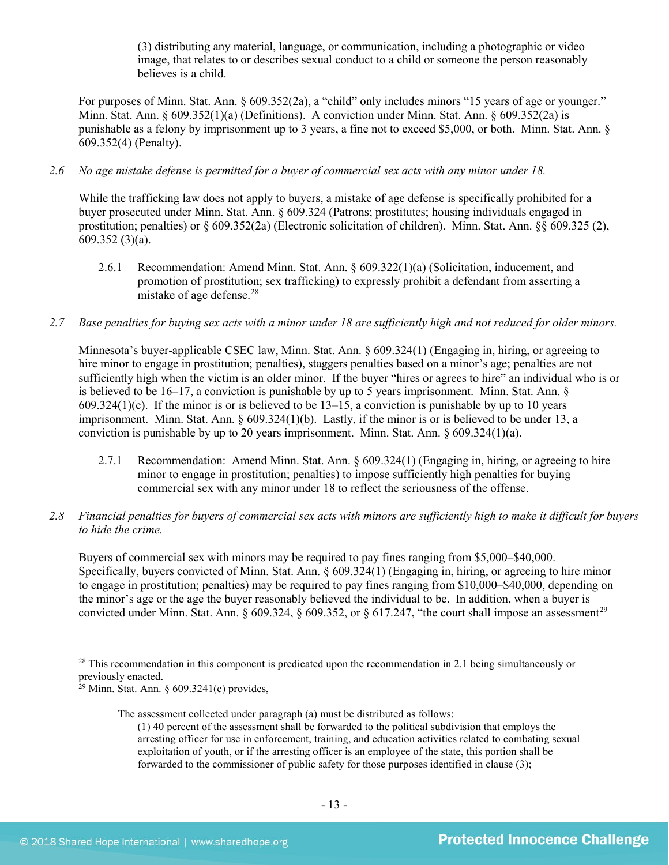(3) distributing any material, language, or communication, including a photographic or video image, that relates to or describes sexual conduct to a child or someone the person reasonably believes is a child.

For purposes of Minn. Stat. Ann. § 609.352(2a), a "child" only includes minors "15 years of age or younger." Minn. Stat. Ann. § 609.352(1)(a) (Definitions). A conviction under Minn. Stat. Ann. § 609.352(2a) is punishable as a felony by imprisonment up to 3 years, a fine not to exceed \$5,000, or both. Minn. Stat. Ann. § 609.352(4) (Penalty).

# *2.6 No age mistake defense is permitted for a buyer of commercial sex acts with any minor under 18.*

While the trafficking law does not apply to buyers, a mistake of age defense is specifically prohibited for a buyer prosecuted under Minn. Stat. Ann. § 609.324 (Patrons; prostitutes; housing individuals engaged in prostitution; penalties) or § 609.352(2a) (Electronic solicitation of children). Minn. Stat. Ann. §§ 609.325 (2), 609.352 (3)(a).

- 2.6.1 Recommendation: Amend Minn. Stat. Ann. § 609.322(1)(a) (Solicitation, inducement, and promotion of prostitution; sex trafficking) to expressly prohibit a defendant from asserting a mistake of age defense.<sup>[28](#page-12-0)</sup>
- *2.7 Base penalties for buying sex acts with a minor under 18 are sufficiently high and not reduced for older minors.*

Minnesota's buyer-applicable CSEC law, Minn. Stat. Ann. § 609.324(1) (Engaging in, hiring, or agreeing to hire minor to engage in prostitution; penalties), staggers penalties based on a minor's age; penalties are not sufficiently high when the victim is an older minor. If the buyer "hires or agrees to hire" an individual who is or is believed to be 16–17, a conviction is punishable by up to 5 years imprisonment. Minn. Stat. Ann. § 609.324(1)(c). If the minor is or is believed to be  $13-15$ , a conviction is punishable by up to 10 years imprisonment. Minn. Stat. Ann. § 609.324(1)(b). Lastly, if the minor is or is believed to be under 13, a conviction is punishable by up to 20 years imprisonment. Minn. Stat. Ann. § 609.324(1)(a).

- 2.7.1 Recommendation: Amend Minn. Stat. Ann. § 609.324(1) (Engaging in, hiring, or agreeing to hire minor to engage in prostitution; penalties) to impose sufficiently high penalties for buying commercial sex with any minor under 18 to reflect the seriousness of the offense.
- *2.8 Financial penalties for buyers of commercial sex acts with minors are sufficiently high to make it difficult for buyers to hide the crime.*

Buyers of commercial sex with minors may be required to pay fines ranging from \$5,000–\$40,000. Specifically, buyers convicted of Minn. Stat. Ann. § 609.324(1) (Engaging in, hiring, or agreeing to hire minor to engage in prostitution; penalties) may be required to pay fines ranging from \$10,000–\$40,000, depending on the minor's age or the age the buyer reasonably believed the individual to be. In addition, when a buyer is convicted under Minn. Stat. Ann. § 609.324, § 609.352, or § 617.247, "the court shall impose an assessment<sup>[29](#page-12-1)</sup>

The assessment collected under paragraph (a) must be distributed as follows:

<span id="page-12-0"></span><sup>&</sup>lt;sup>28</sup> This recommendation in this component is predicated upon the recommendation in 2.1 being simultaneously or previously enacted.

<span id="page-12-1"></span> $29$  Minn. Stat. Ann. § 609.3241(c) provides,

<span id="page-12-2"></span><sup>(1) 40</sup> percent of the assessment shall be forwarded to the political subdivision that employs the arresting officer for use in enforcement, training, and education activities related to combating sexual exploitation of youth, or if the arresting officer is an employee of the state, this portion shall be forwarded to the commissioner of public safety for those purposes identified in clause (3);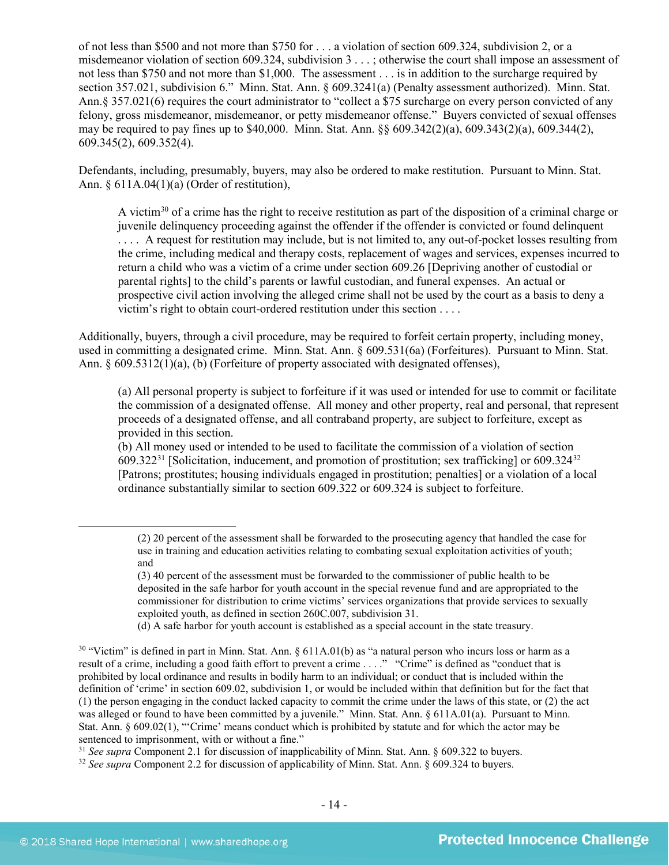of not less than \$500 and not more than \$750 for . . . a violation of section 609.324, subdivision 2, or a misdemeanor violation of section 609.324, subdivision 3 . . . ; otherwise the court shall impose an assessment of not less than \$750 and not more than \$1,000. The assessment . . . is in addition to the surcharge required by section 357.021, subdivision 6." Minn. Stat. Ann. § 609.3241(a) (Penalty assessment authorized). Minn. Stat. Ann.§ 357.021(6) requires the court administrator to "collect a \$75 surcharge on every person convicted of any felony, gross misdemeanor, misdemeanor, or petty misdemeanor offense." Buyers convicted of sexual offenses may be required to pay fines up to \$40,000. Minn. Stat. Ann. §§ 609.342(2)(a), 609.343(2)(a), 609.344(2), 609.345(2), 609.352(4).

Defendants, including, presumably, buyers, may also be ordered to make restitution. Pursuant to Minn. Stat. Ann. § 611A.04(1)(a) (Order of restitution),

<span id="page-13-3"></span>A victim[30](#page-13-0) of a crime has the right to receive restitution as part of the disposition of a criminal charge or juvenile delinquency proceeding against the offender if the offender is convicted or found delinquent . . . . A request for restitution may include, but is not limited to, any out-of-pocket losses resulting from the crime, including medical and therapy costs, replacement of wages and services, expenses incurred to return a child who was a victim of a crime under section 609.26 [Depriving another of custodial or parental rights] to the child's parents or lawful custodian, and funeral expenses. An actual or prospective civil action involving the alleged crime shall not be used by the court as a basis to deny a victim's right to obtain court-ordered restitution under this section . . . .

Additionally, buyers, through a civil procedure, may be required to forfeit certain property, including money, used in committing a designated crime. Minn. Stat. Ann. § 609.531(6a) (Forfeitures). Pursuant to Minn. Stat. Ann. § 609.5312(1)(a), (b) (Forfeiture of property associated with designated offenses),

(a) All personal property is subject to forfeiture if it was used or intended for use to commit or facilitate the commission of a designated offense. All money and other property, real and personal, that represent proceeds of a designated offense, and all contraband property, are subject to forfeiture, except as provided in this section.

(b) All money used or intended to be used to facilitate the commission of a violation of section 609.322<sup>[31](#page-13-1)</sup> [Solicitation, inducement, and promotion of prostitution; sex trafficking] or 609.[32](#page-13-2)4<sup>32</sup> [Patrons; prostitutes; housing individuals engaged in prostitution; penalties] or a violation of a local ordinance substantially similar to section 609.322 or 609.324 is subject to forfeiture.

<span id="page-13-1"></span><sup>31</sup> *See supra* Component 2.1 for discussion of inapplicability of Minn. Stat. Ann. § 609.322 to buyers.

<span id="page-13-2"></span><sup>32</sup> *See supra* Component 2.2 for discussion of applicability of Minn. Stat. Ann. § 609.324 to buyers.

 $\overline{a}$ 

<sup>(2) 20</sup> percent of the assessment shall be forwarded to the prosecuting agency that handled the case for use in training and education activities relating to combating sexual exploitation activities of youth; and

<sup>(3) 40</sup> percent of the assessment must be forwarded to the commissioner of public health to be deposited in the safe harbor for youth account in the special revenue fund and are appropriated to the commissioner for distribution to crime victims' services organizations that provide services to sexually exploited youth, as defined in section 260C.007, subdivision 31.

<sup>(</sup>d) A safe harbor for youth account is established as a special account in the state treasury.

<span id="page-13-0"></span> $30$  "Victim" is defined in part in Minn. Stat. Ann. § 611A.01(b) as "a natural person who incurs loss or harm as a result of a crime, including a good faith effort to prevent a crime . . . ." "Crime" is defined as "conduct that is prohibited by local ordinance and results in bodily harm to an individual; or conduct that is included within the definition of 'crime' in section 609.02, subdivision 1, or would be included within that definition but for the fact that (1) the person engaging in the conduct lacked capacity to commit the crime under the laws of this state, or (2) the act was alleged or found to have been committed by a juvenile." Minn. Stat. Ann. § 611A.01(a). Pursuant to Minn. Stat. Ann. § 609.02(1), "'Crime' means conduct which is prohibited by statute and for which the actor may be sentenced to imprisonment, with or without a fine."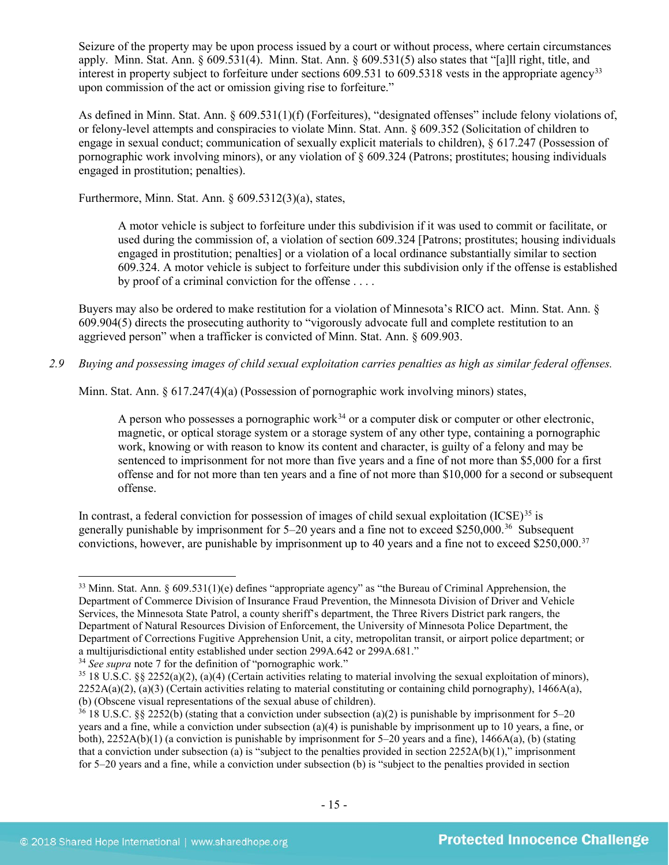Seizure of the property may be upon process issued by a court or without process, where certain circumstances apply. Minn. Stat. Ann. § 609.531(4). Minn. Stat. Ann. § 609.531(5) also states that "[a]ll right, title, and interest in property subject to forfeiture under sections 609.531 to 609.5318 vests in the appropriate agency<sup>[33](#page-14-0)</sup> upon commission of the act or omission giving rise to forfeiture."

As defined in Minn. Stat. Ann. § 609.531(1)(f) (Forfeitures), "designated offenses" include felony violations of, or felony-level attempts and conspiracies to violate Minn. Stat. Ann. § 609.352 (Solicitation of children to engage in sexual conduct; communication of sexually explicit materials to children), § 617.247 (Possession of pornographic work involving minors), or any violation of § 609.324 (Patrons; prostitutes; housing individuals engaged in prostitution; penalties).

Furthermore, Minn. Stat. Ann. § 609.5312(3)(a), states,

<span id="page-14-5"></span>A motor vehicle is subject to forfeiture under this subdivision if it was used to commit or facilitate, or used during the commission of, a violation of section 609.324 [Patrons; prostitutes; housing individuals engaged in prostitution; penalties] or a violation of a local ordinance substantially similar to section 609.324. A motor vehicle is subject to forfeiture under this subdivision only if the offense is established by proof of a criminal conviction for the offense . . . .

Buyers may also be ordered to make restitution for a violation of Minnesota's RICO act. Minn. Stat. Ann. § 609.904(5) directs the prosecuting authority to "vigorously advocate full and complete restitution to an aggrieved person" when a trafficker is convicted of Minn. Stat. Ann. § 609.903.

*2.9 Buying and possessing images of child sexual exploitation carries penalties as high as similar federal offenses.*

Minn. Stat. Ann. § 617.247(4)(a) (Possession of pornographic work involving minors) states,

A person who possesses a pornographic work<sup>[34](#page-14-1)</sup> or a computer disk or computer or other electronic, magnetic, or optical storage system or a storage system of any other type, containing a pornographic work, knowing or with reason to know its content and character, is guilty of a felony and may be sentenced to imprisonment for not more than five years and a fine of not more than \$5,000 for a first offense and for not more than ten years and a fine of not more than \$10,000 for a second or subsequent offense.

In contrast, a federal conviction for possession of images of child sexual exploitation  $(ICSE)^{35}$  $(ICSE)^{35}$  $(ICSE)^{35}$  is generally punishable by imprisonment for  $5-20$  years and a fine not to exceed \$250,000.<sup>36</sup> Subsequent convictions, however, are punishable by imprisonment up to 40 years and a fine not to exceed \$250,000.[37](#page-14-4)

<span id="page-14-0"></span> <sup>33</sup> Minn. Stat. Ann. § 609.531(1)(e) defines "appropriate agency" as "the Bureau of Criminal Apprehension, the Department of Commerce Division of Insurance Fraud Prevention, the Minnesota Division of Driver and Vehicle Services, the Minnesota State Patrol, a county sheriff's department, the Three Rivers District park rangers, the Department of Natural Resources Division of Enforcement, the University of Minnesota Police Department, the Department of Corrections Fugitive Apprehension Unit, a city, metropolitan transit, or airport police department; or a multijurisdictional entity established under section 299A.642 or 299A.681."

<span id="page-14-1"></span><sup>&</sup>lt;sup>34</sup> *See supra* note [7](#page-3-5) for the definition of "pornographic work."

<span id="page-14-4"></span><span id="page-14-2"></span><sup>35</sup> 18 U.S.C. §§ 2252(a)(2), (a)(4) (Certain activities relating to material involving the sexual exploitation of minors),  $2252A(a)(2)$ , (a)(3) (Certain activities relating to material constituting or containing child pornography), 1466A(a), (b) (Obscene visual representations of the sexual abuse of children).<br><sup>36</sup> 18 U.S.C. §§ 2252(b) (stating that a conviction under subsection (a)(2) is punishable by imprisonment for 5–20

<span id="page-14-3"></span>years and a fine, while a conviction under subsection (a)(4) is punishable by imprisonment up to 10 years, a fine, or both), 2252A(b)(1) (a conviction is punishable by imprisonment for 5–20 years and a fine), 1466A(a), (b) (stating that a conviction under subsection (a) is "subject to the penalties provided in section 2252A(b)(1)," imprisonment for 5–20 years and a fine, while a conviction under subsection (b) is "subject to the penalties provided in section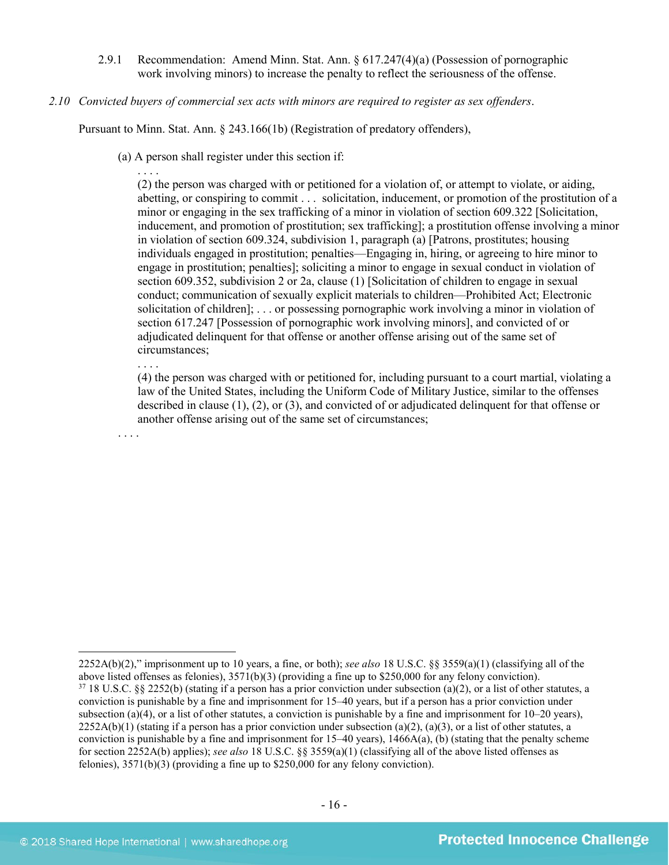- 2.9.1 Recommendation: Amend Minn. Stat. Ann. § 617.247(4)(a) (Possession of pornographic work involving minors) to increase the penalty to reflect the seriousness of the offense.
- *2.10 Convicted buyers of commercial sex acts with minors are required to register as sex offenders*.

Pursuant to Minn. Stat. Ann. § 243.166(1b) (Registration of predatory offenders),

(a) A person shall register under this section if:

. . . . (2) the person was charged with or petitioned for a violation of, or attempt to violate, or aiding, abetting, or conspiring to commit . . . solicitation, inducement, or promotion of the prostitution of a minor or engaging in the sex trafficking of a minor in violation of section 609.322 [Solicitation, inducement, and promotion of prostitution; sex trafficking]; a prostitution offense involving a minor in violation of section 609.324, subdivision 1, paragraph (a) [Patrons, prostitutes; housing individuals engaged in prostitution; penalties—Engaging in, hiring, or agreeing to hire minor to engage in prostitution; penalties]; soliciting a minor to engage in sexual conduct in violation of section 609.352, subdivision 2 or 2a, clause (1) [Solicitation of children to engage in sexual conduct; communication of sexually explicit materials to children—Prohibited Act; Electronic solicitation of children]; . . . or possessing pornographic work involving a minor in violation of section 617.247 [Possession of pornographic work involving minors], and convicted of or adjudicated delinquent for that offense or another offense arising out of the same set of circumstances;

. . . .

(4) the person was charged with or petitioned for, including pursuant to a court martial, violating a law of the United States, including the Uniform Code of Military Justice, similar to the offenses described in clause (1), (2), or (3), and convicted of or adjudicated delinquent for that offense or another offense arising out of the same set of circumstances;

. . . .

 $\overline{a}$ 

<sup>2252</sup>A(b)(2)," imprisonment up to 10 years, a fine, or both); *see also* 18 U.S.C. §§ 3559(a)(1) (classifying all of the above listed offenses as felonies),  $3571(b)(3)$  (providing a fine up to \$250,000 for any felony conviction).<br><sup>37</sup> 18 U.S.C. §§ 2252(b) (stating if a person has a prior conviction under subsection (a)(2), or a list of other conviction is punishable by a fine and imprisonment for 15–40 years, but if a person has a prior conviction under subsection (a)(4), or a list of other statutes, a conviction is punishable by a fine and imprisonment for  $10-20$  years),  $2252A(b)(1)$  (stating if a person has a prior conviction under subsection (a)(2), (a)(3), or a list of other statutes, a conviction is punishable by a fine and imprisonment for 15–40 years), 1466A(a), (b) (stating that the penalty scheme for section 2252A(b) applies); *see also* 18 U.S.C. §§ 3559(a)(1) (classifying all of the above listed offenses as felonies), 3571(b)(3) (providing a fine up to \$250,000 for any felony conviction).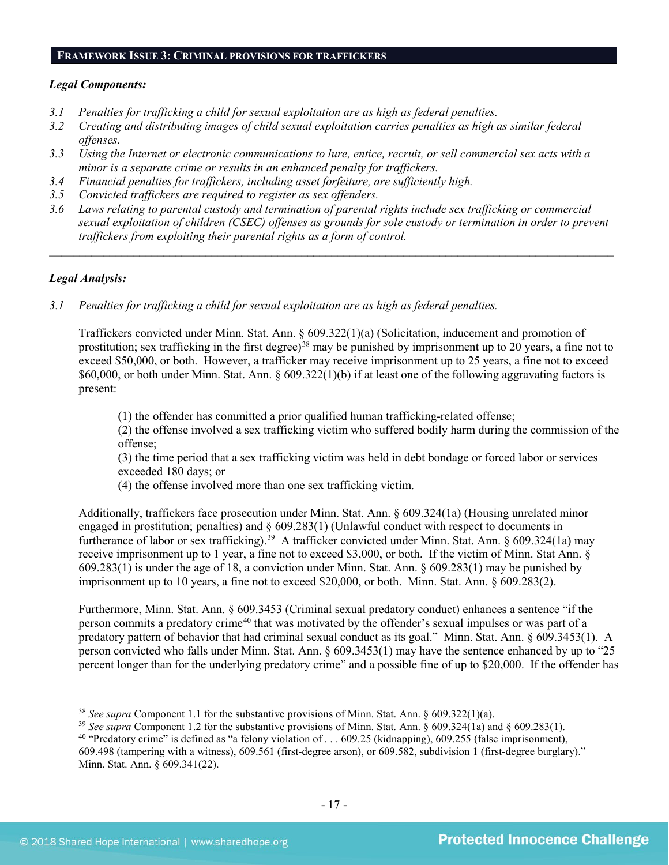#### **FRAMEWORK ISSUE 3: CRIMINAL PROVISIONS FOR TRAFFICKERS**

#### *Legal Components:*

- *3.1 Penalties for trafficking a child for sexual exploitation are as high as federal penalties.*
- *3.2 Creating and distributing images of child sexual exploitation carries penalties as high as similar federal offenses.*
- *3.3 Using the Internet or electronic communications to lure, entice, recruit, or sell commercial sex acts with a minor is a separate crime or results in an enhanced penalty for traffickers.*
- *3.4 Financial penalties for traffickers, including asset forfeiture, are sufficiently high.*
- *3.5 Convicted traffickers are required to register as sex offenders.*
- *3.6 Laws relating to parental custody and termination of parental rights include sex trafficking or commercial sexual exploitation of children (CSEC) offenses as grounds for sole custody or termination in order to prevent traffickers from exploiting their parental rights as a form of control.*

*\_\_\_\_\_\_\_\_\_\_\_\_\_\_\_\_\_\_\_\_\_\_\_\_\_\_\_\_\_\_\_\_\_\_\_\_\_\_\_\_\_\_\_\_\_\_\_\_\_\_\_\_\_\_\_\_\_\_\_\_\_\_\_\_\_\_\_\_\_\_\_\_\_\_\_\_\_\_\_\_\_\_\_\_\_\_\_\_\_\_\_\_\_\_*

# *Legal Analysis:*

*3.1 Penalties for trafficking a child for sexual exploitation are as high as federal penalties.* 

Traffickers convicted under Minn. Stat. Ann. § 609.322(1)(a) (Solicitation, inducement and promotion of prostitution; sex trafficking in the first degree)<sup>[38](#page-16-0)</sup> may be punished by imprisonment up to 20 years, a fine not to exceed \$50,000, or both. However, a trafficker may receive imprisonment up to 25 years, a fine not to exceed \$60,000, or both under Minn. Stat. Ann. § 609.322(1)(b) if at least one of the following aggravating factors is present:

(1) the offender has committed a prior qualified human trafficking-related offense;

(2) the offense involved a sex trafficking victim who suffered bodily harm during the commission of the offense;

(3) the time period that a sex trafficking victim was held in debt bondage or forced labor or services exceeded 180 days; or

(4) the offense involved more than one sex trafficking victim.

Additionally, traffickers face prosecution under Minn. Stat. Ann. § 609.324(1a) (Housing unrelated minor engaged in prostitution; penalties) and § 609.283(1) (Unlawful conduct with respect to documents in furtherance of labor or sex trafficking).<sup>39</sup> A trafficker convicted under Minn. Stat. Ann. § 609.324(1a) may receive imprisonment up to 1 year, a fine not to exceed \$3,000, or both. If the victim of Minn. Stat Ann. § 609.283(1) is under the age of 18, a conviction under Minn. Stat. Ann. § 609.283(1) may be punished by imprisonment up to 10 years, a fine not to exceed \$20,000, or both. Minn. Stat. Ann. § 609.283(2).

Furthermore, Minn. Stat. Ann. § 609.3453 (Criminal sexual predatory conduct) enhances a sentence "if the person commits a predatory crime<sup>[40](#page-16-2)</sup> that was motivated by the offender's sexual impulses or was part of a predatory pattern of behavior that had criminal sexual conduct as its goal." Minn. Stat. Ann. § 609.3453(1). A person convicted who falls under Minn. Stat. Ann. § 609.3453(1) may have the sentence enhanced by up to "25 percent longer than for the underlying predatory crime" and a possible fine of up to \$20,000. If the offender has

<span id="page-16-0"></span> <sup>38</sup> *See supra* Component 1.1 for the substantive provisions of Minn. Stat. Ann. § 609.322(1)(a).

<span id="page-16-1"></span><sup>&</sup>lt;sup>39</sup> See supra Component 1.2 for the substantive provisions of Minn. Stat. Ann. § 609.324(1a) and § 609.283(1).

<span id="page-16-2"></span><sup>&</sup>lt;sup>40</sup> "Predatory crime" is defined as "a felony violation of . . . 609.25 (kidnapping), 609.255 (false imprisonment),

<sup>609.498 (</sup>tampering with a witness), 609.561 (first-degree arson), or 609.582, subdivision 1 (first-degree burglary)." Minn. Stat. Ann. § 609.341(22).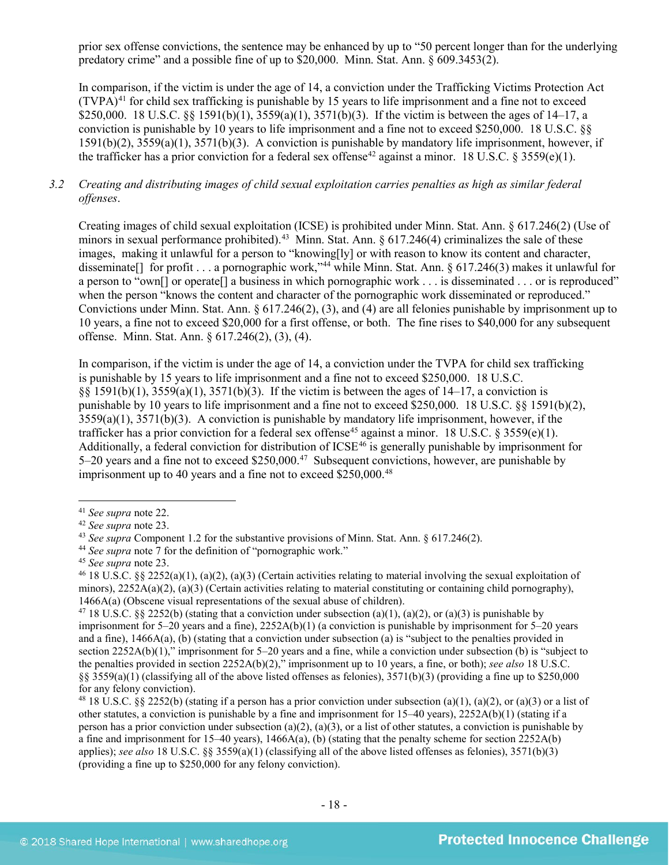prior sex offense convictions, the sentence may be enhanced by up to "50 percent longer than for the underlying predatory crime" and a possible fine of up to \$20,000. Minn. Stat. Ann. § 609.3453(2).

In comparison, if the victim is under the age of 14, a conviction under the Trafficking Victims Protection Act  $(TVPA)<sup>41</sup>$  $(TVPA)<sup>41</sup>$  $(TVPA)<sup>41</sup>$  for child sex trafficking is punishable by 15 years to life imprisonment and a fine not to exceed \$250,000. 18 U.S.C. §§ 1591(b)(1),  $3559(a)(1)$ ,  $3571(b)(3)$ . If the victim is between the ages of 14–17, a conviction is punishable by 10 years to life imprisonment and a fine not to exceed \$250,000. 18 U.S.C. §§ 1591(b)(2), 3559(a)(1), 3571(b)(3). A conviction is punishable by mandatory life imprisonment, however, if the trafficker has a prior conviction for a federal sex offense<sup>[42](#page-17-1)</sup> against a minor. 18 U.S.C. § 3559(e)(1).

# *3.2 Creating and distributing images of child sexual exploitation carries penalties as high as similar federal offenses*.

Creating images of child sexual exploitation (ICSE) is prohibited under Minn. Stat. Ann. § 617.246(2) (Use of minors in sexual performance prohibited).<sup>43</sup> Minn. Stat. Ann.  $\frac{617.246(4)}{240}$  criminalizes the sale of these images, making it unlawful for a person to "knowing[ly] or with reason to know its content and character, disseminate [] for profit . . . a pornographic work,"<sup>[44](#page-17-3)</sup> while Minn. Stat. Ann. § 617.246(3) makes it unlawful for a person to "own[] or operate[] a business in which pornographic work . . . is disseminated . . . or is reproduced" when the person "knows the content and character of the pornographic work disseminated or reproduced." Convictions under Minn. Stat. Ann. § 617.246(2), (3), and (4) are all felonies punishable by imprisonment up to 10 years, a fine not to exceed \$20,000 for a first offense, or both. The fine rises to \$40,000 for any subsequent offense. Minn. Stat. Ann. § 617.246(2), (3), (4).

In comparison, if the victim is under the age of 14, a conviction under the TVPA for child sex trafficking is punishable by 15 years to life imprisonment and a fine not to exceed \$250,000. 18 U.S.C. §§ 1591(b)(1), 3559(a)(1), 3571(b)(3). If the victim is between the ages of 14–17, a conviction is punishable by 10 years to life imprisonment and a fine not to exceed \$250,000. 18 U.S.C. §§ 1591(b)(2),  $3559(a)(1)$ ,  $3571(b)(3)$ . A conviction is punishable by mandatory life imprisonment, however, if the trafficker has a prior conviction for a federal sex offense<sup>[45](#page-17-4)</sup> against a minor. 18 U.S.C. § 3559(e)(1). Additionally, a federal conviction for distribution of  $ICSE^{46}$  $ICSE^{46}$  $ICSE^{46}$  is generally punishable by imprisonment for 5–20 years and a fine not to exceed \$250,000.[47](#page-17-6) Subsequent convictions, however, are punishable by imprisonment up to 40 years and a fine not to exceed \$250,000.<sup>[48](#page-17-7)</sup>

<span id="page-17-0"></span> <sup>41</sup> *See supra* note [22.](#page-11-7)

<span id="page-17-2"></span><span id="page-17-1"></span><sup>&</sup>lt;sup>43</sup> *See supra* Component 1.2 for the substantive provisions of Minn. Stat. Ann. § 617.246(2).

<span id="page-17-3"></span><sup>44</sup> *See supra* note [7](#page-3-5) for the definition of "pornographic work."

<span id="page-17-4"></span><sup>45</sup> *See supra* note [23.](#page-11-8)

<span id="page-17-5"></span><sup>&</sup>lt;sup>46</sup> 18 U.S.C. §§ 2252(a)(1), (a)(2), (a)(3) (Certain activities relating to material involving the sexual exploitation of minors),  $2252A(a)(2)$ ,  $(a)(3)$  (Certain activities relating to material constituting or containing child pornography), 1466A(a) (Obscene visual representations of the sexual abuse of children).

<span id="page-17-6"></span><sup>&</sup>lt;sup>47</sup> 18 U.S.C. §§ 2252(b) (stating that a conviction under subsection (a)(1), (a)(2), or (a)(3) is punishable by imprisonment for 5–20 years and a fine), 2252A(b)(1) (a conviction is punishable by imprisonment for 5–20 years and a fine), 1466A(a), (b) (stating that a conviction under subsection (a) is "subject to the penalties provided in section 2252A(b)(1)," imprisonment for 5–20 years and a fine, while a conviction under subsection (b) is "subject to the penalties provided in section 2252A(b)(2)," imprisonment up to 10 years, a fine, or both); *see also* 18 U.S.C.  $\S$ § 3559(a)(1) (classifying all of the above listed offenses as felonies), 3571(b)(3) (providing a fine up to \$250,000 for any felony conviction).

<span id="page-17-7"></span><sup>&</sup>lt;sup>48</sup> 18 U.S.C. §§ 2252(b) (stating if a person has a prior conviction under subsection (a)(1), (a)(2), or (a)(3) or a list of other statutes, a conviction is punishable by a fine and imprisonment for  $15-40$  years),  $2252A(b)(1)$  (stating if a person has a prior conviction under subsection (a)(2), (a)(3), or a list of other statutes, a conviction is punishable by a fine and imprisonment for 15–40 years), 1466A(a), (b) (stating that the penalty scheme for section 2252A(b) applies); *see also* 18 U.S.C. §§ 3559(a)(1) (classifying all of the above listed offenses as felonies), 3571(b)(3) (providing a fine up to \$250,000 for any felony conviction).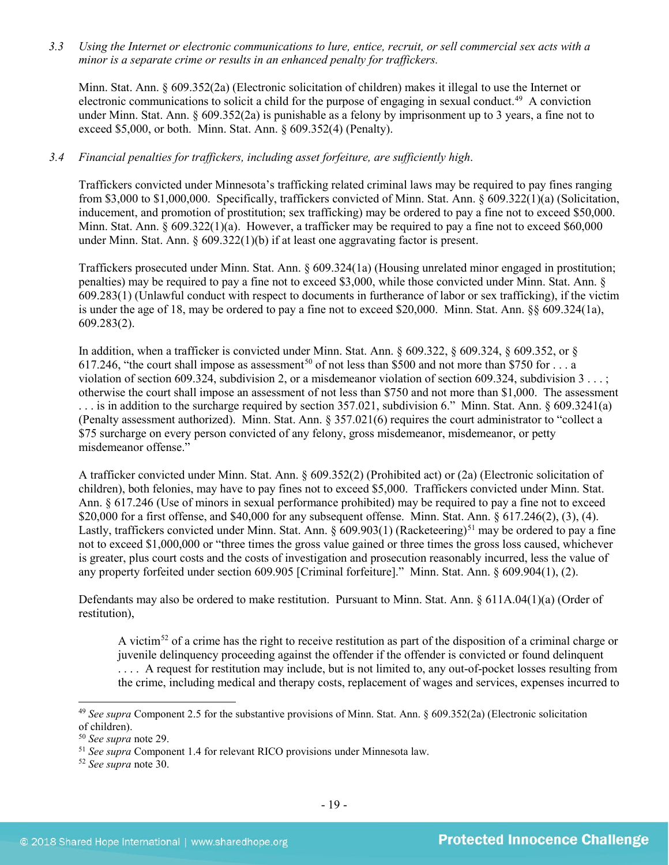*3.3 Using the Internet or electronic communications to lure, entice, recruit, or sell commercial sex acts with a minor is a separate crime or results in an enhanced penalty for traffickers.*

Minn. Stat. Ann. § 609.352(2a) (Electronic solicitation of children) makes it illegal to use the Internet or electronic communications to solicit a child for the purpose of engaging in sexual conduct.<sup>49</sup> A conviction under Minn. Stat. Ann. § 609.352(2a) is punishable as a felony by imprisonment up to 3 years, a fine not to exceed \$5,000, or both. Minn. Stat. Ann. § 609.352(4) (Penalty).

# *3.4 Financial penalties for traffickers, including asset forfeiture, are sufficiently high*.

Traffickers convicted under Minnesota's trafficking related criminal laws may be required to pay fines ranging from \$3,000 to \$1,000,000. Specifically, traffickers convicted of Minn. Stat. Ann. § 609.322(1)(a) (Solicitation, inducement, and promotion of prostitution; sex trafficking) may be ordered to pay a fine not to exceed \$50,000. Minn. Stat. Ann.  $\S 609.322(1)(a)$ . However, a trafficker may be required to pay a fine not to exceed \$60,000 under Minn. Stat. Ann. § 609.322(1)(b) if at least one aggravating factor is present.

Traffickers prosecuted under Minn. Stat. Ann. § 609.324(1a) (Housing unrelated minor engaged in prostitution; penalties) may be required to pay a fine not to exceed \$3,000, while those convicted under Minn. Stat. Ann. § 609.283(1) (Unlawful conduct with respect to documents in furtherance of labor or sex trafficking), if the victim is under the age of 18, may be ordered to pay a fine not to exceed \$20,000. Minn. Stat. Ann. §§ 609.324(1a), 609.283(2).

In addition, when a trafficker is convicted under Minn. Stat. Ann. § 609.322, § 609.324, § 609.352, or § 617.246, "the court shall impose as assessment<sup>[50](#page-18-1)</sup> of not less than \$500 and not more than \$750 for  $\dots$  a violation of section 609.324, subdivision 2, or a misdemeanor violation of section 609.324, subdivision 3 . . . ; otherwise the court shall impose an assessment of not less than \$750 and not more than \$1,000. The assessment . . . is in addition to the surcharge required by section 357.021, subdivision 6." Minn. Stat. Ann. § 609.3241(a) (Penalty assessment authorized). Minn. Stat. Ann. § 357.021(6) requires the court administrator to "collect a \$75 surcharge on every person convicted of any felony, gross misdemeanor, misdemeanor, or petty misdemeanor offense."

A trafficker convicted under Minn. Stat. Ann. § 609.352(2) (Prohibited act) or (2a) (Electronic solicitation of children), both felonies, may have to pay fines not to exceed \$5,000. Traffickers convicted under Minn. Stat. Ann. § 617.246 (Use of minors in sexual performance prohibited) may be required to pay a fine not to exceed \$20,000 for a first offense, and \$40,000 for any subsequent offense. Minn. Stat. Ann. § 617.246(2), (3), (4). Lastly, traffickers convicted under Minn. Stat. Ann.  $\frac{609.903(1)}{80.903(1)}$  (Racketeering)<sup>[51](#page-18-2)</sup> may be ordered to pay a fine not to exceed \$1,000,000 or "three times the gross value gained or three times the gross loss caused, whichever is greater, plus court costs and the costs of investigation and prosecution reasonably incurred, less the value of any property forfeited under section 609.905 [Criminal forfeiture]." Minn. Stat. Ann. § 609.904(1), (2).

Defendants may also be ordered to make restitution. Pursuant to Minn. Stat. Ann. § 611A.04(1)(a) (Order of restitution),

A victim<sup>[52](#page-18-3)</sup> of a crime has the right to receive restitution as part of the disposition of a criminal charge or juvenile delinquency proceeding against the offender if the offender is convicted or found delinquent . . . . A request for restitution may include, but is not limited to, any out-of-pocket losses resulting from the crime, including medical and therapy costs, replacement of wages and services, expenses incurred to

<span id="page-18-0"></span> <sup>49</sup> *See supra* Component 2.5 for the substantive provisions of Minn. Stat. Ann. § 609.352(2a) (Electronic solicitation of children).

<span id="page-18-1"></span><sup>50</sup> *See supra* note [29.](#page-12-2)

<span id="page-18-2"></span><sup>51</sup> *See supra* Component 1.4 for relevant RICO provisions under Minnesota law. 52 *See supra* note [30.](#page-13-3)

<span id="page-18-3"></span>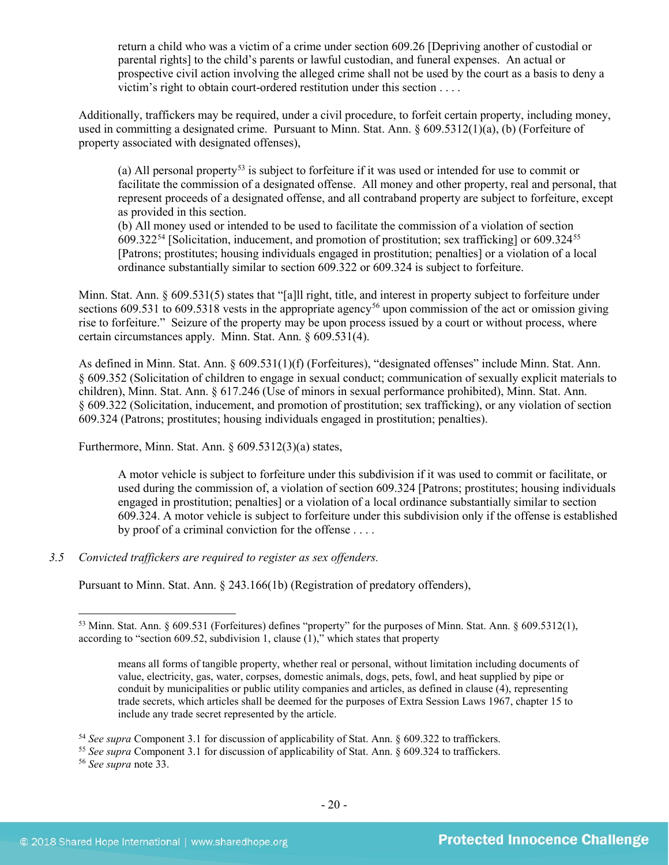return a child who was a victim of a crime under section 609.26 [Depriving another of custodial or parental rights] to the child's parents or lawful custodian, and funeral expenses. An actual or prospective civil action involving the alleged crime shall not be used by the court as a basis to deny a victim's right to obtain court-ordered restitution under this section . . . .

Additionally, traffickers may be required, under a civil procedure, to forfeit certain property, including money, used in committing a designated crime. Pursuant to Minn. Stat. Ann. § 609.5312(1)(a), (b) (Forfeiture of property associated with designated offenses),

(a) All personal property[53](#page-19-0) is subject to forfeiture if it was used or intended for use to commit or facilitate the commission of a designated offense. All money and other property, real and personal, that represent proceeds of a designated offense, and all contraband property are subject to forfeiture, except as provided in this section.

(b) All money used or intended to be used to facilitate the commission of a violation of section  $609.322^{54}$  $609.322^{54}$  $609.322^{54}$  [Solicitation, inducement, and promotion of prostitution; sex trafficking] or  $609.324^{55}$  $609.324^{55}$  $609.324^{55}$ [Patrons; prostitutes; housing individuals engaged in prostitution; penalties] or a violation of a local ordinance substantially similar to section 609.322 or 609.324 is subject to forfeiture.

Minn. Stat. Ann. § 609.531(5) states that "[a]ll right, title, and interest in property subject to forfeiture under sections 609.531 to 609.5318 vests in the appropriate agency<sup>[56](#page-19-3)</sup> upon commission of the act or omission giving rise to forfeiture." Seizure of the property may be upon process issued by a court or without process, where certain circumstances apply. Minn. Stat. Ann. § 609.531(4).

As defined in Minn. Stat. Ann. § 609.531(1)(f) (Forfeitures), "designated offenses" include Minn. Stat. Ann. § 609.352 (Solicitation of children to engage in sexual conduct; communication of sexually explicit materials to children), Minn. Stat. Ann. § 617.246 (Use of minors in sexual performance prohibited), Minn. Stat. Ann. § 609.322 (Solicitation, inducement, and promotion of prostitution; sex trafficking), or any violation of section 609.324 (Patrons; prostitutes; housing individuals engaged in prostitution; penalties).

Furthermore, Minn. Stat. Ann.  $\frac{609.5312(3)}{a}$  states,

A motor vehicle is subject to forfeiture under this subdivision if it was used to commit or facilitate, or used during the commission of, a violation of section 609.324 [Patrons; prostitutes; housing individuals engaged in prostitution; penalties] or a violation of a local ordinance substantially similar to section 609.324. A motor vehicle is subject to forfeiture under this subdivision only if the offense is established by proof of a criminal conviction for the offense . . . .

# *3.5 Convicted traffickers are required to register as sex offenders.*

Pursuant to Minn. Stat. Ann. § 243.166(1b) (Registration of predatory offenders),

<sup>56</sup> *See supra* note [33.](#page-14-5)

<span id="page-19-0"></span> <sup>53</sup> Minn. Stat. Ann. § 609.531 (Forfeitures) defines "property" for the purposes of Minn. Stat. Ann. § 609.5312(1), according to "section 609.52, subdivision 1, clause  $(1)$ ," which states that property

means all forms of tangible property, whether real or personal, without limitation including documents of value, electricity, gas, water, corpses, domestic animals, dogs, pets, fowl, and heat supplied by pipe or conduit by municipalities or public utility companies and articles, as defined in clause (4), representing trade secrets, which articles shall be deemed for the purposes of Extra Session Laws 1967, chapter 15 to include any trade secret represented by the article.

<sup>54</sup> *See supra* Component 3.1 for discussion of applicability of Stat. Ann. § 609.322 to traffickers.

<span id="page-19-3"></span><span id="page-19-2"></span><span id="page-19-1"></span><sup>55</sup> *See supra* Component 3.1 for discussion of applicability of Stat. Ann. § 609.324 to traffickers.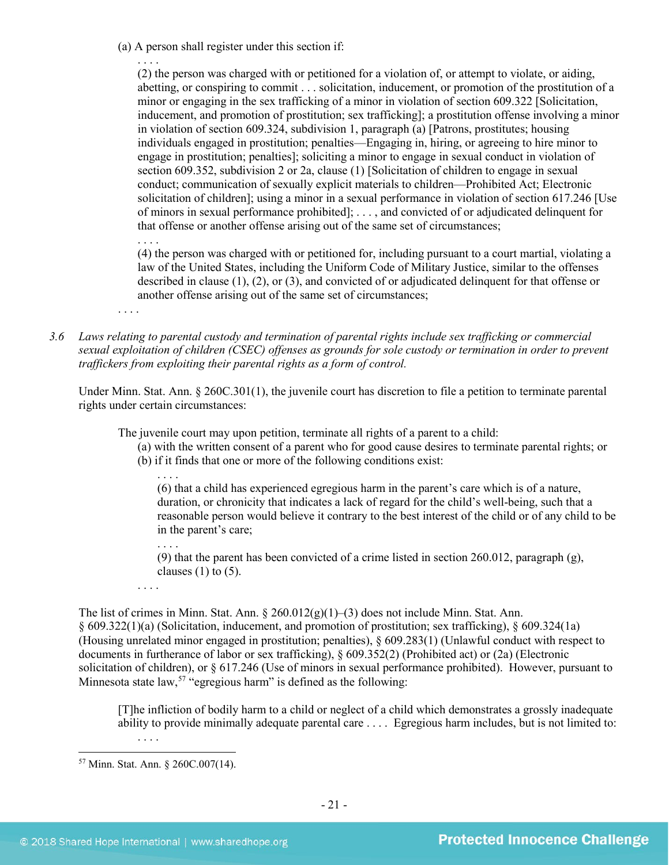(a) A person shall register under this section if:

. . . . (2) the person was charged with or petitioned for a violation of, or attempt to violate, or aiding, abetting, or conspiring to commit . . . solicitation, inducement, or promotion of the prostitution of a minor or engaging in the sex trafficking of a minor in violation of section 609.322 [Solicitation, inducement, and promotion of prostitution; sex trafficking]; a prostitution offense involving a minor in violation of section 609.324, subdivision 1, paragraph (a) [Patrons, prostitutes; housing individuals engaged in prostitution; penalties—Engaging in, hiring, or agreeing to hire minor to engage in prostitution; penalties]; soliciting a minor to engage in sexual conduct in violation of section 609.352, subdivision 2 or 2a, clause (1) [Solicitation of children to engage in sexual conduct; communication of sexually explicit materials to children—Prohibited Act; Electronic solicitation of children]; using a minor in a sexual performance in violation of section 617.246 [Use of minors in sexual performance prohibited]; . . . , and convicted of or adjudicated delinquent for that offense or another offense arising out of the same set of circumstances;

. . . . (4) the person was charged with or petitioned for, including pursuant to a court martial, violating a law of the United States, including the Uniform Code of Military Justice, similar to the offenses described in clause (1), (2), or (3), and convicted of or adjudicated delinquent for that offense or another offense arising out of the same set of circumstances;

- . . . .
- *3.6 Laws relating to parental custody and termination of parental rights include sex trafficking or commercial sexual exploitation of children (CSEC) offenses as grounds for sole custody or termination in order to prevent traffickers from exploiting their parental rights as a form of control.*

Under Minn. Stat. Ann. § 260C.301(1), the juvenile court has discretion to file a petition to terminate parental rights under certain circumstances:

The juvenile court may upon petition, terminate all rights of a parent to a child:

- (a) with the written consent of a parent who for good cause desires to terminate parental rights; or
- (b) if it finds that one or more of the following conditions exist:

(6) that a child has experienced egregious harm in the parent's care which is of a nature, duration, or chronicity that indicates a lack of regard for the child's well-being, such that a reasonable person would believe it contrary to the best interest of the child or of any child to be in the parent's care;

. . . .

(9) that the parent has been convicted of a crime listed in section 260.012, paragraph  $(g)$ , clauses  $(1)$  to  $(5)$ .

. . . .

The list of crimes in Minn. Stat. Ann. § 260.012(g)(1)–(3) does not include Minn. Stat. Ann. § 609.322(1)(a) (Solicitation, inducement, and promotion of prostitution; sex trafficking), § 609.324(1a) (Housing unrelated minor engaged in prostitution; penalties), § 609.283(1) (Unlawful conduct with respect to documents in furtherance of labor or sex trafficking), § 609.352(2) (Prohibited act) or (2a) (Electronic solicitation of children), or § 617.246 (Use of minors in sexual performance prohibited). However, pursuant to Minnesota state law,  $57$  "egregious harm" is defined as the following:

[T]he infliction of bodily harm to a child or neglect of a child which demonstrates a grossly inadequate ability to provide minimally adequate parental care . . . . Egregious harm includes, but is not limited to:

. . . .

<span id="page-20-0"></span> <sup>57</sup> Minn. Stat. Ann. § 260C.007(14).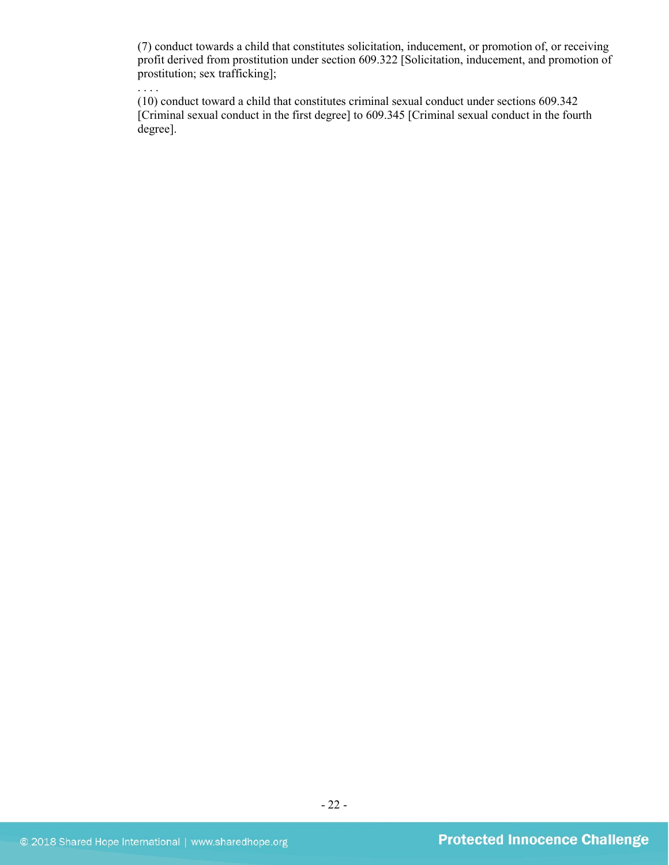(7) conduct towards a child that constitutes solicitation, inducement, or promotion of, or receiving profit derived from prostitution under section 609.322 [Solicitation, inducement, and promotion of prostitution; sex trafficking];

(10) conduct toward a child that constitutes criminal sexual conduct under sections 609.342 [Criminal sexual conduct in the first degree] to 609.345 [Criminal sexual conduct in the fourth degree].

. . . .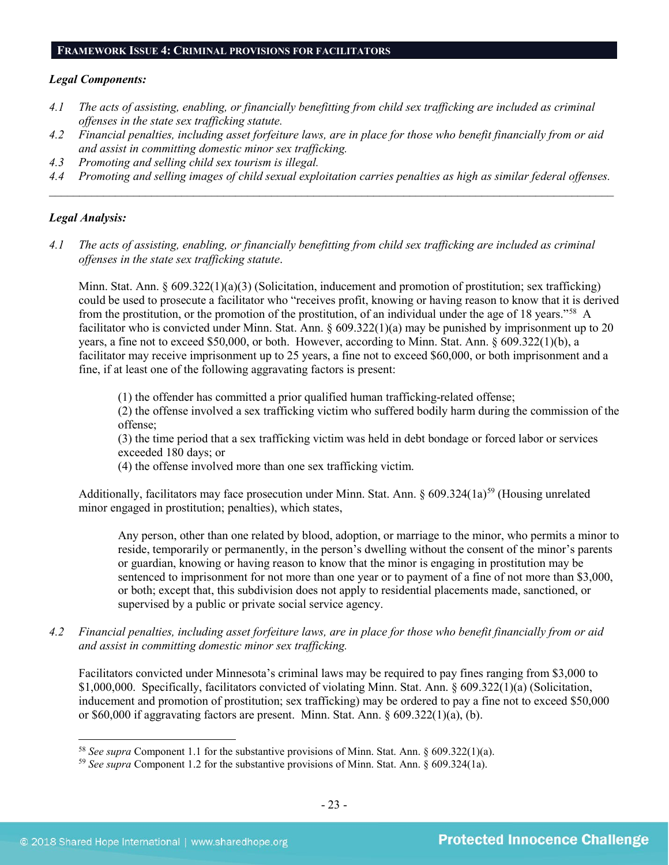#### **FRAMEWORK ISSUE 4: CRIMINAL PROVISIONS FOR FACILITATORS**

#### *Legal Components:*

- *4.1 The acts of assisting, enabling, or financially benefitting from child sex trafficking are included as criminal offenses in the state sex trafficking statute.*
- *4.2 Financial penalties, including asset forfeiture laws, are in place for those who benefit financially from or aid and assist in committing domestic minor sex trafficking.*
- *4.3 Promoting and selling child sex tourism is illegal.*
- *4.4 Promoting and selling images of child sexual exploitation carries penalties as high as similar federal offenses. \_\_\_\_\_\_\_\_\_\_\_\_\_\_\_\_\_\_\_\_\_\_\_\_\_\_\_\_\_\_\_\_\_\_\_\_\_\_\_\_\_\_\_\_\_\_\_\_\_\_\_\_\_\_\_\_\_\_\_\_\_\_\_\_\_\_\_\_\_\_\_\_\_\_\_\_\_\_\_\_\_\_\_\_\_\_\_\_\_\_\_\_\_\_*

# *Legal Analysis:*

*4.1 The acts of assisting, enabling, or financially benefitting from child sex trafficking are included as criminal offenses in the state sex trafficking statute*.

Minn. Stat. Ann. § 609.322(1)(a)(3) (Solicitation, inducement and promotion of prostitution; sex trafficking) could be used to prosecute a facilitator who "receives profit, knowing or having reason to know that it is derived from the prostitution, or the promotion of the prostitution, of an individual under the age of 18 years."[58](#page-22-0) A facilitator who is convicted under Minn. Stat. Ann.  $\frac{609.322(1)(a)}{a}$  may be punished by imprisonment up to 20 years, a fine not to exceed \$50,000, or both. However, according to Minn. Stat. Ann. § 609.322(1)(b), a facilitator may receive imprisonment up to 25 years, a fine not to exceed \$60,000, or both imprisonment and a fine, if at least one of the following aggravating factors is present:

(1) the offender has committed a prior qualified human trafficking-related offense;

(2) the offense involved a sex trafficking victim who suffered bodily harm during the commission of the offense;

(3) the time period that a sex trafficking victim was held in debt bondage or forced labor or services exceeded 180 days; or

(4) the offense involved more than one sex trafficking victim.

Additionally, facilitators may face prosecution under Minn. Stat. Ann.  $\S 609.324(1a)^{59}$  $\S 609.324(1a)^{59}$  $\S 609.324(1a)^{59}$  (Housing unrelated minor engaged in prostitution; penalties), which states,

Any person, other than one related by blood, adoption, or marriage to the minor, who permits a minor to reside, temporarily or permanently, in the person's dwelling without the consent of the minor's parents or guardian, knowing or having reason to know that the minor is engaging in prostitution may be sentenced to imprisonment for not more than one year or to payment of a fine of not more than \$3,000, or both; except that, this subdivision does not apply to residential placements made, sanctioned, or supervised by a public or private social service agency.

*4.2 Financial penalties, including asset forfeiture laws, are in place for those who benefit financially from or aid and assist in committing domestic minor sex trafficking.*

Facilitators convicted under Minnesota's criminal laws may be required to pay fines ranging from \$3,000 to \$1,000,000. Specifically, facilitators convicted of violating Minn. Stat. Ann. § 609.322(1)(a) (Solicitation, inducement and promotion of prostitution; sex trafficking) may be ordered to pay a fine not to exceed \$50,000 or \$60,000 if aggravating factors are present. Minn. Stat. Ann. § 609.322(1)(a), (b).

<span id="page-22-0"></span> <sup>58</sup> *See supra* Component 1.1 for the substantive provisions of Minn. Stat. Ann. § 609.322(1)(a).

<span id="page-22-1"></span><sup>59</sup> *See supra* Component 1.2 for the substantive provisions of Minn. Stat. Ann. § 609.324(1a).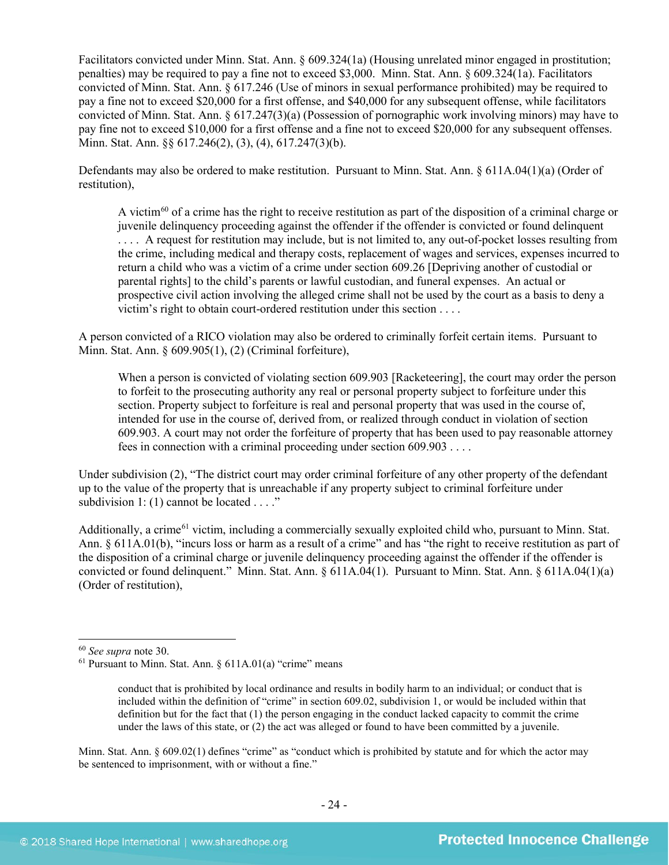Facilitators convicted under Minn. Stat. Ann. § 609.324(1a) (Housing unrelated minor engaged in prostitution; penalties) may be required to pay a fine not to exceed \$3,000. Minn. Stat. Ann. § 609.324(1a). Facilitators convicted of Minn. Stat. Ann. § 617.246 (Use of minors in sexual performance prohibited) may be required to pay a fine not to exceed \$20,000 for a first offense, and \$40,000 for any subsequent offense, while facilitators convicted of Minn. Stat. Ann. § 617.247(3)(a) (Possession of pornographic work involving minors) may have to pay fine not to exceed \$10,000 for a first offense and a fine not to exceed \$20,000 for any subsequent offenses. Minn. Stat. Ann. §§ 617.246(2), (3), (4), 617.247(3)(b).

Defendants may also be ordered to make restitution. Pursuant to Minn. Stat. Ann. § 611A.04(1)(a) (Order of restitution),

A victim[60](#page-23-0) of a crime has the right to receive restitution as part of the disposition of a criminal charge or juvenile delinquency proceeding against the offender if the offender is convicted or found delinquent . . . . A request for restitution may include, but is not limited to, any out-of-pocket losses resulting from the crime, including medical and therapy costs, replacement of wages and services, expenses incurred to return a child who was a victim of a crime under section 609.26 [Depriving another of custodial or parental rights] to the child's parents or lawful custodian, and funeral expenses. An actual or prospective civil action involving the alleged crime shall not be used by the court as a basis to deny a victim's right to obtain court-ordered restitution under this section . . . .

A person convicted of a RICO violation may also be ordered to criminally forfeit certain items. Pursuant to Minn. Stat. Ann. § 609.905(1), (2) (Criminal forfeiture),

When a person is convicted of violating section 609.903 [Racketeering], the court may order the person to forfeit to the prosecuting authority any real or personal property subject to forfeiture under this section. Property subject to forfeiture is real and personal property that was used in the course of, intended for use in the course of, derived from, or realized through conduct in violation of section 609.903. A court may not order the forfeiture of property that has been used to pay reasonable attorney fees in connection with a criminal proceeding under section 609.903 . . . .

Under subdivision (2), "The district court may order criminal forfeiture of any other property of the defendant up to the value of the property that is unreachable if any property subject to criminal forfeiture under subdivision 1: (1) cannot be located . . . ."

Additionally, a crime<sup>[61](#page-23-1)</sup> victim, including a commercially sexually exploited child who, pursuant to Minn. Stat. Ann. § 611A.01(b), "incurs loss or harm as a result of a crime" and has "the right to receive restitution as part of the disposition of a criminal charge or juvenile delinquency proceeding against the offender if the offender is convicted or found delinquent." Minn. Stat. Ann. § 611A.04(1). Pursuant to Minn. Stat. Ann. § 611A.04(1)(a) (Order of restitution),

Minn. Stat. Ann. § 609.02(1) defines "crime" as "conduct which is prohibited by statute and for which the actor may be sentenced to imprisonment, with or without a fine."

<span id="page-23-0"></span> <sup>60</sup> *See supra* note [30.](#page-13-3)

<span id="page-23-1"></span><sup>61</sup> Pursuant to Minn. Stat. Ann. § 611A.01(a) "crime" means

conduct that is prohibited by local ordinance and results in bodily harm to an individual; or conduct that is included within the definition of "crime" in section 609.02, subdivision 1, or would be included within that definition but for the fact that (1) the person engaging in the conduct lacked capacity to commit the crime under the laws of this state, or (2) the act was alleged or found to have been committed by a juvenile.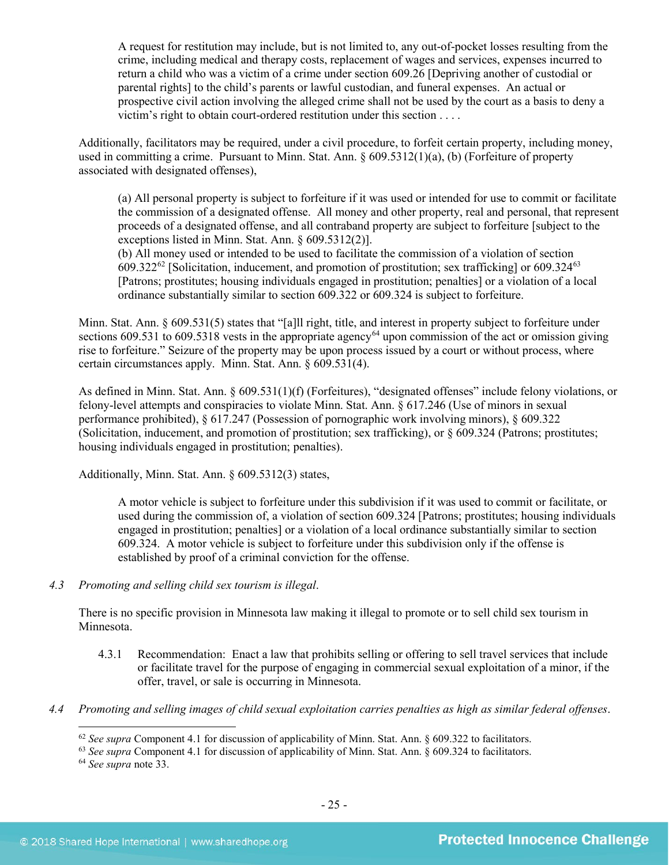A request for restitution may include, but is not limited to, any out-of-pocket losses resulting from the crime, including medical and therapy costs, replacement of wages and services, expenses incurred to return a child who was a victim of a crime under section 609.26 [Depriving another of custodial or parental rights] to the child's parents or lawful custodian, and funeral expenses. An actual or prospective civil action involving the alleged crime shall not be used by the court as a basis to deny a victim's right to obtain court-ordered restitution under this section . . . .

Additionally, facilitators may be required, under a civil procedure, to forfeit certain property, including money, used in committing a crime. Pursuant to Minn. Stat. Ann. § 609.5312(1)(a), (b) (Forfeiture of property associated with designated offenses),

(a) All personal property is subject to forfeiture if it was used or intended for use to commit or facilitate the commission of a designated offense. All money and other property, real and personal, that represent proceeds of a designated offense, and all contraband property are subject to forfeiture [subject to the exceptions listed in Minn. Stat. Ann. § 609.5312(2)].

(b) All money used or intended to be used to facilitate the commission of a violation of section 609.322 $^{62}$  $^{62}$  $^{62}$  [Solicitation, inducement, and promotion of prostitution; sex trafficking] or 609.324 $^{63}$  $^{63}$  $^{63}$ [Patrons; prostitutes; housing individuals engaged in prostitution; penalties] or a violation of a local ordinance substantially similar to section 609.322 or 609.324 is subject to forfeiture.

Minn. Stat. Ann. § 609.531(5) states that "[a]ll right, title, and interest in property subject to forfeiture under sections 609.531 to 609.5318 vests in the appropriate agency<sup>[64](#page-24-2)</sup> upon commission of the act or omission giving rise to forfeiture." Seizure of the property may be upon process issued by a court or without process, where certain circumstances apply. Minn. Stat. Ann. § 609.531(4).

As defined in Minn. Stat. Ann. § 609.531(1)(f) (Forfeitures), "designated offenses" include felony violations, or felony-level attempts and conspiracies to violate Minn. Stat. Ann. § 617.246 (Use of minors in sexual performance prohibited), § 617.247 (Possession of pornographic work involving minors), § 609.322 (Solicitation, inducement, and promotion of prostitution; sex trafficking), or § 609.324 (Patrons; prostitutes; housing individuals engaged in prostitution; penalties).

Additionally, Minn. Stat. Ann. § 609.5312(3) states,

A motor vehicle is subject to forfeiture under this subdivision if it was used to commit or facilitate, or used during the commission of, a violation of section 609.324 [Patrons; prostitutes; housing individuals engaged in prostitution; penalties] or a violation of a local ordinance substantially similar to section 609.324. A motor vehicle is subject to forfeiture under this subdivision only if the offense is established by proof of a criminal conviction for the offense.

*4.3 Promoting and selling child sex tourism is illegal*.

There is no specific provision in Minnesota law making it illegal to promote or to sell child sex tourism in Minnesota.

- 4.3.1 Recommendation: Enact a law that prohibits selling or offering to sell travel services that include or facilitate travel for the purpose of engaging in commercial sexual exploitation of a minor, if the offer, travel, or sale is occurring in Minnesota.
- <span id="page-24-2"></span><span id="page-24-1"></span><span id="page-24-0"></span>*4.4 Promoting and selling images of child sexual exploitation carries penalties as high as similar federal offenses*.

<sup>&</sup>lt;sup>62</sup> See supra Component 4.1 for discussion of applicability of Minn. Stat. Ann. § 609.322 to facilitators.<br><sup>63</sup> See supra Component 4.1 for discussion of applicability of Minn. Stat. Ann. § 609.324 to facilitators.

<sup>64</sup> *See supra* note [33.](#page-14-5)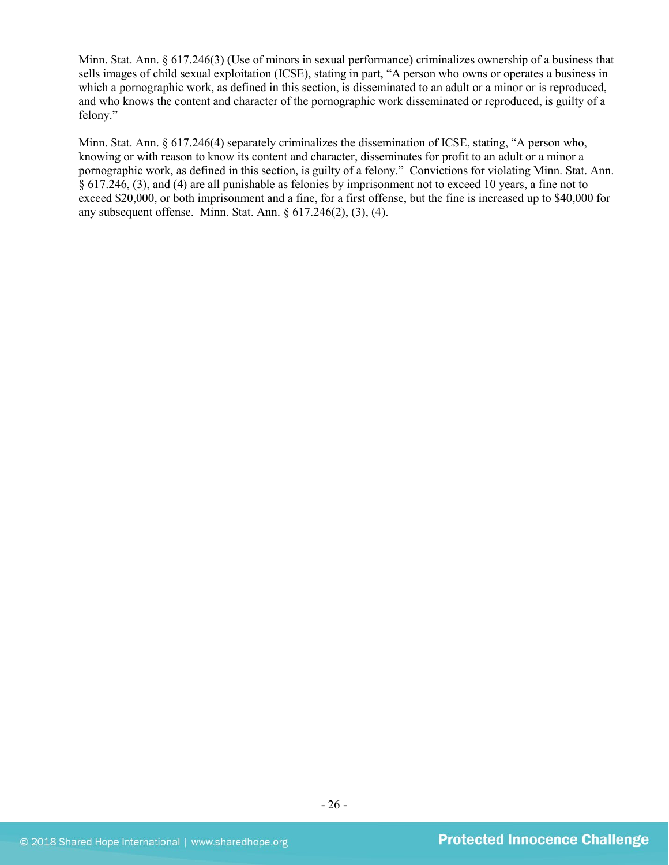Minn. Stat. Ann. § 617.246(3) (Use of minors in sexual performance) criminalizes ownership of a business that sells images of child sexual exploitation (ICSE), stating in part, "A person who owns or operates a business in which a pornographic work, as defined in this section, is disseminated to an adult or a minor or is reproduced, and who knows the content and character of the pornographic work disseminated or reproduced, is guilty of a felony."

Minn. Stat. Ann. § 617.246(4) separately criminalizes the dissemination of ICSE, stating, "A person who, knowing or with reason to know its content and character, disseminates for profit to an adult or a minor a pornographic work, as defined in this section, is guilty of a felony." Convictions for violating Minn. Stat. Ann. § 617.246, (3), and (4) are all punishable as felonies by imprisonment not to exceed 10 years, a fine not to exceed \$20,000, or both imprisonment and a fine, for a first offense, but the fine is increased up to \$40,000 for any subsequent offense. Minn. Stat. Ann. § 617.246(2), (3), (4).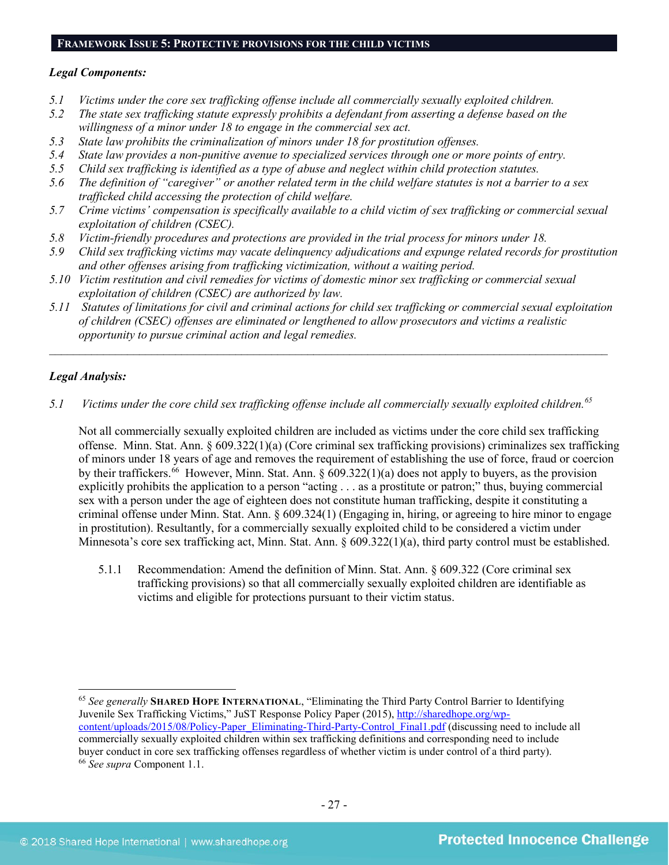# **FRAMEWORK ISSUE 5: PROTECTIVE PROVISIONS FOR THE CHILD VICTIMS**

#### *Legal Components:*

- *5.1 Victims under the core sex trafficking offense include all commercially sexually exploited children.*
- *5.2 The state sex trafficking statute expressly prohibits a defendant from asserting a defense based on the willingness of a minor under 18 to engage in the commercial sex act.*
- *5.3 State law prohibits the criminalization of minors under 18 for prostitution offenses.*
- *5.4 State law provides a non-punitive avenue to specialized services through one or more points of entry.*
- *5.5 Child sex trafficking is identified as a type of abuse and neglect within child protection statutes.*
- *5.6 The definition of "caregiver" or another related term in the child welfare statutes is not a barrier to a sex trafficked child accessing the protection of child welfare.*
- *5.7 Crime victims' compensation is specifically available to a child victim of sex trafficking or commercial sexual exploitation of children (CSEC).*
- *5.8 Victim-friendly procedures and protections are provided in the trial process for minors under 18.*
- *5.9 Child sex trafficking victims may vacate delinquency adjudications and expunge related records for prostitution and other offenses arising from trafficking victimization, without a waiting period.*
- *5.10 Victim restitution and civil remedies for victims of domestic minor sex trafficking or commercial sexual exploitation of children (CSEC) are authorized by law.*
- *5.11 Statutes of limitations for civil and criminal actions for child sex trafficking or commercial sexual exploitation of children (CSEC) offenses are eliminated or lengthened to allow prosecutors and victims a realistic opportunity to pursue criminal action and legal remedies.*

*\_\_\_\_\_\_\_\_\_\_\_\_\_\_\_\_\_\_\_\_\_\_\_\_\_\_\_\_\_\_\_\_\_\_\_\_\_\_\_\_\_\_\_\_\_\_\_\_\_\_\_\_\_\_\_\_\_\_\_\_\_\_\_\_\_\_\_\_\_\_\_\_\_\_\_\_\_\_\_\_\_\_\_\_\_\_\_\_\_\_\_\_\_*

# *Legal Analysis:*

*5.1 Victims under the core child sex trafficking offense include all commercially sexually exploited children.[65](#page-26-0)*

Not all commercially sexually exploited children are included as victims under the core child sex trafficking offense. Minn. Stat. Ann. § 609.322(1)(a) (Core criminal sex trafficking provisions) criminalizes sex trafficking of minors under 18 years of age and removes the requirement of establishing the use of force, fraud or coercion by their traffickers.<sup>[66](#page-26-1)</sup> However, Minn. Stat. Ann. § 609.322(1)(a) does not apply to buyers, as the provision explicitly prohibits the application to a person "acting . . . as a prostitute or patron;" thus, buying commercial sex with a person under the age of eighteen does not constitute human trafficking, despite it constituting a criminal offense under Minn. Stat. Ann. § 609.324(1) (Engaging in, hiring, or agreeing to hire minor to engage in prostitution). Resultantly, for a commercially sexually exploited child to be considered a victim under Minnesota's core sex trafficking act, Minn. Stat. Ann. § 609.322(1)(a), third party control must be established.

5.1.1 Recommendation: Amend the definition of Minn. Stat. Ann. § 609.322 (Core criminal sex trafficking provisions) so that all commercially sexually exploited children are identifiable as victims and eligible for protections pursuant to their victim status.

<span id="page-26-1"></span><span id="page-26-0"></span> <sup>65</sup> *See generally* **SHARED HOPE INTERNATIONAL**, "Eliminating the Third Party Control Barrier to Identifying Juvenile Sex Trafficking Victims," JuST Response Policy Paper (2015), [http://sharedhope.org/wp](http://sharedhope.org/wp-content/uploads/2015/08/Policy-Paper_Eliminating-Third-Party-Control_Final1.pdf)[content/uploads/2015/08/Policy-Paper\\_Eliminating-Third-Party-Control\\_Final1.pdf](http://sharedhope.org/wp-content/uploads/2015/08/Policy-Paper_Eliminating-Third-Party-Control_Final1.pdf) (discussing need to include all commercially sexually exploited children within sex trafficking definitions and corresponding need to include buyer conduct in core sex trafficking offenses regardless of whether victim is under control of a third party). <sup>66</sup> *See supra* Component 1.1.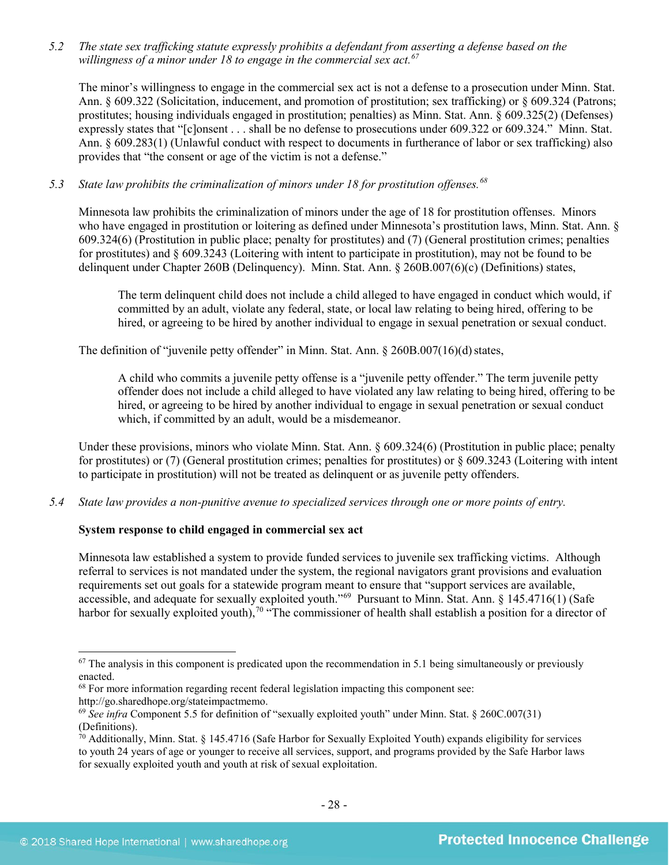*5.2 The state sex trafficking statute expressly prohibits a defendant from asserting a defense based on the willingness of a minor under 18 to engage in the commercial sex act. [67](#page-27-0)*

The minor's willingness to engage in the commercial sex act is not a defense to a prosecution under Minn. Stat. Ann. § 609.322 (Solicitation, inducement, and promotion of prostitution; sex trafficking) or § 609.324 (Patrons; prostitutes; housing individuals engaged in prostitution; penalties) as Minn. Stat. Ann. § 609.325(2) (Defenses) expressly states that "[c]onsent . . . shall be no defense to prosecutions under 609.322 or 609.324." Minn. Stat. Ann. § 609.283(1) (Unlawful conduct with respect to documents in furtherance of labor or sex trafficking) also provides that "the consent or age of the victim is not a defense."

# *5.3 State law prohibits the criminalization of minors under 18 for prostitution offenses.[68](#page-27-1)*

Minnesota law prohibits the criminalization of minors under the age of 18 for prostitution offenses. Minors who have engaged in prostitution or loitering as defined under Minnesota's prostitution laws, Minn. Stat. Ann. § 609.324(6) (Prostitution in public place; penalty for prostitutes) and (7) (General prostitution crimes; penalties for prostitutes) and § 609.3243 (Loitering with intent to participate in prostitution), may not be found to be delinquent under Chapter 260B (Delinquency). Minn. Stat. Ann. § 260B.007(6)(c) (Definitions) states,

The term delinquent child does not include a child alleged to have engaged in conduct which would, if committed by an adult, violate any federal, state, or local law relating to being hired, offering to be hired, or agreeing to be hired by another individual to engage in sexual penetration or sexual conduct.

The definition of "juvenile petty offender" in Minn. Stat. Ann.  $\S 260B.007(16)(d)$  states,

A child who commits a juvenile petty offense is a "juvenile petty offender." The term juvenile petty offender does not include a child alleged to have violated any law relating to being hired, offering to be hired, or agreeing to be hired by another individual to engage in sexual penetration or sexual conduct which, if committed by an adult, would be a misdemeanor.

Under these provisions, minors who violate Minn. Stat. Ann. § 609.324(6) (Prostitution in public place; penalty for prostitutes) or (7) (General prostitution crimes; penalties for prostitutes) or  $\S$  609.3243 (Loitering with intent to participate in prostitution) will not be treated as delinquent or as juvenile petty offenders.

*5.4 State law provides a non-punitive avenue to specialized services through one or more points of entry.*

# **System response to child engaged in commercial sex act**

Minnesota law established a system to provide funded services to juvenile sex trafficking victims. Although referral to services is not mandated under the system, the regional navigators grant provisions and evaluation requirements set out goals for a statewide program meant to ensure that "support services are available, accessible, and adequate for sexually exploited youth."[69](#page-27-2) Pursuant to Minn. Stat. Ann. § 145.4716(1) (Safe harbor for sexually exploited youth),<sup>[70](#page-27-3)</sup> "The commissioner of health shall establish a position for a director of

<span id="page-27-0"></span> $67$  The analysis in this component is predicated upon the recommendation in 5.1 being simultaneously or previously enacted.

<span id="page-27-1"></span><sup>&</sup>lt;sup>68</sup> For more information regarding recent federal legislation impacting this component see: http://go.sharedhope.org/stateimpactmemo.

<span id="page-27-2"></span><sup>69</sup> *See infra* Component 5.5 for definition of "sexually exploited youth" under Minn. Stat. § 260C.007(31) (Definitions).

<span id="page-27-3"></span> $\hat{70}$  Additionally, Minn. Stat. § 145.4716 (Safe Harbor for Sexually Exploited Youth) expands eligibility for services to youth 24 years of age or younger to receive all services, support, and programs provided by the Safe Harbor laws for sexually exploited youth and youth at risk of sexual exploitation.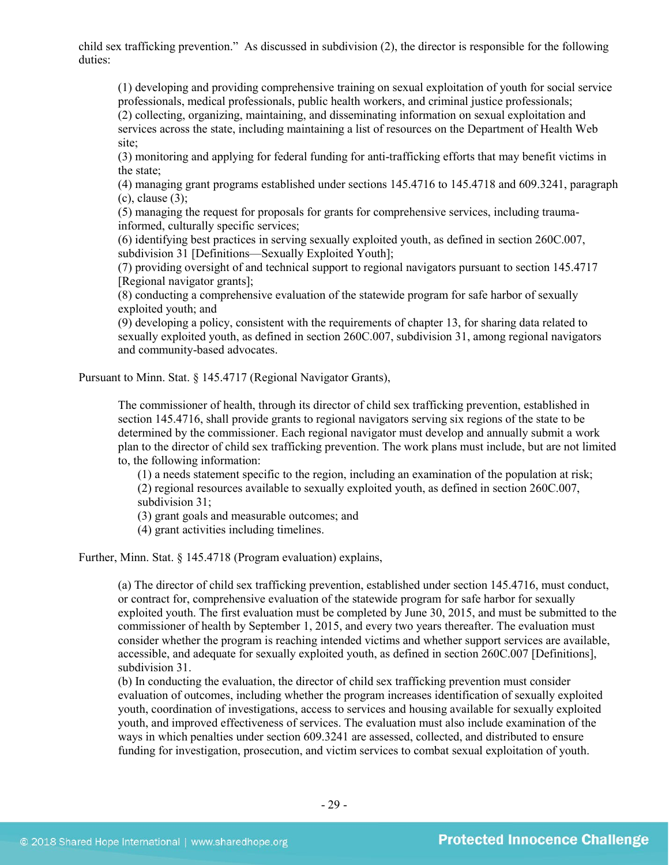child sex trafficking prevention." As discussed in subdivision (2), the director is responsible for the following duties:

(1) developing and providing comprehensive training on sexual exploitation of youth for social service professionals, medical professionals, public health workers, and criminal justice professionals; (2) collecting, organizing, maintaining, and disseminating information on sexual exploitation and services across the state, including maintaining a list of resources on the Department of Health Web site;

(3) monitoring and applying for federal funding for anti-trafficking efforts that may benefit victims in the state;

(4) managing grant programs established under sections 145.4716 to 145.4718 and 609.3241, paragraph  $(c)$ , clause  $(3)$ ;

(5) managing the request for proposals for grants for comprehensive services, including traumainformed, culturally specific services;

(6) identifying best practices in serving sexually exploited youth, as defined in section 260C.007, subdivision 31 [Definitions—Sexually Exploited Youth];

(7) providing oversight of and technical support to regional navigators pursuant to section 145.4717 [Regional navigator grants];

(8) conducting a comprehensive evaluation of the statewide program for safe harbor of sexually exploited youth; and

(9) developing a policy, consistent with the requirements of chapter 13, for sharing data related to sexually exploited youth, as defined in section 260C.007, subdivision 31, among regional navigators and community-based advocates.

Pursuant to Minn. Stat. § 145.4717 (Regional Navigator Grants),

The commissioner of health, through its director of child sex trafficking prevention, established in section 145.4716, shall provide grants to regional navigators serving six regions of the state to be determined by the commissioner. Each regional navigator must develop and annually submit a work plan to the director of child sex trafficking prevention. The work plans must include, but are not limited to, the following information:

(1) a needs statement specific to the region, including an examination of the population at risk; (2) regional resources available to sexually exploited youth, as defined in section 260C.007, subdivision 31;

(3) grant goals and measurable outcomes; and

(4) grant activities including timelines.

Further, Minn. Stat. § 145.4718 (Program evaluation) explains,

(a) The director of child sex trafficking prevention, established under section 145.4716, must conduct, or contract for, comprehensive evaluation of the statewide program for safe harbor for sexually exploited youth. The first evaluation must be completed by June 30, 2015, and must be submitted to the commissioner of health by September 1, 2015, and every two years thereafter. The evaluation must consider whether the program is reaching intended victims and whether support services are available, accessible, and adequate for sexually exploited youth, as defined in section 260C.007 [Definitions], subdivision 31.

(b) In conducting the evaluation, the director of child sex trafficking prevention must consider evaluation of outcomes, including whether the program increases identification of sexually exploited youth, coordination of investigations, access to services and housing available for sexually exploited youth, and improved effectiveness of services. The evaluation must also include examination of the ways in which penalties under section 609.3241 are assessed, collected, and distributed to ensure funding for investigation, prosecution, and victim services to combat sexual exploitation of youth.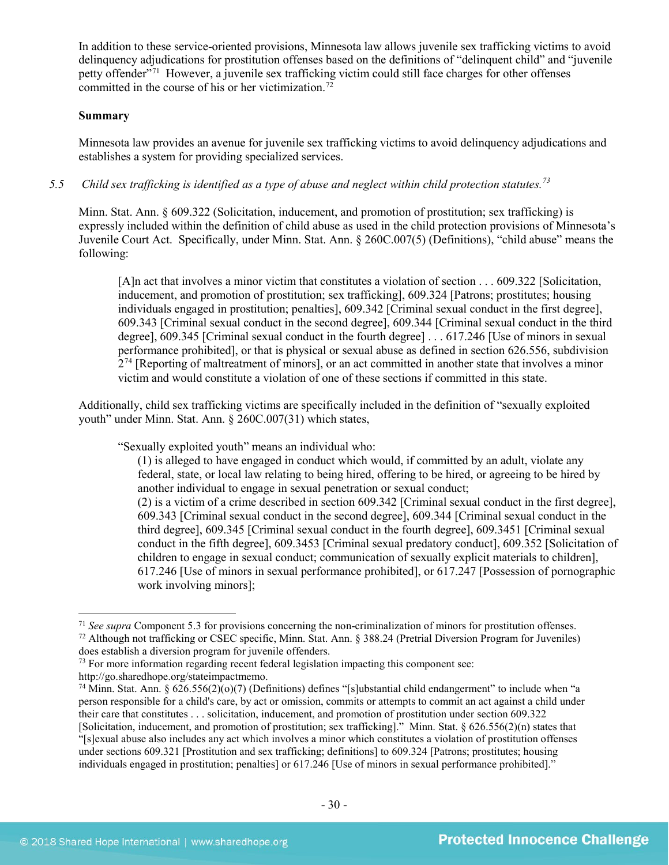In addition to these service-oriented provisions, Minnesota law allows juvenile sex trafficking victims to avoid delinquency adjudications for prostitution offenses based on the definitions of "delinquent child" and "juvenile petty offender"[71](#page-29-0) However, a juvenile sex trafficking victim could still face charges for other offenses committed in the course of his or her victimization.<sup>72</sup>

# **Summary**

Minnesota law provides an avenue for juvenile sex trafficking victims to avoid delinquency adjudications and establishes a system for providing specialized services.

*5.5 Child sex trafficking is identified as a type of abuse and neglect within child protection statutes.[73](#page-29-2)*

Minn. Stat. Ann. § 609.322 (Solicitation, inducement, and promotion of prostitution; sex trafficking) is expressly included within the definition of child abuse as used in the child protection provisions of Minnesota's Juvenile Court Act. Specifically, under Minn. Stat. Ann. § 260C.007(5) (Definitions), "child abuse" means the following:

[A]n act that involves a minor victim that constitutes a violation of section . . . 609.322 [Solicitation, inducement, and promotion of prostitution; sex trafficking], 609.324 [Patrons; prostitutes; housing individuals engaged in prostitution; penalties], 609.342 [Criminal sexual conduct in the first degree], 609.343 [Criminal sexual conduct in the second degree], 609.344 [Criminal sexual conduct in the third degree], 609.345 [Criminal sexual conduct in the fourth degree] . . . 617.246 [Use of minors in sexual performance prohibited], or that is physical or sexual abuse as defined in section 626.556, subdivision  $2^{74}$  $2^{74}$  $2^{74}$  [Reporting of maltreatment of minors], or an act committed in another state that involves a minor victim and would constitute a violation of one of these sections if committed in this state.

Additionally, child sex trafficking victims are specifically included in the definition of "sexually exploited youth" under Minn. Stat. Ann. § 260C.007(31) which states,

"Sexually exploited youth" means an individual who:

(1) is alleged to have engaged in conduct which would, if committed by an adult, violate any federal, state, or local law relating to being hired, offering to be hired, or agreeing to be hired by another individual to engage in sexual penetration or sexual conduct;

(2) is a victim of a crime described in section 609.342 [Criminal sexual conduct in the first degree], 609.343 [Criminal sexual conduct in the second degree], 609.344 [Criminal sexual conduct in the third degree], 609.345 [Criminal sexual conduct in the fourth degree], 609.3451 [Criminal sexual conduct in the fifth degree], 609.3453 [Criminal sexual predatory conduct], 609.352 [Solicitation of children to engage in sexual conduct; communication of sexually explicit materials to children], 617.246 [Use of minors in sexual performance prohibited], or 617.247 [Possession of pornographic work involving minors];

<span id="page-29-1"></span><span id="page-29-0"></span> <sup>71</sup> *See supra* Component 5.3 for provisions concerning the non-criminalization of minors for prostitution offenses. <sup>72</sup> Although not trafficking or CSEC specific, Minn. Stat. Ann. § 388.24 (Pretrial Diversion Program for Juveniles) does establish a diversion program for juvenile offenders.

<span id="page-29-2"></span><sup>&</sup>lt;sup>73</sup> For more information regarding recent federal legislation impacting this component see: http://go.sharedhope.org/stateimpactmemo.

<span id="page-29-3"></span><sup>&</sup>lt;sup>74</sup> Minn. Stat. Ann. § 626.556(2)( $\sigma$ )(7) (Definitions) defines "[s]ubstantial child endangerment" to include when "a person responsible for a child's care, by act or omission, commits or attempts to commit an act against a child under their care that constitutes . . . solicitation, inducement, and promotion of prostitution under section 609.322 [Solicitation, inducement, and promotion of prostitution; sex trafficking]." Minn. Stat. § 626.556(2)(n) states that

<sup>&</sup>quot;[s]exual abuse also includes any act which involves a minor which constitutes a violation of prostitution offenses under sections 609.321 [Prostitution and sex trafficking; definitions] to 609.324 [Patrons; prostitutes; housing individuals engaged in prostitution; penalties] or 617.246 [Use of minors in sexual performance prohibited]."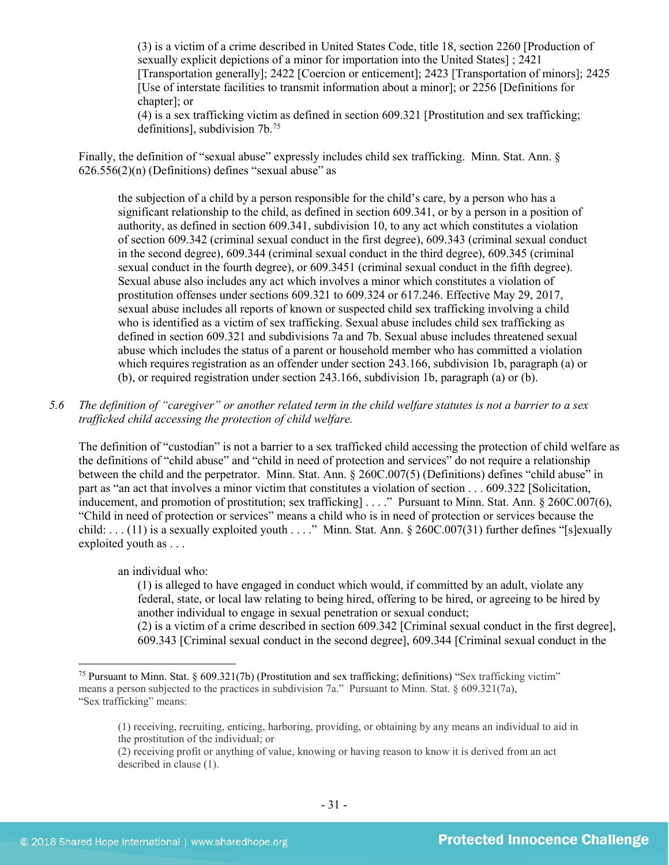(3) is a victim of a crime described in United States Code, title 18, section 2260 [Production of sexually explicit depictions of a minor for importation into the United States] ; 2421 [Transportation generally]; 2422 [Coercion or enticement]; 2423 [Transportation of minors]; 2425 [Use of interstate facilities to transmit information about a minor]; or 2256 [Definitions for chapter]; or

(4) is a sex trafficking victim as defined in section 609.321 [Prostitution and sex trafficking; definitions], subdivision 7b.[75](#page-30-0)

Finally, the definition of "sexual abuse" expressly includes child sex trafficking. Minn. Stat. Ann. §  $626.556(2)$ (n) (Definitions) defines "sexual abuse" as

the subjection of a child by a person responsible for the child's care, by a person who has a significant relationship to the child, as defined in section 609.341, or by a person in a position of authority, as defined in section 609.341, subdivision 10, to any act which constitutes a violation of section 609.342 (criminal sexual conduct in the first degree), 609.343 (criminal sexual conduct in the second degree), 609.344 (criminal sexual conduct in the third degree), 609.345 (criminal sexual conduct in the fourth degree), or 609.3451 (criminal sexual conduct in the fifth degree). Sexual abuse also includes any act which involves a minor which constitutes a violation of prostitution offenses under sections 609.321 to 609.324 or 617.246. Effective May 29, 2017, sexual abuse includes all reports of known or suspected child sex trafficking involving a child who is identified as a victim of sex trafficking. Sexual abuse includes child sex trafficking as defined in section 609.321 and subdivisions 7a and 7b. Sexual abuse includes threatened sexual abuse which includes the status of a parent or household member who has committed a violation which requires registration as an offender under section 243.166, subdivision 1b, paragraph (a) or (b), or required registration under section 243.166, subdivision 1b, paragraph (a) or (b).

# *5.6 The definition of "caregiver" or another related term in the child welfare statutes is not a barrier to a sex trafficked child accessing the protection of child welfare.*

The definition of "custodian" is not a barrier to a sex trafficked child accessing the protection of child welfare as the definitions of "child abuse" and "child in need of protection and services" do not require a relationship between the child and the perpetrator. Minn. Stat. Ann. § 260C.007(5) (Definitions) defines "child abuse" in part as "an act that involves a minor victim that constitutes a violation of section . . . 609.322 [Solicitation, inducement, and promotion of prostitution; sex trafficking [...." Pursuant to Minn. Stat. Ann. § 260C.007(6), "Child in need of protection or services" means a child who is in need of protection or services because the child: . . . (11) is a sexually exploited youth . . . ." Minn. Stat. Ann. § 260C.007(31) further defines "[s]exually exploited youth as . . .

an individual who:

(1) is alleged to have engaged in conduct which would, if committed by an adult, violate any federal, state, or local law relating to being hired, offering to be hired, or agreeing to be hired by another individual to engage in sexual penetration or sexual conduct; (2) is a victim of a crime described in section 609.342 [Criminal sexual conduct in the first degree], 609.343 [Criminal sexual conduct in the second degree], 609.344 [Criminal sexual conduct in the

<span id="page-30-0"></span> <sup>75</sup> Pursuant to Minn. Stat. § 609.321(7b) (Prostitution and sex trafficking; definitions) "Sex trafficking victim" means a person subjected to the practices in subdivision 7a." Pursuant to Minn. Stat. § 609.321(7a), "Sex trafficking" means:

<sup>(1)</sup> receiving, recruiting, enticing, harboring, providing, or obtaining by any means an individual to aid in the prostitution of the individual; or

<sup>(2)</sup> receiving profit or anything of value, knowing or having reason to know it is derived from an act described in clause (1).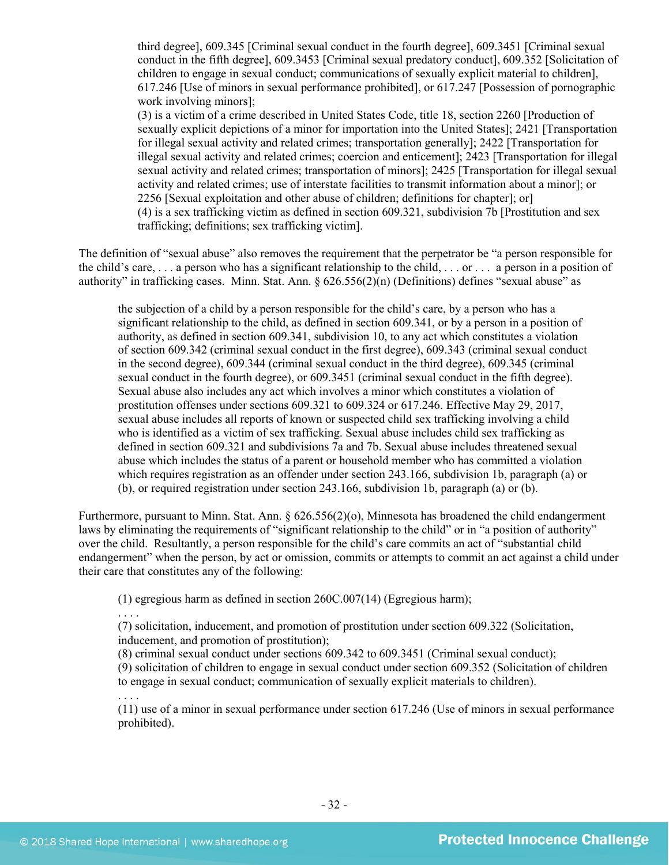third degree], 609.345 [Criminal sexual conduct in the fourth degree], 609.3451 [Criminal sexual conduct in the fifth degree], 609.3453 [Criminal sexual predatory conduct], 609.352 [Solicitation of children to engage in sexual conduct; communications of sexually explicit material to children], 617.246 [Use of minors in sexual performance prohibited], or 617.247 [Possession of pornographic work involving minors];

(3) is a victim of a crime described in United States Code, title 18, section 2260 [Production of sexually explicit depictions of a minor for importation into the United States]; 2421 [Transportation for illegal sexual activity and related crimes; transportation generally]; 2422 [Transportation for illegal sexual activity and related crimes; coercion and enticement]; 2423 [Transportation for illegal sexual activity and related crimes; transportation of minors]; 2425 [Transportation for illegal sexual activity and related crimes; use of interstate facilities to transmit information about a minor]; or 2256 [Sexual exploitation and other abuse of children; definitions for chapter]; or] (4) is a sex trafficking victim as defined in section 609.321, subdivision 7b [Prostitution and sex trafficking; definitions; sex trafficking victim].

The definition of "sexual abuse" also removes the requirement that the perpetrator be "a person responsible for the child's care,  $\dots$  a person who has a significant relationship to the child,  $\dots$  or  $\dots$  a person in a position of authority" in trafficking cases. Minn. Stat. Ann. § 626.556(2)(n) (Definitions) defines "sexual abuse" as

the subjection of a child by a person responsible for the child's care, by a person who has a significant relationship to the child, as defined in section 609.341, or by a person in a position of authority, as defined in section 609.341, subdivision 10, to any act which constitutes a violation of section 609.342 (criminal sexual conduct in the first degree), 609.343 (criminal sexual conduct in the second degree), 609.344 (criminal sexual conduct in the third degree), 609.345 (criminal sexual conduct in the fourth degree), or 609.3451 (criminal sexual conduct in the fifth degree). Sexual abuse also includes any act which involves a minor which constitutes a violation of prostitution offenses under sections 609.321 to 609.324 or 617.246. Effective May 29, 2017, sexual abuse includes all reports of known or suspected child sex trafficking involving a child who is identified as a victim of sex trafficking. Sexual abuse includes child sex trafficking as defined in section 609.321 and subdivisions 7a and 7b. Sexual abuse includes threatened sexual abuse which includes the status of a parent or household member who has committed a violation which requires registration as an offender under section 243.166, subdivision 1b, paragraph (a) or (b), or required registration under section 243.166, subdivision 1b, paragraph (a) or (b).

Furthermore, pursuant to Minn. Stat. Ann. § 626.556(2)(o), Minnesota has broadened the child endangerment laws by eliminating the requirements of "significant relationship to the child" or in "a position of authority" over the child. Resultantly, a person responsible for the child's care commits an act of "substantial child endangerment" when the person, by act or omission, commits or attempts to commit an act against a child under their care that constitutes any of the following:

(1) egregious harm as defined in section 260C.007(14) (Egregious harm);

. . . . (7) solicitation, inducement, and promotion of prostitution under section 609.322 (Solicitation, inducement, and promotion of prostitution);

(8) criminal sexual conduct under sections 609.342 to 609.3451 (Criminal sexual conduct);

(9) solicitation of children to engage in sexual conduct under section 609.352 (Solicitation of children to engage in sexual conduct; communication of sexually explicit materials to children).

. . . . (11) use of a minor in sexual performance under section 617.246 (Use of minors in sexual performance prohibited).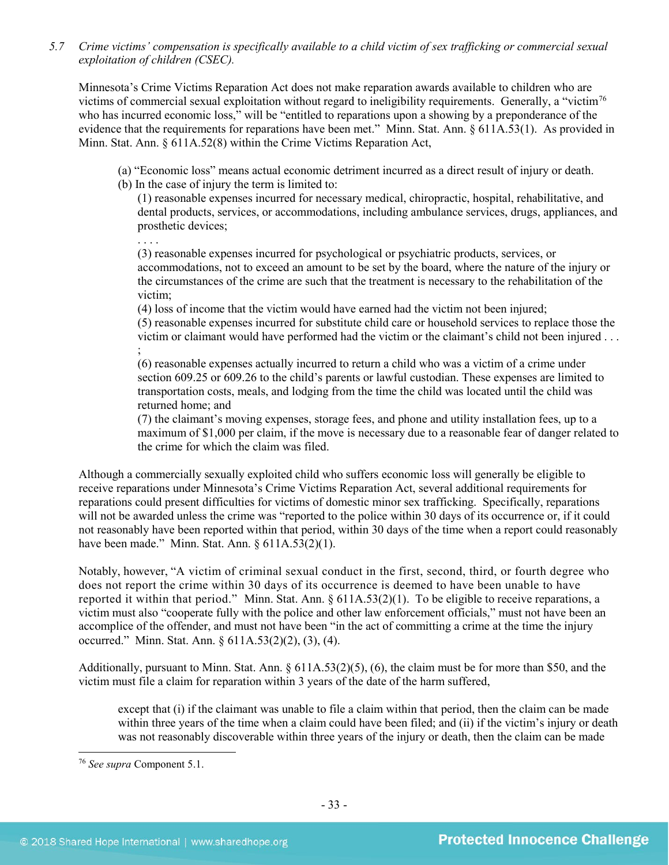*5.7 Crime victims' compensation is specifically available to a child victim of sex trafficking or commercial sexual exploitation of children (CSEC).*

Minnesota's Crime Victims Reparation Act does not make reparation awards available to children who are victims of commercial sexual exploitation without regard to ineligibility requirements. Generally, a "victim[76](#page-32-0) who has incurred economic loss," will be "entitled to reparations upon a showing by a preponderance of the evidence that the requirements for reparations have been met." Minn. Stat. Ann. § 611A.53(1). As provided in Minn. Stat. Ann. § 611A.52(8) within the Crime Victims Reparation Act,

(a) "Economic loss" means actual economic detriment incurred as a direct result of injury or death.

(b) In the case of injury the term is limited to:

(1) reasonable expenses incurred for necessary medical, chiropractic, hospital, rehabilitative, and dental products, services, or accommodations, including ambulance services, drugs, appliances, and prosthetic devices;

. . . . (3) reasonable expenses incurred for psychological or psychiatric products, services, or accommodations, not to exceed an amount to be set by the board, where the nature of the injury or the circumstances of the crime are such that the treatment is necessary to the rehabilitation of the victim;

(4) loss of income that the victim would have earned had the victim not been injured; (5) reasonable expenses incurred for substitute child care or household services to replace those the victim or claimant would have performed had the victim or the claimant's child not been injured . . . ;

(6) reasonable expenses actually incurred to return a child who was a victim of a crime under section 609.25 or 609.26 to the child's parents or lawful custodian. These expenses are limited to transportation costs, meals, and lodging from the time the child was located until the child was returned home; and

(7) the claimant's moving expenses, storage fees, and phone and utility installation fees, up to a maximum of \$1,000 per claim, if the move is necessary due to a reasonable fear of danger related to the crime for which the claim was filed.

Although a commercially sexually exploited child who suffers economic loss will generally be eligible to receive reparations under Minnesota's Crime Victims Reparation Act, several additional requirements for reparations could present difficulties for victims of domestic minor sex trafficking. Specifically, reparations will not be awarded unless the crime was "reported to the police within 30 days of its occurrence or, if it could not reasonably have been reported within that period, within 30 days of the time when a report could reasonably have been made." Minn. Stat. Ann.  $§ 611A.53(2)(1)$ .

Notably, however, "A victim of criminal sexual conduct in the first, second, third, or fourth degree who does not report the crime within 30 days of its occurrence is deemed to have been unable to have reported it within that period." Minn. Stat. Ann. § 611A.53(2)(1). To be eligible to receive reparations, a victim must also "cooperate fully with the police and other law enforcement officials," must not have been an accomplice of the offender, and must not have been "in the act of committing a crime at the time the injury occurred." Minn. Stat. Ann. § 611A.53(2)(2), (3), (4).

Additionally, pursuant to Minn. Stat. Ann. § 611A.53(2)(5), (6), the claim must be for more than \$50, and the victim must file a claim for reparation within 3 years of the date of the harm suffered,

except that (i) if the claimant was unable to file a claim within that period, then the claim can be made within three years of the time when a claim could have been filed; and (ii) if the victim's injury or death was not reasonably discoverable within three years of the injury or death, then the claim can be made

<span id="page-32-0"></span> <sup>76</sup> *See supra* Component 5.1.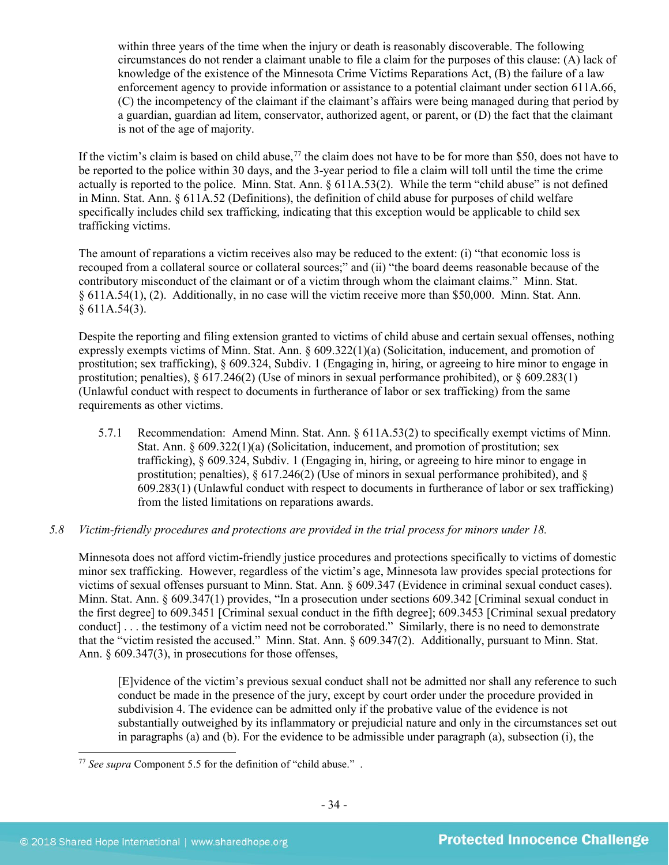within three years of the time when the injury or death is reasonably discoverable. The following circumstances do not render a claimant unable to file a claim for the purposes of this clause: (A) lack of knowledge of the existence of the Minnesota Crime Victims Reparations Act, (B) the failure of a law enforcement agency to provide information or assistance to a potential claimant under section 611A.66, (C) the incompetency of the claimant if the claimant's affairs were being managed during that period by a guardian, guardian ad litem, conservator, authorized agent, or parent, or (D) the fact that the claimant is not of the age of majority.

If the victim's claim is based on child abuse,<sup>[77](#page-33-0)</sup> the claim does not have to be for more than \$50, does not have to be reported to the police within 30 days, and the 3-year period to file a claim will toll until the time the crime actually is reported to the police. Minn. Stat. Ann. § 611A.53(2). While the term "child abuse" is not defined in Minn. Stat. Ann. § 611A.52 (Definitions), the definition of child abuse for purposes of child welfare specifically includes child sex trafficking, indicating that this exception would be applicable to child sex trafficking victims.

The amount of reparations a victim receives also may be reduced to the extent: (i) "that economic loss is recouped from a collateral source or collateral sources;" and (ii) "the board deems reasonable because of the contributory misconduct of the claimant or of a victim through whom the claimant claims." Minn. Stat. § 611A.54(1), (2). Additionally, in no case will the victim receive more than \$50,000. Minn. Stat. Ann.  $§ 611A.54(3).$ 

Despite the reporting and filing extension granted to victims of child abuse and certain sexual offenses, nothing expressly exempts victims of Minn. Stat. Ann. § 609.322(1)(a) (Solicitation, inducement, and promotion of prostitution; sex trafficking), § 609.324, Subdiv. 1 (Engaging in, hiring, or agreeing to hire minor to engage in prostitution; penalties),  $\S 617.246(2)$  (Use of minors in sexual performance prohibited), or  $\S 609.283(1)$ (Unlawful conduct with respect to documents in furtherance of labor or sex trafficking) from the same requirements as other victims.

5.7.1 Recommendation: Amend Minn. Stat. Ann. § 611A.53(2) to specifically exempt victims of Minn. Stat. Ann. § 609.322(1)(a) (Solicitation, inducement, and promotion of prostitution; sex trafficking), § 609.324, Subdiv. 1 (Engaging in, hiring, or agreeing to hire minor to engage in prostitution; penalties),  $\S 617.246(2)$  (Use of minors in sexual performance prohibited), and  $\S$ 609.283(1) (Unlawful conduct with respect to documents in furtherance of labor or sex trafficking) from the listed limitations on reparations awards.

# *5.8 Victim-friendly procedures and protections are provided in the trial process for minors under 18.*

Minnesota does not afford victim-friendly justice procedures and protections specifically to victims of domestic minor sex trafficking. However, regardless of the victim's age, Minnesota law provides special protections for victims of sexual offenses pursuant to Minn. Stat. Ann. § 609.347 (Evidence in criminal sexual conduct cases). Minn. Stat. Ann. § 609.347(1) provides, "In a prosecution under sections 609.342 [Criminal sexual conduct in the first degree] to 609.3451 [Criminal sexual conduct in the fifth degree]; 609.3453 [Criminal sexual predatory conduct] . . . the testimony of a victim need not be corroborated." Similarly, there is no need to demonstrate that the "victim resisted the accused." Minn. Stat. Ann. § 609.347(2). Additionally, pursuant to Minn. Stat. Ann. § 609.347(3), in prosecutions for those offenses,

[E]vidence of the victim's previous sexual conduct shall not be admitted nor shall any reference to such conduct be made in the presence of the jury, except by court order under the procedure provided in subdivision 4. The evidence can be admitted only if the probative value of the evidence is not substantially outweighed by its inflammatory or prejudicial nature and only in the circumstances set out in paragraphs (a) and (b). For the evidence to be admissible under paragraph (a), subsection (i), the

<span id="page-33-0"></span> <sup>77</sup> *See supra* Component 5.5 for the definition of "child abuse." .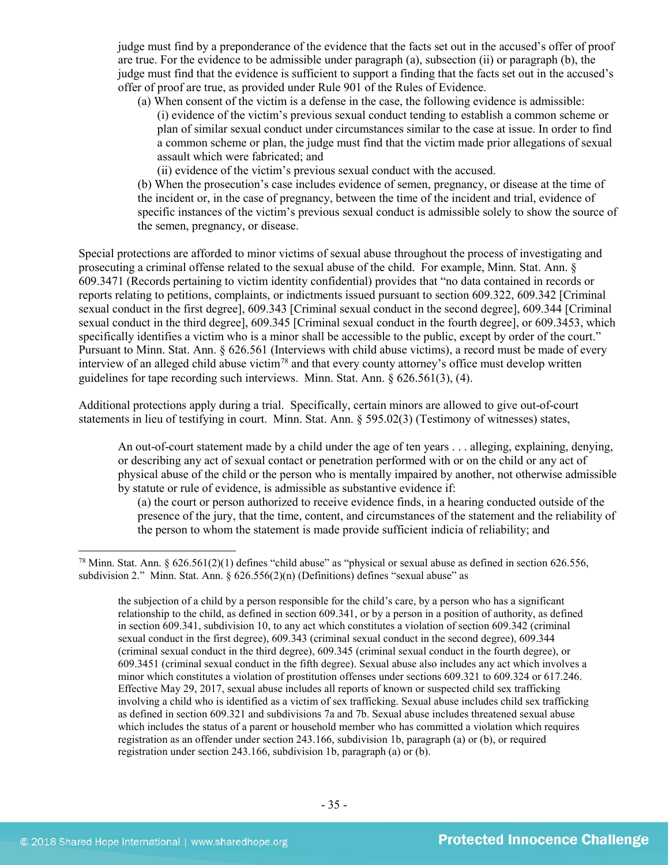judge must find by a preponderance of the evidence that the facts set out in the accused's offer of proof are true. For the evidence to be admissible under paragraph (a), subsection (ii) or paragraph (b), the judge must find that the evidence is sufficient to support a finding that the facts set out in the accused's offer of proof are true, as provided under Rule 901 of the Rules of Evidence.

(a) When consent of the victim is a defense in the case, the following evidence is admissible: (i) evidence of the victim's previous sexual conduct tending to establish a common scheme or plan of similar sexual conduct under circumstances similar to the case at issue. In order to find a common scheme or plan, the judge must find that the victim made prior allegations of sexual assault which were fabricated; and

(ii) evidence of the victim's previous sexual conduct with the accused.

(b) When the prosecution's case includes evidence of semen, pregnancy, or disease at the time of the incident or, in the case of pregnancy, between the time of the incident and trial, evidence of specific instances of the victim's previous sexual conduct is admissible solely to show the source of the semen, pregnancy, or disease.

Special protections are afforded to minor victims of sexual abuse throughout the process of investigating and prosecuting a criminal offense related to the sexual abuse of the child. For example, Minn. Stat. Ann. § 609.3471 (Records pertaining to victim identity confidential) provides that "no data contained in records or reports relating to petitions, complaints, or indictments issued pursuant to [section 609.322, 609.342](http://web2.westlaw.com/find/default.wl?tc=-1&docname=MNSTS609.342&rp=%2ffind%2fdefault.wl&sv=Split&rs=WLW11.04&db=1000044&tf=-1&findtype=L&fn=_top&mt=59&vr=2.0&pbc=5B5D1160&ordoc=3575265) [Criminal sexual conduct in the first degree], [609.343](http://web2.westlaw.com/find/default.wl?tc=-1&docname=MNSTS609.343&rp=%2ffind%2fdefault.wl&sv=Split&rs=WLW11.04&db=1000044&tf=-1&findtype=L&fn=_top&mt=59&vr=2.0&pbc=5B5D1160&ordoc=3575265) [Criminal sexual conduct in the second degree][, 609.344](http://web2.westlaw.com/find/default.wl?tc=-1&docname=MNSTS609.344&rp=%2ffind%2fdefault.wl&sv=Split&rs=WLW11.04&db=1000044&tf=-1&findtype=L&fn=_top&mt=59&vr=2.0&pbc=5B5D1160&ordoc=3575265) [Criminal sexual conduct in the third degree], [609.345](http://web2.westlaw.com/find/default.wl?tc=-1&docname=MNSTS609.345&rp=%2ffind%2fdefault.wl&sv=Split&rs=WLW11.04&db=1000044&tf=-1&findtype=L&fn=_top&mt=59&vr=2.0&pbc=5B5D1160&ordoc=3575265) [Criminal sexual conduct in the fourth degree], or [609.3453,](http://web2.westlaw.com/find/default.wl?tc=-1&docname=MNSTS609.3453&rp=%2ffind%2fdefault.wl&sv=Split&rs=WLW11.04&db=1000044&tf=-1&findtype=L&fn=_top&mt=59&vr=2.0&pbc=5B5D1160&ordoc=3575265) which specifically identifies a victim who is a minor shall be accessible to the public, except by order of the court." Pursuant to Minn. Stat. Ann. § 626.561 (Interviews with child abuse victims), a record must be made of every interview of an alleged child abuse victim[78](#page-34-0) and that every county attorney's office must develop written guidelines for tape recording such interviews. Minn. Stat. Ann. § 626.561(3), (4).

Additional protections apply during a trial. Specifically, certain minors are allowed to give out-of-court statements in lieu of testifying in court. Minn. Stat. Ann. § 595.02(3) (Testimony of witnesses) states,

An out-of-court statement made by a child under the age of ten years . . . alleging, explaining, denying, or describing any act of sexual contact or penetration performed with or on the child or any act of physical abuse of the child or the person who is mentally impaired by another, not otherwise admissible by statute or rule of evidence, is admissible as substantive evidence if:

(a) the court or person authorized to receive evidence finds, in a hearing conducted outside of the presence of the jury, that the time, content, and circumstances of the statement and the reliability of the person to whom the statement is made provide sufficient indicia of reliability; and

<span id="page-34-0"></span><sup>&</sup>lt;sup>78</sup> Minn. Stat. Ann. § 626.561(2)(1) defines "child abuse" as "physical or sexual abuse as defined in section 626.556, subdivision 2." Minn. Stat. Ann. § 626.556(2)(n) (Definitions) defines "sexual abuse" as

the subjection of a child by a person responsible for the child's care, by a person who has a significant relationship to the child, as defined in section 609.341, or by a person in a position of authority, as defined in section 609.341, subdivision 10, to any act which constitutes a violation of section 609.342 (criminal sexual conduct in the first degree), 609.343 (criminal sexual conduct in the second degree), 609.344 (criminal sexual conduct in the third degree), 609.345 (criminal sexual conduct in the fourth degree), or 609.3451 (criminal sexual conduct in the fifth degree). Sexual abuse also includes any act which involves a minor which constitutes a violation of prostitution offenses under sections 609.321 to 609.324 or 617.246. Effective May 29, 2017, sexual abuse includes all reports of known or suspected child sex trafficking involving a child who is identified as a victim of sex trafficking. Sexual abuse includes child sex trafficking as defined in section 609.321 and subdivisions 7a and 7b. Sexual abuse includes threatened sexual abuse which includes the status of a parent or household member who has committed a violation which requires registration as an offender under section 243.166, subdivision 1b, paragraph (a) or (b), or required registration under section 243.166, subdivision 1b, paragraph (a) or (b).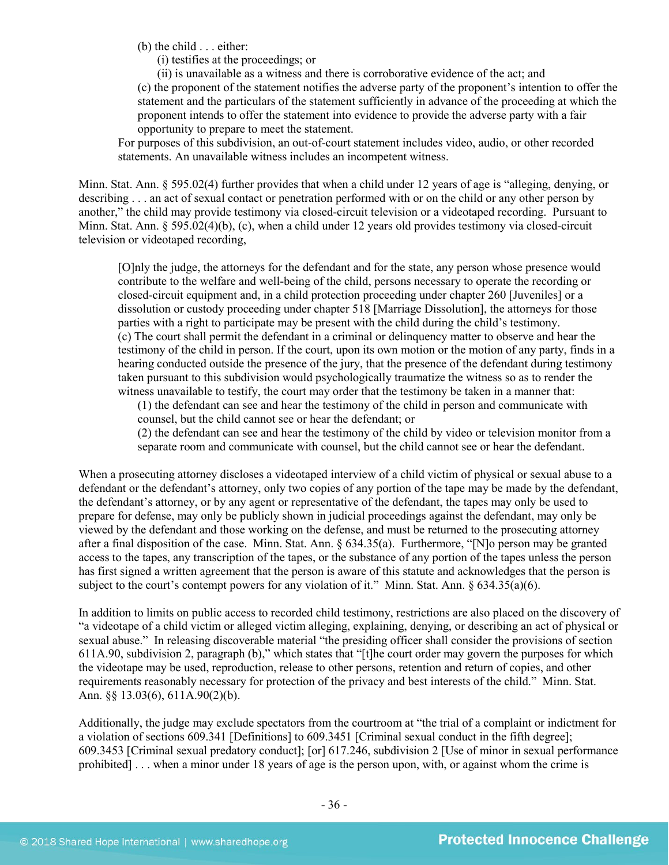(b) the child . . . either:

(i) testifies at the proceedings; or

(ii) is unavailable as a witness and there is corroborative evidence of the act; and (c) the proponent of the statement notifies the adverse party of the proponent's intention to offer the statement and the particulars of the statement sufficiently in advance of the proceeding at which the proponent intends to offer the statement into evidence to provide the adverse party with a fair opportunity to prepare to meet the statement.

For purposes of this subdivision, an out-of-court statement includes video, audio, or other recorded statements. An unavailable witness includes an incompetent witness.

Minn. Stat. Ann. § 595.02(4) further provides that when a child under 12 years of age is "alleging, denying, or describing . . . an act of sexual contact or penetration performed with or on the child or any other person by another," the child may provide testimony via closed-circuit television or a videotaped recording. Pursuant to Minn. Stat. Ann. § 595.02(4)(b), (c), when a child under 12 years old provides testimony via closed-circuit television or videotaped recording,

[O]nly the judge, the attorneys for the defendant and for the state, any person whose presence would contribute to the welfare and well-being of the child, persons necessary to operate the recording or closed-circuit equipment and, in a child protection proceeding under chapter 260 [Juveniles] or a dissolution or custody proceeding under chapter 518 [Marriage Dissolution], the attorneys for those parties with a right to participate may be present with the child during the child's testimony. (c) The court shall permit the defendant in a criminal or delinquency matter to observe and hear the testimony of the child in person. If the court, upon its own motion or the motion of any party, finds in a hearing conducted outside the presence of the jury, that the presence of the defendant during testimony taken pursuant to this subdivision would psychologically traumatize the witness so as to render the witness unavailable to testify, the court may order that the testimony be taken in a manner that:

(1) the defendant can see and hear the testimony of the child in person and communicate with counsel, but the child cannot see or hear the defendant; or

(2) the defendant can see and hear the testimony of the child by video or television monitor from a separate room and communicate with counsel, but the child cannot see or hear the defendant.

When a prosecuting attorney discloses a videotaped interview of a child victim of physical or sexual abuse to a defendant or the defendant's attorney, only two copies of any portion of the tape may be made by the defendant, the defendant's attorney, or by any agent or representative of the defendant, the tapes may only be used to prepare for defense, may only be publicly shown in judicial proceedings against the defendant, may only be viewed by the defendant and those working on the defense, and must be returned to the prosecuting attorney after a final disposition of the case. Minn. Stat. Ann. § 634.35(a). Furthermore, "[N]o person may be granted access to the tapes, any transcription of the tapes, or the substance of any portion of the tapes unless the person has first signed a written agreement that the person is aware of this statute and acknowledges that the person is subject to the court's contempt powers for any violation of it." Minn. Stat. Ann. § 634.35(a)(6).

In addition to limits on public access to recorded child testimony, restrictions are also placed on the discovery of "a videotape of a child victim or alleged victim alleging, explaining, denying, or describing an act of physical or sexual abuse." In releasing discoverable material "the presiding officer shall consider the provisions of section 611A.90, subdivision 2, paragraph (b)," which states that "[t]he court order may govern the purposes for which the videotape may be used, reproduction, release to other persons, retention and return of copies, and other requirements reasonably necessary for protection of the privacy and best interests of the child." Minn. Stat. Ann. §§ 13.03(6), 611A.90(2)(b).

Additionally, the judge may exclude spectators from the courtroom at "the trial of a complaint or indictment for a violation of sections 609.341 [Definitions] to 609.3451 [Criminal sexual conduct in the fifth degree]; 609.3453 [Criminal sexual predatory conduct]; [or] 617.246, subdivision 2 [Use of minor in sexual performance prohibited] . . . when a minor under 18 years of age is the person upon, with, or against whom the crime is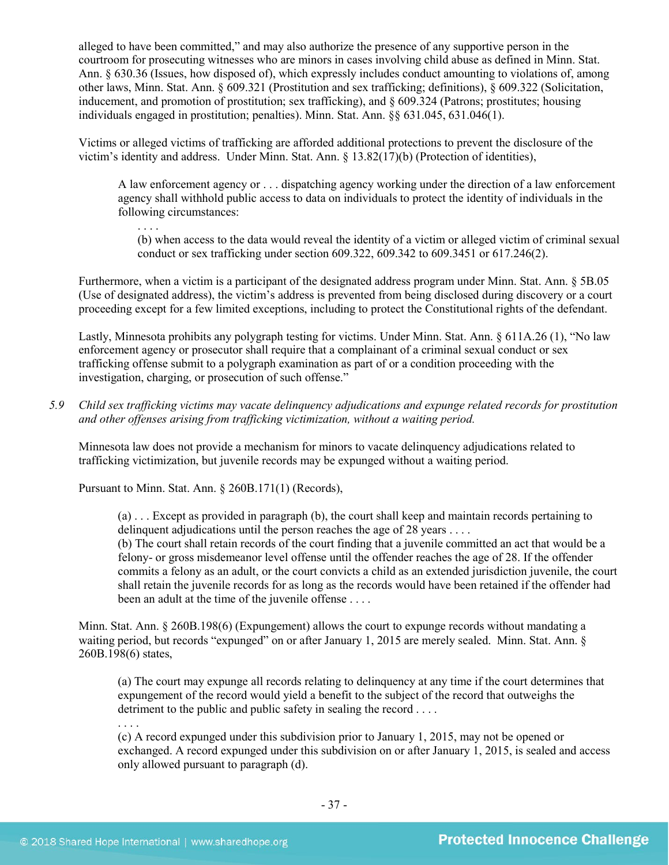alleged to have been committed," and may also authorize the presence of any supportive person in the courtroom for prosecuting witnesses who are minors in cases involving child abuse as defined in Minn. Stat. Ann. § 630.36 (Issues, how disposed of), which expressly includes conduct amounting to violations of, among other laws, Minn. Stat. Ann. § 609.321 (Prostitution and sex trafficking; definitions), § 609.322 (Solicitation, inducement, and promotion of prostitution; sex trafficking), and § 609.324 (Patrons; prostitutes; housing individuals engaged in prostitution; penalties). Minn. Stat. Ann. §§ 631.045, 631.046(1).

Victims or alleged victims of trafficking are afforded additional protections to prevent the disclosure of the victim's identity and address. Under Minn. Stat. Ann. § 13.82(17)(b) (Protection of identities),

A law enforcement agency or . . . dispatching agency working under the direction of a law enforcement agency shall withhold public access to data on individuals to protect the identity of individuals in the following circumstances:

(b) when access to the data would reveal the identity of a victim or alleged victim of criminal sexual conduct or sex trafficking under section 609.322, 609.342 to 609.3451 or 617.246(2).

Furthermore, when a victim is a participant of the designated address program under Minn. Stat. Ann. § 5B.05 (Use of designated address), the victim's address is prevented from being disclosed during discovery or a court proceeding except for a few limited exceptions, including to protect the Constitutional rights of the defendant.

Lastly, Minnesota prohibits any polygraph testing for victims. Under Minn. Stat. Ann. § 611A.26 (1), "No law enforcement agency or prosecutor shall require that a complainant of a criminal sexual conduct or sex trafficking offense submit to a polygraph examination as part of or a condition proceeding with the investigation, charging, or prosecution of such offense."

*5.9 Child sex trafficking victims may vacate delinquency adjudications and expunge related records for prostitution and other offenses arising from trafficking victimization, without a waiting period.*

Minnesota law does not provide a mechanism for minors to vacate delinquency adjudications related to trafficking victimization, but juvenile records may be expunged without a waiting period.

Pursuant to Minn. Stat. Ann. § 260B.171(1) (Records),

. . . .

(a) . . . Except as provided in paragraph (b), the court shall keep and maintain records pertaining to delinquent adjudications until the person reaches the age of 28 years . . . .

(b) The court shall retain records of the court finding that a juvenile committed an act that would be a felony- or gross misdemeanor level offense until the offender reaches the age of 28. If the offender commits a felony as an adult, or the court convicts a child as an extended jurisdiction juvenile, the court shall retain the juvenile records for as long as the records would have been retained if the offender had been an adult at the time of the juvenile offense . . . .

Minn. Stat. Ann. § 260B.198(6) (Expungement) allows the court to expunge records without mandating a waiting period, but records "expunged" on or after January 1, 2015 are merely sealed. Minn. Stat. Ann. § 260B.198(6) states,

(a) The court may expunge all records relating to delinquency at any time if the court determines that expungement of the record would yield a benefit to the subject of the record that outweighs the detriment to the public and public safety in sealing the record . . . .

. . . .

(c) A record expunged under this subdivision prior to January 1, 2015, may not be opened or exchanged. A record expunged under this subdivision on or after January 1, 2015, is sealed and access only allowed pursuant to paragraph (d).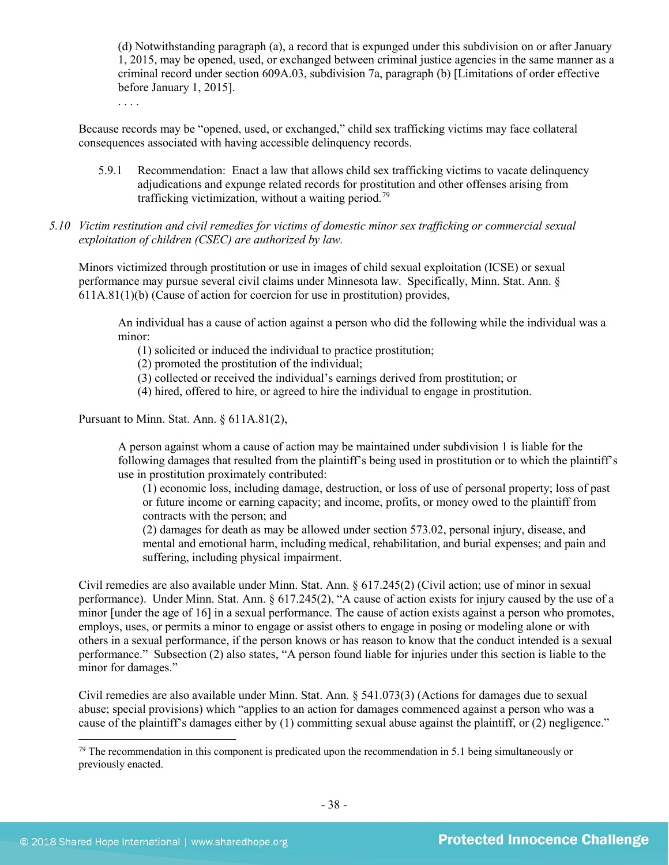(d) Notwithstanding paragraph (a), a record that is expunged under this subdivision on or after January 1, 2015, may be opened, used, or exchanged between criminal justice agencies in the same manner as a criminal record under section 609A.03, subdivision 7a, paragraph (b) [Limitations of order effective before January 1, 2015].

Because records may be "opened, used, or exchanged," child sex trafficking victims may face collateral consequences associated with having accessible delinquency records.

- 5.9.1 Recommendation: Enact a law that allows child sex trafficking victims to vacate delinquency adjudications and expunge related records for prostitution and other offenses arising from trafficking victimization, without a waiting period.<sup>[79](#page-37-0)</sup>
- *5.10 Victim restitution and civil remedies for victims of domestic minor sex trafficking or commercial sexual exploitation of children (CSEC) are authorized by law.*

Minors victimized through prostitution or use in images of child sexual exploitation (ICSE) or sexual performance may pursue several civil claims under Minnesota law. Specifically, Minn. Stat. Ann. § 611A.81(1)(b) (Cause of action for coercion for use in prostitution) provides,

An individual has a cause of action against a person who did the following while the individual was a minor:

(1) solicited or induced the individual to practice prostitution;

(2) promoted the prostitution of the individual;

- (3) collected or received the individual's earnings derived from prostitution; or
- (4) hired, offered to hire, or agreed to hire the individual to engage in prostitution.

Pursuant to Minn. Stat. Ann. § 611A.81(2),

. . . .

A person against whom a cause of action may be maintained under subdivision 1 is liable for the following damages that resulted from the plaintiff's being used in prostitution or to which the plaintiff's use in prostitution proximately contributed:

(1) economic loss, including damage, destruction, or loss of use of personal property; loss of past or future income or earning capacity; and income, profits, or money owed to the plaintiff from contracts with the person; and

(2) damages for death as may be allowed under section 573.02, personal injury, disease, and mental and emotional harm, including medical, rehabilitation, and burial expenses; and pain and suffering, including physical impairment.

Civil remedies are also available under Minn. Stat. Ann. § 617.245(2) (Civil action; use of minor in sexual performance). Under Minn. Stat. Ann. § 617.245(2), "A cause of action exists for injury caused by the use of a minor [under the age of 16] in a sexual performance. The cause of action exists against a person who promotes, employs, uses, or permits a minor to engage or assist others to engage in posing or modeling alone or with others in a sexual performance, if the person knows or has reason to know that the conduct intended is a sexual performance." Subsection (2) also states, "A person found liable for injuries under this section is liable to the minor for damages."

Civil remedies are also available under Minn. Stat. Ann. § 541.073(3) (Actions for damages due to sexual abuse; special provisions) which "applies to an action for damages commenced against a person who was a cause of the plaintiff's damages either by (1) committing sexual abuse against the plaintiff, or (2) negligence."

<span id="page-37-0"></span><sup>&</sup>lt;sup>79</sup> The recommendation in this component is predicated upon the recommendation in 5.1 being simultaneously or previously enacted.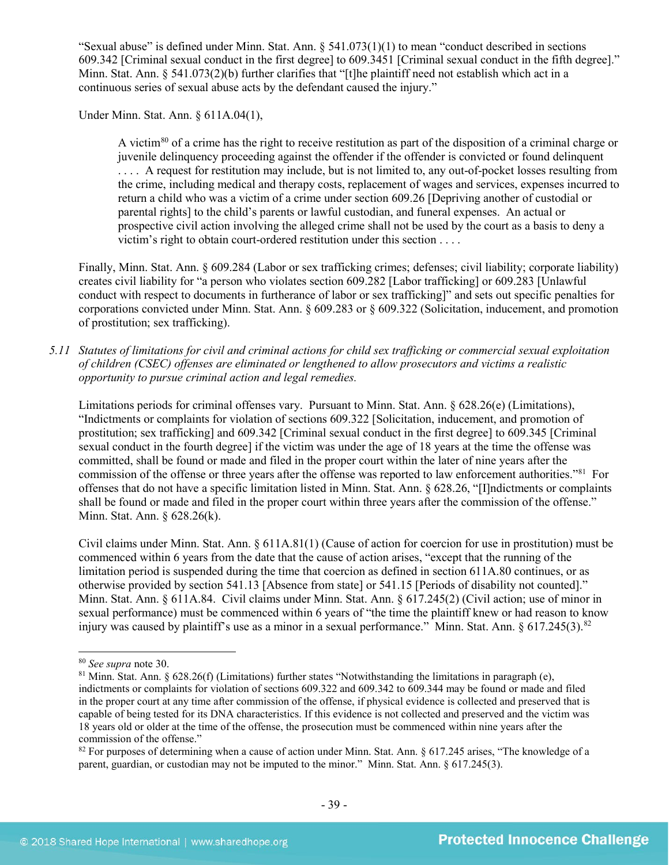"Sexual abuse" is defined under Minn. Stat. Ann.  $\S$  541.073(1)(1) to mean "conduct described in sections 609.342 [Criminal sexual conduct in the first degree] to 609.3451 [Criminal sexual conduct in the fifth degree]." Minn. Stat. Ann. § 541.073(2)(b) further clarifies that "[t]he plaintiff need not establish which act in a continuous series of sexual abuse acts by the defendant caused the injury."

Under Minn. Stat. Ann. § 611A.04(1),

A victim<sup>[80](#page-38-0)</sup> of a crime has the right to receive restitution as part of the disposition of a criminal charge or juvenile delinquency proceeding against the offender if the offender is convicted or found delinquent . . . . A request for restitution may include, but is not limited to, any out-of-pocket losses resulting from the crime, including medical and therapy costs, replacement of wages and services, expenses incurred to return a child who was a victim of a crime under section 609.26 [Depriving another of custodial or parental rights] to the child's parents or lawful custodian, and funeral expenses. An actual or prospective civil action involving the alleged crime shall not be used by the court as a basis to deny a victim's right to obtain court-ordered restitution under this section . . . .

Finally, Minn. Stat. Ann. § 609.284 (Labor or sex trafficking crimes; defenses; civil liability; corporate liability) creates civil liability for "a person who violates section 609.282 [Labor trafficking] or 609.283 [Unlawful conduct with respect to documents in furtherance of labor or sex trafficking]" and sets out specific penalties for corporations convicted under Minn. Stat. Ann. § 609.283 or § 609.322 (Solicitation, inducement, and promotion of prostitution; sex trafficking).

*5.11 Statutes of limitations for civil and criminal actions for child sex trafficking or commercial sexual exploitation of children (CSEC) offenses are eliminated or lengthened to allow prosecutors and victims a realistic opportunity to pursue criminal action and legal remedies.*

Limitations periods for criminal offenses vary. Pursuant to Minn. Stat. Ann. § 628.26(e) (Limitations), "Indictments or complaints for violation of sections 609.322 [Solicitation, inducement, and promotion of prostitution; sex trafficking] and 609.342 [Criminal sexual conduct in the first degree] to 609.345 [Criminal sexual conduct in the fourth degree] if the victim was under the age of 18 years at the time the offense was committed, shall be found or made and filed in the proper court within the later of nine years after the commission of the offense or three years after the offense was reported to law enforcement authorities."[81](#page-38-1) For offenses that do not have a specific limitation listed in Minn. Stat. Ann. § 628.26, "[I]ndictments or complaints shall be found or made and filed in the proper court within three years after the commission of the offense." Minn. Stat. Ann. § 628.26(k).

Civil claims under Minn. Stat. Ann. § 611A.81(1) (Cause of action for coercion for use in prostitution) must be commenced within 6 years from the date that the cause of action arises, "except that the running of the limitation period is suspended during the time that coercion as defined in section 611A.80 continues, or as otherwise provided by section 541.13 [Absence from state] or 541.15 [Periods of disability not counted]." Minn. Stat. Ann. § 611A.84. Civil claims under Minn. Stat. Ann. § 617.245(2) (Civil action; use of minor in sexual performance) must be commenced within 6 years of "the time the plaintiff knew or had reason to know injury was caused by plaintiff's use as a minor in a sexual performance." Minn. Stat. Ann.  $\S 617.245(3).82$  $\S 617.245(3).82$ 

<span id="page-38-1"></span><span id="page-38-0"></span><sup>&</sup>lt;sup>80</sup> *See supra* note 30.<br><sup>81</sup> Minn. Stat. Ann. § 628.26(f) (Limitations) further states "Notwithstanding the limitations in paragraph (e), indictments or complaints for violation of sections 609.322 and 609.342 to 609.344 may be found or made and filed in the proper court at any time after commission of the offense, if physical evidence is collected and preserved that is capable of being tested for its DNA characteristics. If this evidence is not collected and preserved and the victim was 18 years old or older at the time of the offense, the prosecution must be commenced within nine years after the commission of the offense."

<span id="page-38-2"></span><sup>&</sup>lt;sup>82</sup> For purposes of determining when a cause of action under Minn. Stat. Ann. § 617.245 arises, "The knowledge of a parent, guardian, or custodian may not be imputed to the minor." Minn. Stat. Ann. § 617.245(3).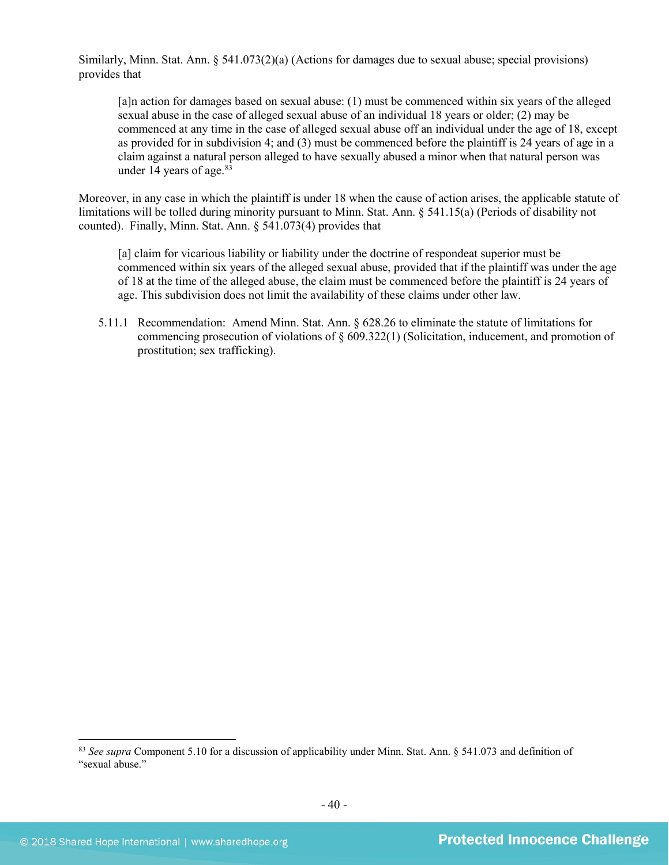Similarly, Minn. Stat. Ann. § 541.073(2)(a) (Actions for damages due to sexual abuse; special provisions) provides that

[a]n action for damages based on sexual abuse: (1) must be commenced within six years of the alleged sexual abuse in the case of alleged sexual abuse of an individual 18 years or older; (2) may be commenced at any time in the case of alleged sexual abuse off an individual under the age of 18, except as provided for in subdivision 4; and (3) must be commenced before the plaintiff is 24 years of age in a claim against a natural person alleged to have sexually abused a minor when that natural person was under 14 years of age. [83](#page-39-0) 

Moreover, in any case in which the plaintiff is under 18 when the cause of action arises, the applicable statute of limitations will be tolled during minority pursuant to Minn. Stat. Ann. § 541.15(a) (Periods of disability not counted). Finally, Minn. Stat. Ann. § 541.073(4) provides that

[a] claim for vicarious liability or liability under the doctrine of respondeat superior must be commenced within six years of the alleged sexual abuse, provided that if the plaintiff was under the age of 18 at the time of the alleged abuse, the claim must be commenced before the plaintiff is 24 years of age. This subdivision does not limit the availability of these claims under other law.

5.11.1 Recommendation: Amend Minn. Stat. Ann. § 628.26 to eliminate the statute of limitations for commencing prosecution of violations of § 609.322(1) (Solicitation, inducement, and promotion of prostitution; sex trafficking).

<span id="page-39-0"></span> <sup>83</sup> *See supra* Component 5.10 for a discussion of applicability under Minn. Stat. Ann. § 541.073 and definition of "sexual abuse."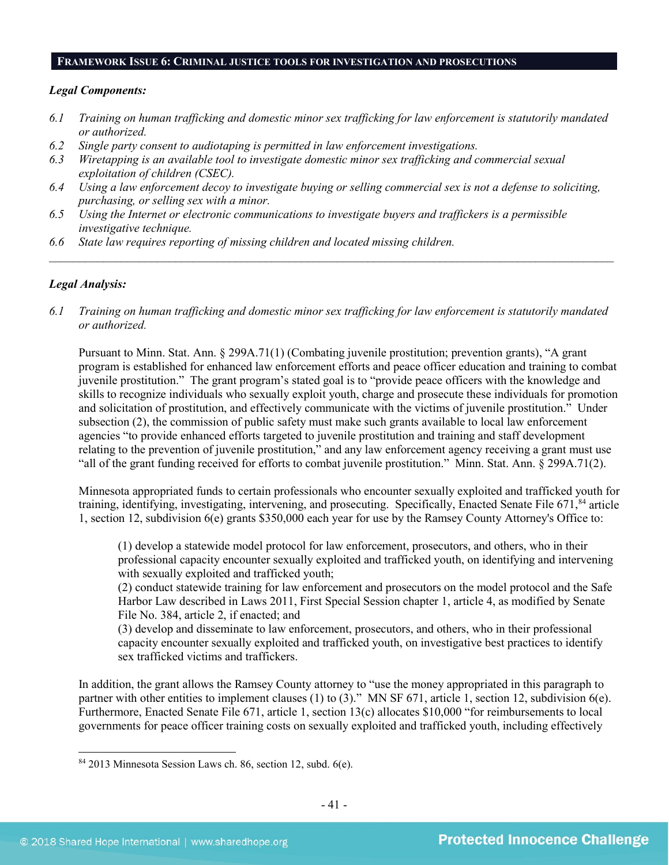#### **FRAMEWORK ISSUE 6: CRIMINAL JUSTICE TOOLS FOR INVESTIGATION AND PROSECUTIONS**

#### *Legal Components:*

- *6.1 Training on human trafficking and domestic minor sex trafficking for law enforcement is statutorily mandated or authorized.*
- *6.2 Single party consent to audiotaping is permitted in law enforcement investigations.*
- *6.3 Wiretapping is an available tool to investigate domestic minor sex trafficking and commercial sexual exploitation of children (CSEC).*
- *6.4 Using a law enforcement decoy to investigate buying or selling commercial sex is not a defense to soliciting, purchasing, or selling sex with a minor.*
- *6.5 Using the Internet or electronic communications to investigate buyers and traffickers is a permissible investigative technique.*
- *6.6 State law requires reporting of missing children and located missing children.*

#### *Legal Analysis:*

*6.1 Training on human trafficking and domestic minor sex trafficking for law enforcement is statutorily mandated or authorized.*

*\_\_\_\_\_\_\_\_\_\_\_\_\_\_\_\_\_\_\_\_\_\_\_\_\_\_\_\_\_\_\_\_\_\_\_\_\_\_\_\_\_\_\_\_\_\_\_\_\_\_\_\_\_\_\_\_\_\_\_\_\_\_\_\_\_\_\_\_\_\_\_\_\_\_\_\_\_\_\_\_\_\_\_\_\_\_\_\_\_\_\_\_\_\_*

Pursuant to Minn. Stat. Ann. § 299A.71(1) (Combating juvenile prostitution; prevention grants), "A grant program is established for enhanced law enforcement efforts and peace officer education and training to combat juvenile prostitution." The grant program's stated goal is to "provide peace officers with the knowledge and skills to recognize individuals who sexually exploit youth, charge and prosecute these individuals for promotion and solicitation of prostitution, and effectively communicate with the victims of juvenile prostitution." Under subsection (2), the commission of public safety must make such grants available to local law enforcement agencies "to provide enhanced efforts targeted to juvenile prostitution and training and staff development relating to the prevention of juvenile prostitution," and any law enforcement agency receiving a grant must use "all of the grant funding received for efforts to combat juvenile prostitution." Minn. Stat. Ann. § 299A.71(2).

Minnesota appropriated funds to certain professionals who encounter sexually exploited and trafficked youth for training, identifying, investigating, intervening, and prosecuting. Specifically, Enacted Senate File  $671$ ,  $84$  article 1, section 12, subdivision 6(e) grants \$350,000 each year for use by the Ramsey County Attorney's Office to:

(1) develop a statewide model protocol for law enforcement, prosecutors, and others, who in their professional capacity encounter sexually exploited and trafficked youth, on identifying and intervening with sexually exploited and trafficked youth;

(2) conduct statewide training for law enforcement and prosecutors on the model protocol and the Safe Harbor Law described in Laws 2011, First Special Session chapter 1, article 4, as modified by Senate File No. 384, article 2, if enacted; and

(3) develop and disseminate to law enforcement, prosecutors, and others, who in their professional capacity encounter sexually exploited and trafficked youth, on investigative best practices to identify sex trafficked victims and traffickers.

In addition, the grant allows the Ramsey County attorney to "use the money appropriated in this paragraph to partner with other entities to implement clauses (1) to (3)." MN SF 671, article 1, section 12, subdivision 6(e). Furthermore, Enacted Senate File 671, article 1, section 13(c) allocates \$10,000 "for reimbursements to local governments for peace officer training costs on sexually exploited and trafficked youth, including effectively

<span id="page-40-0"></span> <sup>84</sup> 2013 Minnesota Session Laws ch. 86, section 12, subd. 6(e).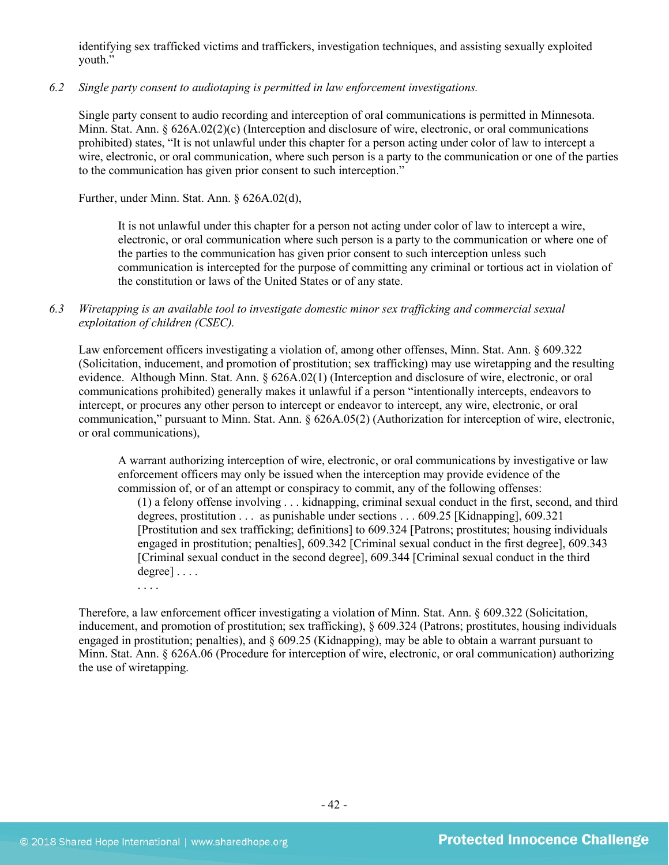identifying sex trafficked victims and traffickers, investigation techniques, and assisting sexually exploited youth."

# *6.2 Single party consent to audiotaping is permitted in law enforcement investigations.*

Single party consent to audio recording and interception of oral communications is permitted in Minnesota. Minn. Stat. Ann.  $\S 626A.02(2)(c)$  (Interception and disclosure of wire, electronic, or oral communications prohibited) states, "It is not unlawful under this chapter for a person acting under color of law to intercept a wire, electronic, or oral communication, where such person is a party to the communication or one of the parties to the communication has given prior consent to such interception."

Further, under Minn. Stat. Ann. § 626A.02(d),

It is not unlawful under this chapter for a person not acting under color of law to intercept a wire, electronic, or oral communication where such person is a party to the communication or where one of the parties to the communication has given prior consent to such interception unless such communication is intercepted for the purpose of committing any criminal or tortious act in violation of the constitution or laws of the United States or of any state.

# *6.3 Wiretapping is an available tool to investigate domestic minor sex trafficking and commercial sexual exploitation of children (CSEC).*

Law enforcement officers investigating a violation of, among other offenses, Minn. Stat. Ann. § 609.322 (Solicitation, inducement, and promotion of prostitution; sex trafficking) may use wiretapping and the resulting evidence. Although Minn. Stat. Ann. § 626A.02(1) (Interception and disclosure of wire, electronic, or oral communications prohibited) generally makes it unlawful if a person "intentionally intercepts, endeavors to intercept, or procures any other person to intercept or endeavor to intercept, any wire, electronic, or oral communication," pursuant to Minn. Stat. Ann. § 626A.05(2) (Authorization for interception of wire, electronic, or oral communications),

A warrant authorizing interception of wire, electronic, or oral communications by investigative or law enforcement officers may only be issued when the interception may provide evidence of the commission of, or of an attempt or conspiracy to commit, any of the following offenses:

(1) a felony offense involving . . . kidnapping, criminal sexual conduct in the first, second, and third degrees, prostitution . . . as punishable under sections . . . 609.25 [Kidnapping], 609.321 [Prostitution and sex trafficking; definitions] to 609.324 [Patrons; prostitutes; housing individuals engaged in prostitution; penalties], 609.342 [Criminal sexual conduct in the first degree], 609.343 [Criminal sexual conduct in the second degree], 609.344 [Criminal sexual conduct in the third degree] . . . .

. . . .

Therefore, a law enforcement officer investigating a violation of Minn. Stat. Ann. § 609.322 (Solicitation, inducement, and promotion of prostitution; sex trafficking), § 609.324 (Patrons; prostitutes, housing individuals engaged in prostitution; penalties), and  $\S 609.25$  (Kidnapping), may be able to obtain a warrant pursuant to Minn. Stat. Ann. § 626A.06 (Procedure for interception of wire, electronic, or oral communication) authorizing the use of wiretapping.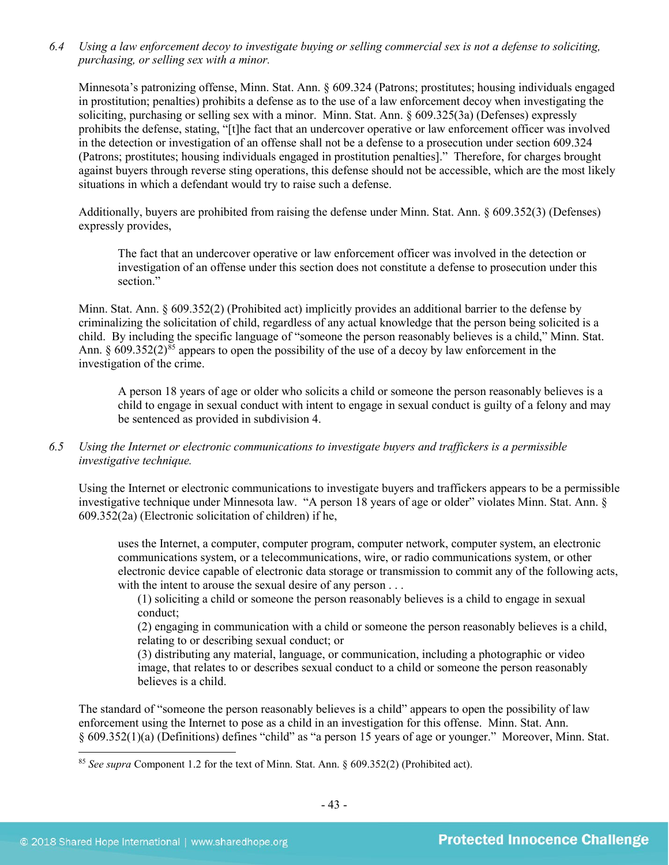*6.4 Using a law enforcement decoy to investigate buying or selling commercial sex is not a defense to soliciting, purchasing, or selling sex with a minor.*

Minnesota's patronizing offense, Minn. Stat. Ann. § 609.324 (Patrons; prostitutes; housing individuals engaged in prostitution; penalties) prohibits a defense as to the use of a law enforcement decoy when investigating the soliciting, purchasing or selling sex with a minor. Minn. Stat. Ann. § 609.325(3a) (Defenses) expressly prohibits the defense, stating, "[t]he fact that an undercover operative or law enforcement officer was involved in the detection or investigation of an offense shall not be a defense to a prosecution under section 609.324 (Patrons; prostitutes; housing individuals engaged in prostitution penalties]." Therefore, for charges brought against buyers through reverse sting operations, this defense should not be accessible, which are the most likely situations in which a defendant would try to raise such a defense.

Additionally, buyers are prohibited from raising the defense under Minn. Stat. Ann. § 609.352(3) (Defenses) expressly provides,

The fact that an undercover operative or law enforcement officer was involved in the detection or investigation of an offense under this section does not constitute a defense to prosecution under this section"

Minn. Stat. Ann. § 609.352(2) (Prohibited act) implicitly provides an additional barrier to the defense by criminalizing the solicitation of child, regardless of any actual knowledge that the person being solicited is a child. By including the specific language of "someone the person reasonably believes is a child," Minn. Stat. Ann. § 609.352(2)<sup>[85](#page-42-0)</sup> appears to open the possibility of the use of a decoy by law enforcement in the investigation of the crime.

A person 18 years of age or older who solicits a child or someone the person reasonably believes is a child to engage in sexual conduct with intent to engage in sexual conduct is guilty of a felony and may be sentenced as provided in subdivision 4.

*6.5 Using the Internet or electronic communications to investigate buyers and traffickers is a permissible investigative technique.*

Using the Internet or electronic communications to investigate buyers and traffickers appears to be a permissible investigative technique under Minnesota law. "A person 18 years of age or older" violates Minn. Stat. Ann. § 609.352(2a) (Electronic solicitation of children) if he,

uses the Internet, a computer, computer program, computer network, computer system, an electronic communications system, or a telecommunications, wire, or radio communications system, or other electronic device capable of electronic data storage or transmission to commit any of the following acts, with the intent to arouse the sexual desire of any person . . .

(1) soliciting a child or someone the person reasonably believes is a child to engage in sexual conduct;

(2) engaging in communication with a child or someone the person reasonably believes is a child, relating to or describing sexual conduct; or

(3) distributing any material, language, or communication, including a photographic or video image, that relates to or describes sexual conduct to a child or someone the person reasonably believes is a child.

The standard of "someone the person reasonably believes is a child" appears to open the possibility of law enforcement using the Internet to pose as a child in an investigation for this offense. Minn. Stat. Ann. § 609.352(1)(a) (Definitions) defines "child" as "a person 15 years of age or younger." Moreover, Minn. Stat.

<span id="page-42-0"></span> <sup>85</sup> *See supra* Component 1.2 for the text of Minn. Stat. Ann. § 609.352(2) (Prohibited act).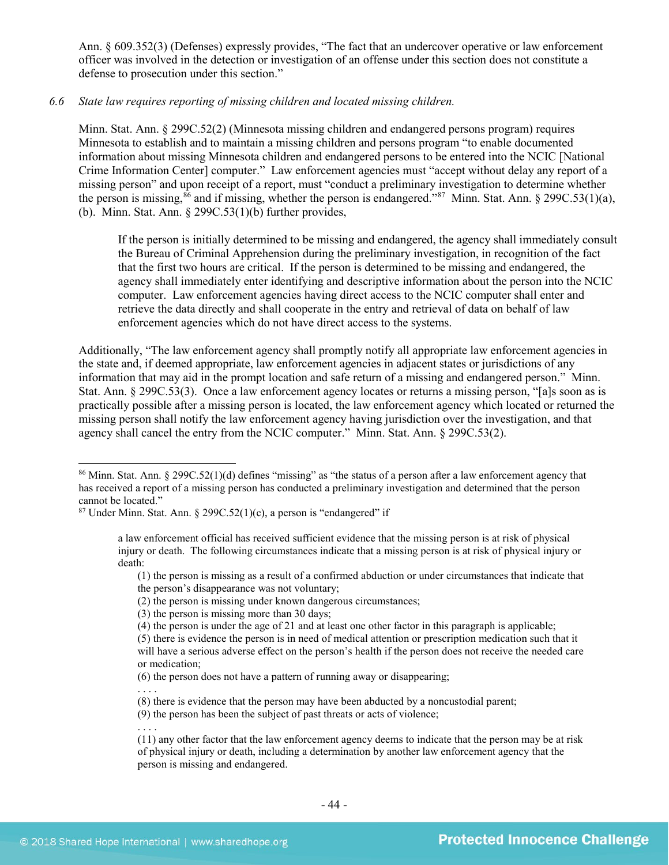Ann. § 609.352(3) (Defenses) expressly provides, "The fact that an undercover operative or law enforcement officer was involved in the detection or investigation of an offense under this section does not constitute a defense to prosecution under this section."

# *6.6 State law requires reporting of missing children and located missing children.*

Minn. Stat. Ann. § 299C.52(2) (Minnesota missing children and endangered persons program) requires Minnesota to establish and to maintain a missing children and persons program "to enable documented information about missing Minnesota children and endangered persons to be entered into the NCIC [National Crime Information Center] computer." Law enforcement agencies must "accept without delay any report of a missing person" and upon receipt of a report, must "conduct a preliminary investigation to determine whether the person is missing,  $86$  and if missing, whether the person is endangered." $87$  Minn. Stat. Ann. § 299C.53(1)(a), (b). Minn. Stat. Ann.  $\S 299C.53(1)(b)$  further provides,

If the person is initially determined to be missing and endangered, the agency shall immediately consult the Bureau of Criminal Apprehension during the preliminary investigation, in recognition of the fact that the first two hours are critical. If the person is determined to be missing and endangered, the agency shall immediately enter identifying and descriptive information about the person into the NCIC computer. Law enforcement agencies having direct access to the NCIC computer shall enter and retrieve the data directly and shall cooperate in the entry and retrieval of data on behalf of law enforcement agencies which do not have direct access to the systems.

Additionally, "The law enforcement agency shall promptly notify all appropriate law enforcement agencies in the state and, if deemed appropriate, law enforcement agencies in adjacent states or jurisdictions of any information that may aid in the prompt location and safe return of a missing and endangered person." Minn. Stat. Ann. § 299C.53(3). Once a law enforcement agency locates or returns a missing person, "[a]s soon as is practically possible after a missing person is located, the law enforcement agency which located or returned the missing person shall notify the law enforcement agency having jurisdiction over the investigation, and that agency shall cancel the entry from the NCIC computer." Minn. Stat. Ann. § 299C.53(2).

. . . .

<span id="page-43-0"></span> <sup>86</sup> Minn. Stat. Ann. § 299C.52(1)(d) defines "missing" as "the status of a person after a law enforcement agency that has received a report of a missing person has conducted a preliminary investigation and determined that the person cannot be located."

<span id="page-43-1"></span> $87$  Under Minn. Stat. Ann. § 299C.52(1)(c), a person is "endangered" if

a law enforcement official has received sufficient evidence that the missing person is at risk of physical injury or death. The following circumstances indicate that a missing person is at risk of physical injury or death:

<sup>(1)</sup> the person is missing as a result of a confirmed abduction or under circumstances that indicate that the person's disappearance was not voluntary;

<sup>(2)</sup> the person is missing under known dangerous circumstances;

<sup>(3)</sup> the person is missing more than 30 days;

<sup>(4)</sup> the person is under the age of 21 and at least one other factor in this paragraph is applicable;

<sup>(5)</sup> there is evidence the person is in need of medical attention or prescription medication such that it will have a serious adverse effect on the person's health if the person does not receive the needed care or medication;

<sup>(6)</sup> the person does not have a pattern of running away or disappearing;

<sup>(8)</sup> there is evidence that the person may have been abducted by a noncustodial parent;

<sup>(9)</sup> the person has been the subject of past threats or acts of violence;

<sup>. . .</sup> .

<sup>(11)</sup> any other factor that the law enforcement agency deems to indicate that the person may be at risk of physical injury or death, including a determination by another law enforcement agency that the person is missing and endangered.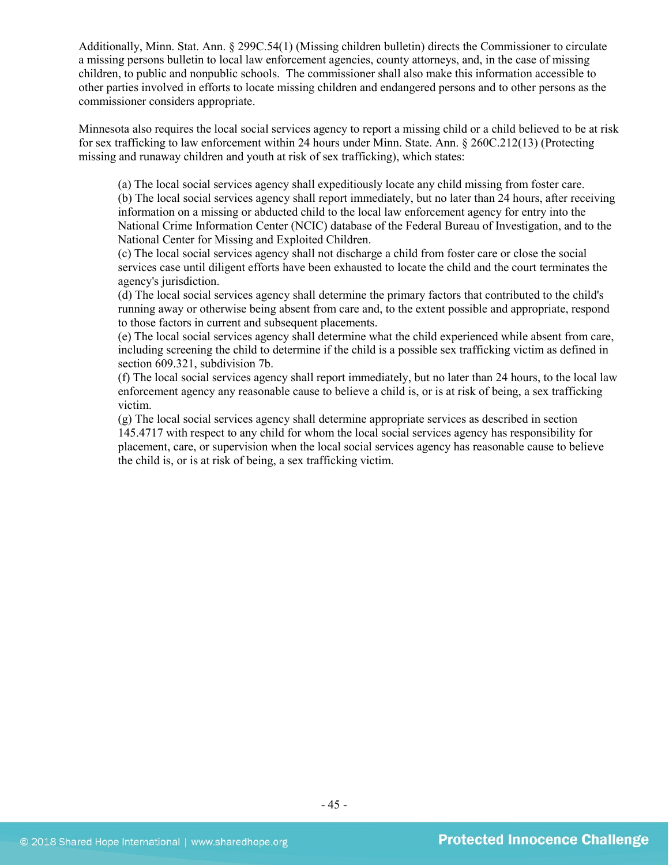Additionally, Minn. Stat. Ann. § 299C.54(1) (Missing children bulletin) directs the Commissioner to circulate a missing persons bulletin to local law enforcement agencies, county attorneys, and, in the case of missing children, to public and nonpublic schools. The commissioner shall also make this information accessible to other parties involved in efforts to locate missing children and endangered persons and to other persons as the commissioner considers appropriate.

Minnesota also requires the local social services agency to report a missing child or a child believed to be at risk for sex trafficking to law enforcement within 24 hours under Minn. State. Ann. § 260C.212(13) (Protecting missing and runaway children and youth at risk of sex trafficking), which states:

(a) The local social services agency shall expeditiously locate any child missing from foster care.

(b) The local social services agency shall report immediately, but no later than 24 hours, after receiving information on a missing or abducted child to the local law enforcement agency for entry into the National Crime Information Center (NCIC) database of the Federal Bureau of Investigation, and to the National Center for Missing and Exploited Children.

(c) The local social services agency shall not discharge a child from foster care or close the social services case until diligent efforts have been exhausted to locate the child and the court terminates the agency's jurisdiction.

(d) The local social services agency shall determine the primary factors that contributed to the child's running away or otherwise being absent from care and, to the extent possible and appropriate, respond to those factors in current and subsequent placements.

(e) The local social services agency shall determine what the child experienced while absent from care, including screening the child to determine if the child is a possible sex trafficking victim as defined in section 609.321, subdivision 7b.

(f) The local social services agency shall report immediately, but no later than 24 hours, to the local law enforcement agency any reasonable cause to believe a child is, or is at risk of being, a sex trafficking victim.

(g) The local social services agency shall determine appropriate services as described in section 145.4717 with respect to any child for whom the local social services agency has responsibility for placement, care, or supervision when the local social services agency has reasonable cause to believe the child is, or is at risk of being, a sex trafficking victim.